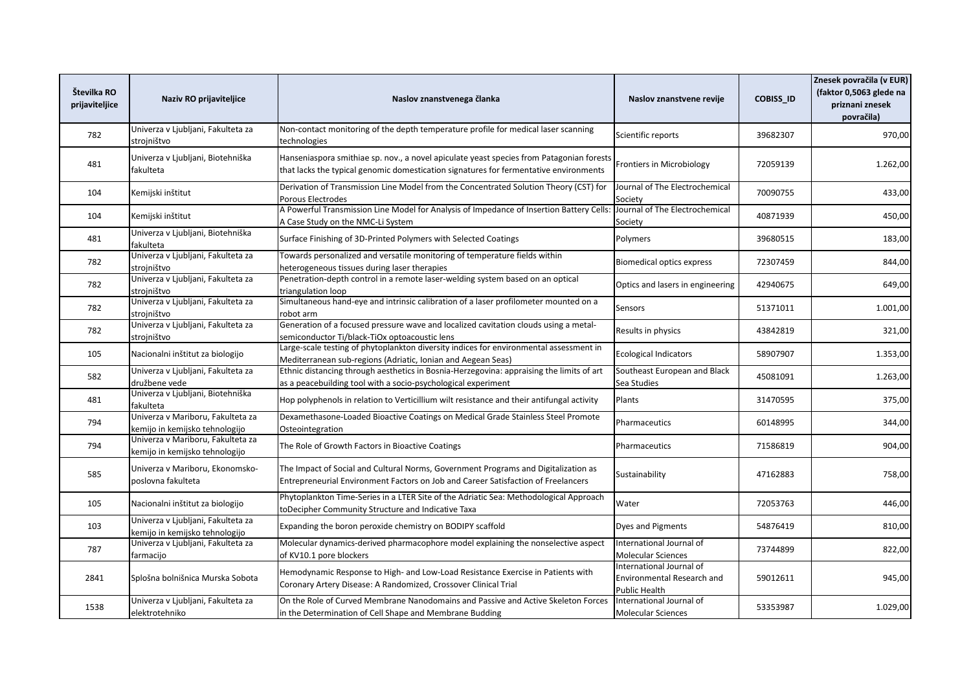| Številka RO<br>prijaviteljice | Naziv RO prijaviteljice                                              | Naslov znanstvenega članka                                                                                                                                                        | Naslov znanstvene revije                                                | <b>COBISS_ID</b> | Znesek povračila (v EUR)<br>(faktor 0,5063 glede na<br>priznani znesek<br>povračila) |
|-------------------------------|----------------------------------------------------------------------|-----------------------------------------------------------------------------------------------------------------------------------------------------------------------------------|-------------------------------------------------------------------------|------------------|--------------------------------------------------------------------------------------|
| 782                           | Univerza v Ljubljani, Fakulteta za<br>strojništvo                    | Non-contact monitoring of the depth temperature profile for medical laser scanning<br>technologies                                                                                | Scientific reports                                                      | 39682307         | 970,00                                                                               |
| 481                           | Jniverza v Ljubljani, Biotehniška<br>fakulteta                       | Hanseniaspora smithiae sp. nov., a novel apiculate yeast species from Patagonian forests<br>that lacks the typical genomic domestication signatures for fermentative environments | Frontiers in Microbiology                                               | 72059139         | 1.262,00                                                                             |
| 104                           | Kemijski inštitut                                                    | Derivation of Transmission Line Model from the Concentrated Solution Theory (CST) for<br>Porous Electrodes                                                                        | Journal of The Electrochemical<br>Society                               | 70090755         | 433,00                                                                               |
| 104                           | Kemijski inštitut                                                    | A Powerful Transmission Line Model for Analysis of Impedance of Insertion Battery Cells<br>A Case Study on the NMC-Li System                                                      | Journal of The Electrochemical<br>Society                               | 40871939         | 450,00                                                                               |
| 481                           | Univerza v Ljubljani, Biotehniška<br>fakulteta                       | Surface Finishing of 3D-Printed Polymers with Selected Coatings                                                                                                                   | Polymers                                                                | 39680515         | 183,00                                                                               |
| 782                           | Univerza v Ljubljani, Fakulteta za<br>strojništvo                    | Towards personalized and versatile monitoring of temperature fields within<br>heterogeneous tissues during laser therapies                                                        | <b>Biomedical optics express</b>                                        | 72307459         | 844,00                                                                               |
| 782                           | Univerza v Ljubljani, Fakulteta za<br>strojništvo                    | Penetration-depth control in a remote laser-welding system based on an optical<br>triangulation loop                                                                              | Optics and lasers in engineering                                        | 42940675         | 649,00                                                                               |
| 782                           | Univerza v Ljubljani, Fakulteta za<br>strojništvo                    | Simultaneous hand-eye and intrinsic calibration of a laser profilometer mounted on a<br>robot arm                                                                                 | Sensors                                                                 | 51371011         | 1.001,00                                                                             |
| 782                           | Univerza v Ljubljani, Fakulteta za<br>strojništvo                    | Generation of a focused pressure wave and localized cavitation clouds using a metal-<br>semiconductor Ti/black-TiOx optoacoustic lens                                             | Results in physics                                                      | 43842819         | 321,00                                                                               |
| 105                           | Nacionalni inštitut za biologijo                                     | Large-scale testing of phytoplankton diversity indices for environmental assessment in<br>Mediterranean sub-regions (Adriatic, Ionian and Aegean Seas)                            | <b>Ecological Indicators</b>                                            | 58907907         | 1.353,00                                                                             |
| 582                           | Univerza v Ljubljani, Fakulteta za<br>družbene vede                  | Ethnic distancing through aesthetics in Bosnia-Herzegovina: appraising the limits of art<br>as a peacebuilding tool with a socio-psychological experiment                         | Southeast European and Black<br>Sea Studies                             | 45081091         | 1.263,00                                                                             |
| 481                           | Univerza v Ljubljani, Biotehniška<br>fakulteta                       | Hop polyphenols in relation to Verticillium wilt resistance and their antifungal activity                                                                                         | Plants                                                                  | 31470595         | 375,00                                                                               |
| 794                           | Univerza v Mariboru, Fakulteta za<br>kemijo in kemijsko tehnologijo  | Dexamethasone-Loaded Bioactive Coatings on Medical Grade Stainless Steel Promote<br>Osteointegration                                                                              | Pharmaceutics                                                           | 60148995         | 344,00                                                                               |
| 794                           | Univerza v Mariboru, Fakulteta za<br>kemijo in kemijsko tehnologijo  | The Role of Growth Factors in Bioactive Coatings                                                                                                                                  | Pharmaceutics                                                           | 71586819         | 904,00                                                                               |
| 585                           | Univerza v Mariboru, Ekonomsko-<br>poslovna fakulteta                | The Impact of Social and Cultural Norms, Government Programs and Digitalization as<br>Entrepreneurial Environment Factors on Job and Career Satisfaction of Freelancers           | Sustainability                                                          | 47162883         | 758,00                                                                               |
| 105                           | Nacionalni inštitut za biologijo                                     | Phytoplankton Time-Series in a LTER Site of the Adriatic Sea: Methodological Approach<br>toDecipher Community Structure and Indicative Taxa                                       | Water                                                                   | 72053763         | 446,00                                                                               |
| 103                           | Univerza v Ljubljani, Fakulteta za<br>kemijo in kemijsko tehnologijo | Expanding the boron peroxide chemistry on BODIPY scaffold                                                                                                                         | <b>Dyes and Pigments</b>                                                | 54876419         | 810,00                                                                               |
| 787                           | Univerza v Ljubljani, Fakulteta za<br>farmacijo                      | Molecular dynamics-derived pharmacophore model explaining the nonselective aspect<br>of KV10.1 pore blockers                                                                      | International Journal of<br>Molecular Sciences                          | 73744899         | 822,00                                                                               |
| 2841                          | Splošna bolnišnica Murska Sobota                                     | Hemodynamic Response to High- and Low-Load Resistance Exercise in Patients with<br>Coronary Artery Disease: A Randomized, Crossover Clinical Trial                                | International Journal of<br>Environmental Research and<br>Public Health | 59012611         | 945,00                                                                               |
| 1538                          | Univerza v Ljubljani, Fakulteta za<br>elektrotehniko                 | On the Role of Curved Membrane Nanodomains and Passive and Active Skeleton Forces<br>in the Determination of Cell Shape and Membrane Budding                                      | International Journal of<br><b>Molecular Sciences</b>                   | 53353987         | 1.029,00                                                                             |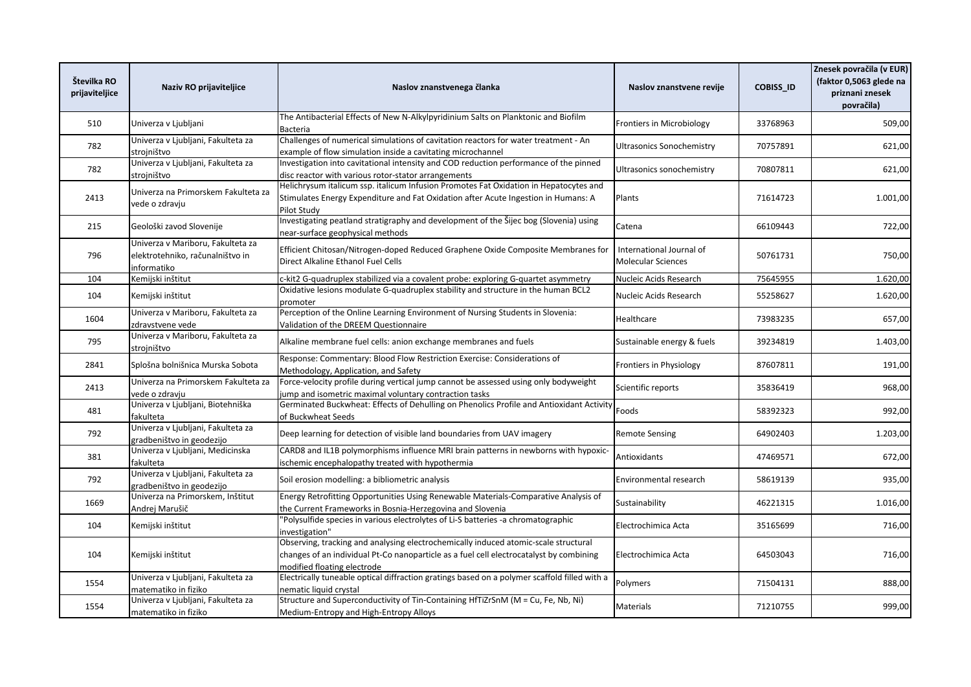| Številka RO<br>prijaviteljice | Naziv RO prijaviteljice                                                              | Naslov znanstvenega članka                                                                                                                                                                                    | Naslov znanstvene revije                              | <b>COBISS ID</b> | Znesek povračila (v EUR)<br>(faktor 0,5063 glede na<br>priznani znesek<br>povračila) |
|-------------------------------|--------------------------------------------------------------------------------------|---------------------------------------------------------------------------------------------------------------------------------------------------------------------------------------------------------------|-------------------------------------------------------|------------------|--------------------------------------------------------------------------------------|
| 510                           | Univerza v Ljubljani                                                                 | The Antibacterial Effects of New N-Alkylpyridinium Salts on Planktonic and Biofilm<br>Bacteria                                                                                                                | <b>Frontiers in Microbiology</b>                      | 33768963         | 509,00                                                                               |
| 782                           | Univerza v Ljubljani, Fakulteta za<br>strojništvo                                    | Challenges of numerical simulations of cavitation reactors for water treatment - An<br>example of flow simulation inside a cavitating microchannel                                                            | <b>Ultrasonics Sonochemistry</b>                      | 70757891         | 621,00                                                                               |
| 782                           | Univerza v Ljubljani, Fakulteta za<br>strojništvo                                    | Investigation into cavitational intensity and COD reduction performance of the pinned<br>disc reactor with various rotor-stator arrangements                                                                  | Ultrasonics sonochemistry                             | 70807811         | 621,00                                                                               |
| 2413                          | Univerza na Primorskem Fakulteta za<br>vede o zdravju                                | Helichrysum italicum ssp. italicum Infusion Promotes Fat Oxidation in Hepatocytes and<br>Stimulates Energy Expenditure and Fat Oxidation after Acute Ingestion in Humans: A<br>Pilot Study                    | Plants                                                | 71614723         | 1.001,00                                                                             |
| 215                           | Geološki zavod Slovenije                                                             | Investigating peatland stratigraphy and development of the Šijec bog (Slovenia) using<br>near-surface geophysical methods                                                                                     | Catena                                                | 66109443         | 722,00                                                                               |
| 796                           | Univerza v Mariboru, Fakulteta za<br>elektrotehniko, računalništvo in<br>informatiko | Efficient Chitosan/Nitrogen-doped Reduced Graphene Oxide Composite Membranes for<br>Direct Alkaline Ethanol Fuel Cells                                                                                        | International Journal of<br><b>Molecular Sciences</b> | 50761731         | 750,00                                                                               |
| 104                           | Kemijski inštitut                                                                    | c-kit2 G-quadruplex stabilized via a covalent probe: exploring G-quartet asymmetry                                                                                                                            | Nucleic Acids Research                                | 75645955         | 1.620,00                                                                             |
| 104                           | Kemijski inštitut                                                                    | Oxidative lesions modulate G-quadruplex stability and structure in the human BCL2<br>promoter                                                                                                                 | Nucleic Acids Research                                | 55258627         | 1.620,00                                                                             |
| 1604                          | Univerza v Mariboru, Fakulteta za<br>zdravstvene vede                                | Perception of the Online Learning Environment of Nursing Students in Slovenia:<br>Validation of the DREEM Questionnaire                                                                                       | Healthcare                                            | 73983235         | 657,00                                                                               |
| 795                           | Univerza v Mariboru, Fakulteta za<br>stroiništvo                                     | Alkaline membrane fuel cells: anion exchange membranes and fuels                                                                                                                                              | Sustainable energy & fuels                            | 39234819         | 1.403,00                                                                             |
| 2841                          | Splošna bolnišnica Murska Sobota                                                     | Response: Commentary: Blood Flow Restriction Exercise: Considerations of<br>Methodology, Application, and Safety                                                                                              | Frontiers in Physiology                               | 87607811         | 191,00                                                                               |
| 2413                          | Univerza na Primorskem Fakulteta za<br>vede o zdravju                                | Force-velocity profile during vertical jump cannot be assessed using only bodyweight<br>jump and isometric maximal voluntary contraction tasks                                                                | Scientific reports                                    | 35836419         | 968,00                                                                               |
| 481                           | Univerza v Ljubljani, Biotehniška<br>fakulteta                                       | Germinated Buckwheat: Effects of Dehulling on Phenolics Profile and Antioxidant Activity<br>of Buckwheat Seeds                                                                                                | Foods                                                 | 58392323         | 992,00                                                                               |
| 792                           | Univerza v Ljubljani, Fakulteta za<br>gradbeništvo in geodezijo                      | Deep learning for detection of visible land boundaries from UAV imagery                                                                                                                                       | <b>Remote Sensing</b>                                 | 64902403         | 1.203,00                                                                             |
| 381                           | Univerza v Ljubljani, Medicinska<br>fakulteta                                        | CARD8 and IL1B polymorphisms influence MRI brain patterns in newborns with hypoxic-<br>ischemic encephalopathy treated with hypothermia                                                                       | Antioxidants                                          | 47469571         | 672,00                                                                               |
| 792                           | Univerza v Ljubljani, Fakulteta za<br>gradbeništvo in geodezijo                      | Soil erosion modelling: a bibliometric analysis                                                                                                                                                               | Environmental research                                | 58619139         | 935,00                                                                               |
| 1669                          | Univerza na Primorskem, Inštitut<br>Andrej Marušič                                   | Energy Retrofitting Opportunities Using Renewable Materials-Comparative Analysis of<br>the Current Frameworks in Bosnia-Herzegovina and Slovenia                                                              | Sustainability                                        | 46221315         | 1.016,00                                                                             |
| 104                           | Kemijski inštitut                                                                    | 'Polysulfide species in various electrolytes of Li-S batteries -a chromatographic<br>investigation"                                                                                                           | Electrochimica Acta                                   | 35165699         | 716,00                                                                               |
| 104                           | Kemijski inštitut                                                                    | Observing, tracking and analysing electrochemically induced atomic-scale structural<br>changes of an individual Pt-Co nanoparticle as a fuel cell electrocatalyst by combining<br>modified floating electrode | Electrochimica Acta                                   | 64503043         | 716,00                                                                               |
| 1554                          | Univerza v Ljubljani, Fakulteta za<br>matematiko in fiziko                           | Electrically tuneable optical diffraction gratings based on a polymer scaffold filled with a<br>nematic liquid crystal                                                                                        | Polymers                                              | 71504131         | 888,00                                                                               |
| 1554                          | Univerza v Ljubljani, Fakulteta za<br>matematiko in fiziko                           | Structure and Superconductivity of Tin-Containing HfTiZrSnM (M = Cu, Fe, Nb, Ni)<br>Medium-Entropy and High-Entropy Alloys                                                                                    | Materials                                             | 71210755         | 999,00                                                                               |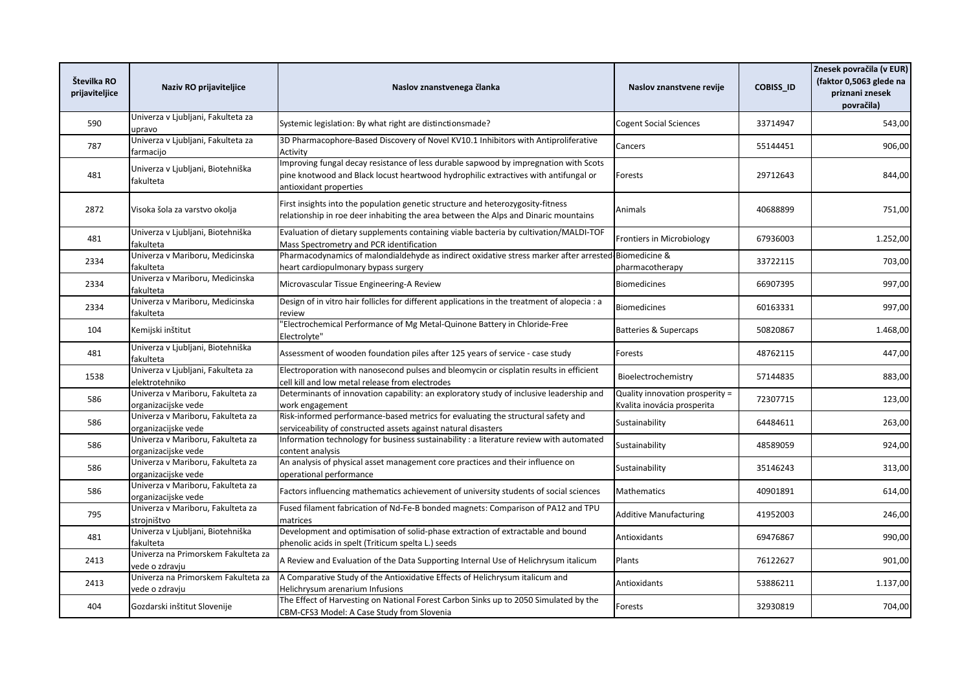| Številka RO<br>prijaviteljice | Naziv RO prijaviteljice                                  | Naslov znanstvenega članka                                                                                                                                                                            | Naslov znanstvene revije                                       | <b>COBISS ID</b> | Znesek povračila (v EUR)<br>(faktor 0,5063 glede na<br>priznani znesek<br>povračila) |
|-------------------------------|----------------------------------------------------------|-------------------------------------------------------------------------------------------------------------------------------------------------------------------------------------------------------|----------------------------------------------------------------|------------------|--------------------------------------------------------------------------------------|
| 590                           | Univerza v Ljubljani, Fakulteta za<br>upravo             | Systemic legislation: By what right are distinctionsmade?                                                                                                                                             | <b>Cogent Social Sciences</b>                                  | 33714947         | 543,00                                                                               |
| 787                           | Univerza v Ljubljani, Fakulteta za<br>farmacijo          | 3D Pharmacophore-Based Discovery of Novel KV10.1 Inhibitors with Antiproliferative<br>Activity                                                                                                        | Cancers                                                        | 55144451         | 906,00                                                                               |
| 481                           | Jniverza v Ljubljani, Biotehniška<br>fakulteta           | Improving fungal decay resistance of less durable sapwood by impregnation with Scots<br>pine knotwood and Black locust heartwood hydrophilic extractives with antifungal or<br>antioxidant properties | Forests                                                        | 29712643         | 844,00                                                                               |
| 2872                          | Visoka šola za varstvo okolja                            | First insights into the population genetic structure and heterozygosity-fitness<br>relationship in roe deer inhabiting the area between the Alps and Dinaric mountains                                | Animals                                                        | 40688899         | 751,00                                                                               |
| 481                           | Univerza v Ljubljani, Biotehniška<br>fakulteta           | Evaluation of dietary supplements containing viable bacteria by cultivation/MALDI-TOF<br>Mass Spectrometry and PCR identification                                                                     | Frontiers in Microbiology                                      | 67936003         | 1.252,00                                                                             |
| 2334                          | Univerza v Mariboru, Medicinska<br>fakulteta             | Pharmacodynamics of malondialdehyde as indirect oxidative stress marker after arrested Biomedicine &<br>heart cardiopulmonary bypass surgery                                                          | pharmacotherapy                                                | 33722115         | 703,00                                                                               |
| 2334                          | Univerza v Mariboru, Medicinska<br>fakulteta             | Microvascular Tissue Engineering-A Review                                                                                                                                                             | <b>Biomedicines</b>                                            | 66907395         | 997,00                                                                               |
| 2334                          | Univerza v Mariboru, Medicinska<br>fakulteta             | Design of in vitro hair follicles for different applications in the treatment of alopecia : a<br>review                                                                                               | <b>Biomedicines</b>                                            | 60163331         | 997,00                                                                               |
| 104                           | Kemijski inštitut                                        | 'Electrochemical Performance of Mg Metal-Quinone Battery in Chloride-Free<br>Electrolyte"                                                                                                             | Batteries & Supercaps                                          | 50820867         | 1.468,00                                                                             |
| 481                           | Univerza v Ljubljani, Biotehniška<br>fakulteta           | Assessment of wooden foundation piles after 125 years of service - case study                                                                                                                         | Forests                                                        | 48762115         | 447,00                                                                               |
| 1538                          | Univerza v Ljubljani, Fakulteta za<br>elektrotehniko     | Electroporation with nanosecond pulses and bleomycin or cisplatin results in efficient<br>cell kill and low metal release from electrodes                                                             | Bioelectrochemistry                                            | 57144835         | 883,00                                                                               |
| 586                           | Univerza v Mariboru, Fakulteta za<br>organizacijske vede | Determinants of innovation capability: an exploratory study of inclusive leadership and<br>work engagement                                                                                            | Quality innovation prosperity =<br>Kvalita inovácia prosperita | 72307715         | 123,00                                                                               |
| 586                           | Univerza v Mariboru, Fakulteta za<br>organizacijske vede | Risk-informed performance-based metrics for evaluating the structural safety and<br>serviceability of constructed assets against natural disasters                                                    | Sustainability                                                 | 64484611         | 263,00                                                                               |
| 586                           | Univerza v Mariboru, Fakulteta za<br>organizacijske vede | Information technology for business sustainability : a literature review with automated<br>content analysis                                                                                           | Sustainability                                                 | 48589059         | 924,00                                                                               |
| 586                           | Univerza v Mariboru, Fakulteta za<br>organizacijske vede | An analysis of physical asset management core practices and their influence on<br>operational performance                                                                                             | Sustainability                                                 | 35146243         | 313,00                                                                               |
| 586                           | Univerza v Mariboru, Fakulteta za<br>organizacijske vede | Factors influencing mathematics achievement of university students of social sciences                                                                                                                 | Mathematics                                                    | 40901891         | 614,00                                                                               |
| 795                           | Univerza v Mariboru, Fakulteta za<br>strojništvo         | Fused filament fabrication of Nd-Fe-B bonded magnets: Comparison of PA12 and TPU<br>matrices                                                                                                          | <b>Additive Manufacturing</b>                                  | 41952003         | 246,00                                                                               |
| 481                           | Univerza v Ljubljani, Biotehniška<br>fakulteta           | Development and optimisation of solid-phase extraction of extractable and bound<br>phenolic acids in spelt (Triticum spelta L.) seeds                                                                 | Antioxidants                                                   | 69476867         | 990,00                                                                               |
| 2413                          | Univerza na Primorskem Fakulteta za<br>vede o zdravju    | A Review and Evaluation of the Data Supporting Internal Use of Helichrysum italicum                                                                                                                   | Plants                                                         | 76122627         | 901,00                                                                               |
| 2413                          | Univerza na Primorskem Fakulteta za<br>vede o zdravju    | A Comparative Study of the Antioxidative Effects of Helichrysum italicum and<br>Helichrysum arenarium Infusions                                                                                       | Antioxidants                                                   | 53886211         | 1.137,00                                                                             |
| 404                           | Gozdarski inštitut Slovenije                             | The Effect of Harvesting on National Forest Carbon Sinks up to 2050 Simulated by the<br>CBM-CFS3 Model: A Case Study from Slovenia                                                                    | Forests                                                        | 32930819         | 704,00                                                                               |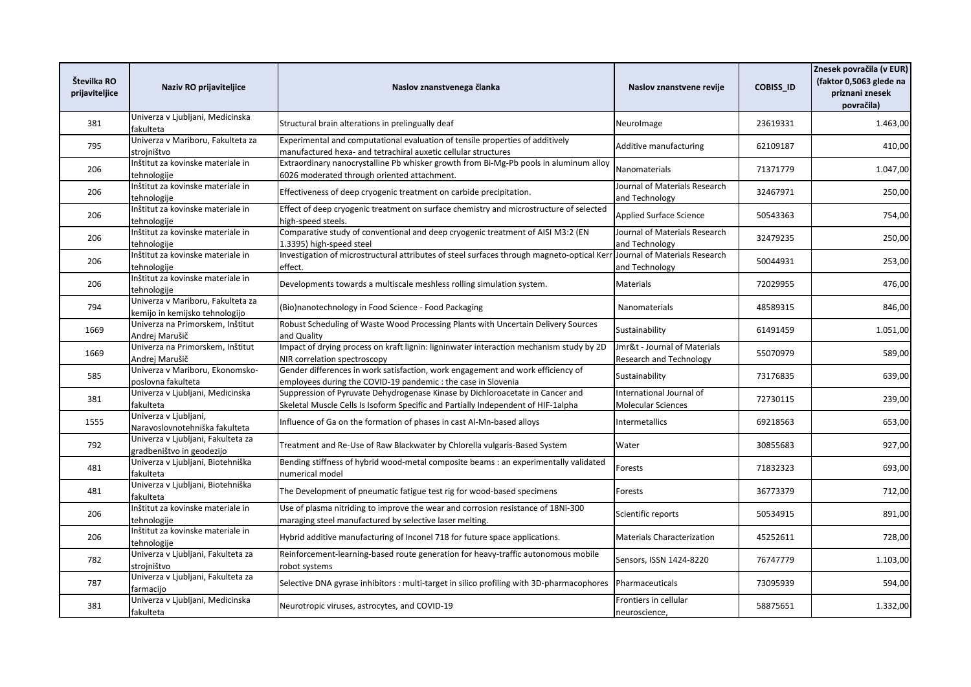| Številka RO<br>prijaviteljice | Naziv RO prijaviteljice                                             | Naslov znanstvenega članka                                                                                                                                         | Naslov znanstvene revije                                | <b>COBISS ID</b> | Znesek povračila (v EUR)<br>(faktor 0,5063 glede na<br>priznani znesek<br>povračila) |
|-------------------------------|---------------------------------------------------------------------|--------------------------------------------------------------------------------------------------------------------------------------------------------------------|---------------------------------------------------------|------------------|--------------------------------------------------------------------------------------|
| 381                           | Univerza v Ljubljani, Medicinska<br>fakulteta                       | Structural brain alterations in prelingually deaf                                                                                                                  | Neurolmage                                              | 23619331         | 1.463,00                                                                             |
| 795                           | Univerza v Mariboru, Fakulteta za<br>strojništvo                    | Experimental and computational evaluation of tensile properties of additively<br>manufactured hexa- and tetrachiral auxetic cellular structures                    | Additive manufacturing                                  | 62109187         | 410,00                                                                               |
| 206                           | Inštitut za kovinske materiale in<br>tehnologije                    | Extraordinary nanocrystalline Pb whisker growth from Bi-Mg-Pb pools in aluminum alloy<br>6026 moderated through oriented attachment.                               | Nanomaterials                                           | 71371779         | 1.047,00                                                                             |
| 206                           | Inštitut za kovinske materiale in<br>tehnologije                    | Effectiveness of deep cryogenic treatment on carbide precipitation.                                                                                                | Journal of Materials Research<br>and Technology         | 32467971         | 250,00                                                                               |
| 206                           | Inštitut za kovinske materiale in<br>tehnologije                    | Effect of deep cryogenic treatment on surface chemistry and microstructure of selected<br>high-speed steels.                                                       | Applied Surface Science                                 | 50543363         | 754,00                                                                               |
| 206                           | Inštitut za kovinske materiale in<br>tehnologije                    | Comparative study of conventional and deep cryogenic treatment of AISI M3:2 (EN<br>1.3395) high-speed steel                                                        | Journal of Materials Research<br>and Technology         | 32479235         | 250,00                                                                               |
| 206                           | Inštitut za kovinske materiale in<br>tehnologije                    | Investigation of microstructural attributes of steel surfaces through magneto-optical Kerr<br>effect.                                                              | Journal of Materials Research<br>and Technology         | 50044931         | 253,00                                                                               |
| 206                           | Inštitut za kovinske materiale in<br>tehnologije                    | Developments towards a multiscale meshless rolling simulation system.                                                                                              | <b>Materials</b>                                        | 72029955         | 476,00                                                                               |
| 794                           | Univerza v Mariboru, Fakulteta za<br>kemijo in kemijsko tehnologijo | Bio)nanotechnology in Food Science - Food Packaging                                                                                                                | Nanomaterials                                           | 48589315         | 846,00                                                                               |
| 1669                          | Univerza na Primorskem, Inštitut<br>Andrej Marušič                  | Robust Scheduling of Waste Wood Processing Plants with Uncertain Delivery Sources<br>and Quality                                                                   | Sustainability                                          | 61491459         | 1.051,00                                                                             |
| 1669                          | Univerza na Primorskem, Inštitut<br>Andrej Marušič                  | Impact of drying process on kraft lignin: ligninwater interaction mechanism study by 2D<br>NIR correlation spectroscopy                                            | Jmr&t - Journal of Materials<br>Research and Technology | 55070979         | 589,00                                                                               |
| 585                           | Univerza v Mariboru, Ekonomsko-<br>poslovna fakulteta               | Gender differences in work satisfaction, work engagement and work efficiency of<br>employees during the COVID-19 pandemic: the case in Slovenia                    | Sustainability                                          | 73176835         | 639,00                                                                               |
| 381                           | Univerza v Ljubljani, Medicinska<br>fakulteta                       | Suppression of Pyruvate Dehydrogenase Kinase by Dichloroacetate in Cancer and<br>Skeletal Muscle Cells Is Isoform Specific and Partially Independent of HIF-1alpha | International Journal of<br><b>Molecular Sciences</b>   | 72730115         | 239,00                                                                               |
| 1555                          | Univerza v Ljubljani,<br>Naravoslovnotehniška fakulteta             | Influence of Ga on the formation of phases in cast Al-Mn-based alloys                                                                                              | Intermetallics                                          | 69218563         | 653,00                                                                               |
| 792                           | Univerza v Ljubljani, Fakulteta za<br>gradbeništvo in geodezijo     | Treatment and Re-Use of Raw Blackwater by Chlorella vulgaris-Based System                                                                                          | Water                                                   | 30855683         | 927,00                                                                               |
| 481                           | Univerza v Ljubljani, Biotehniška<br>fakulteta                      | Bending stiffness of hybrid wood-metal composite beams : an experimentally validated<br>numerical model                                                            | Forests                                                 | 71832323         | 693,00                                                                               |
| 481                           | Univerza v Ljubljani, Biotehniška<br>fakulteta                      | The Development of pneumatic fatigue test rig for wood-based specimens                                                                                             | Forests                                                 | 36773379         | 712,00                                                                               |
| 206                           | Inštitut za kovinske materiale in<br>tehnologije                    | Use of plasma nitriding to improve the wear and corrosion resistance of 18Ni-300<br>maraging steel manufactured by selective laser melting.                        | Scientific reports                                      | 50534915         | 891,00                                                                               |
| 206                           | Inštitut za kovinske materiale in<br>tehnologije                    | Hybrid additive manufacturing of Inconel 718 for future space applications.                                                                                        | <b>Materials Characterization</b>                       | 45252611         | 728,00                                                                               |
| 782                           | Univerza v Ljubljani, Fakulteta za<br>strojništvo                   | Reinforcement-learning-based route generation for heavy-traffic autonomous mobile<br>robot systems                                                                 | Sensors, ISSN 1424-8220                                 | 76747779         | 1.103,00                                                                             |
| 787                           | Univerza v Ljubljani, Fakulteta za<br>farmacijo                     | Selective DNA gyrase inhibitors : multi-target in silico profiling with 3D-pharmacophores                                                                          | Pharmaceuticals                                         | 73095939         | 594,00                                                                               |
| 381                           | Univerza v Ljubljani, Medicinska<br>fakulteta                       | Neurotropic viruses, astrocytes, and COVID-19                                                                                                                      | Frontiers in cellular<br>neuroscience,                  | 58875651         | 1.332,00                                                                             |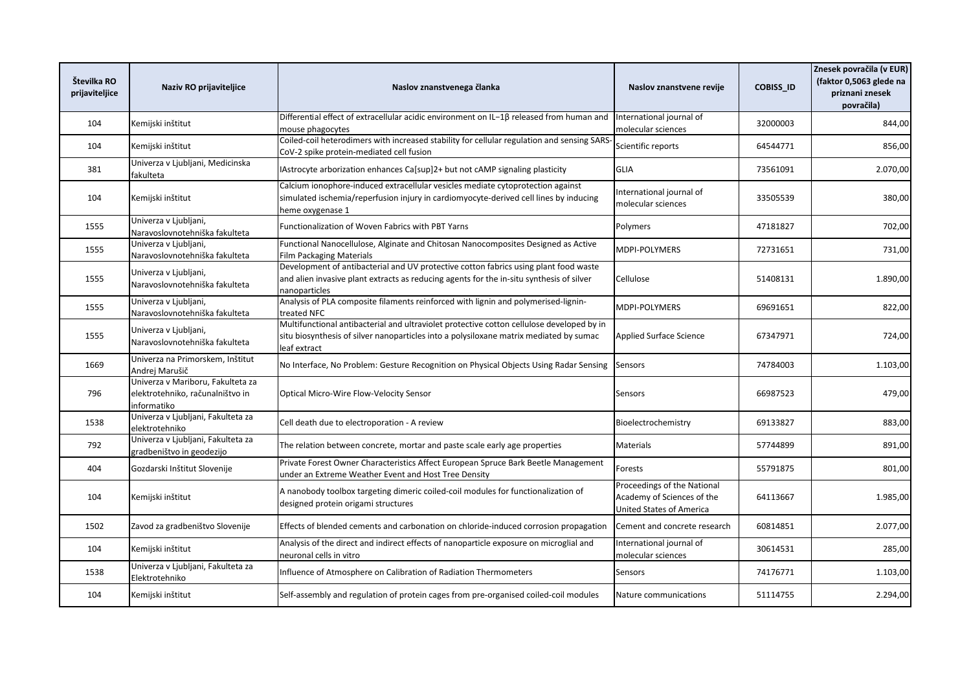| Številka RO<br>prijaviteljice | Naziv RO prijaviteljice                                                              | Naslov znanstvenega članka                                                                                                                                                                          | Naslov znanstvene revije                                                                     | <b>COBISS ID</b> | Znesek povračila (v EUR)<br>(faktor 0,5063 glede na<br>priznani znesek<br>povračila) |
|-------------------------------|--------------------------------------------------------------------------------------|-----------------------------------------------------------------------------------------------------------------------------------------------------------------------------------------------------|----------------------------------------------------------------------------------------------|------------------|--------------------------------------------------------------------------------------|
| 104                           | Kemijski inštitut                                                                    | Differential effect of extracellular acidic environment on IL-1 $\beta$ released from human and<br>mouse phagocytes                                                                                 | International journal of<br>molecular sciences                                               | 32000003         | 844,00                                                                               |
| 104                           | Kemijski inštitut                                                                    | Coiled-coil heterodimers with increased stability for cellular regulation and sensing SARS<br>CoV-2 spike protein-mediated cell fusion                                                              | Scientific reports                                                                           | 64544771         | 856,00                                                                               |
| 381                           | Univerza v Ljubljani, Medicinska<br>fakulteta                                        | IAstrocyte arborization enhances Ca[sup]2+ but not cAMP signaling plasticity                                                                                                                        | <b>GLIA</b>                                                                                  | 73561091         | 2.070,00                                                                             |
| 104                           | Kemijski inštitut                                                                    | Calcium ionophore-induced extracellular vesicles mediate cytoprotection against<br>simulated ischemia/reperfusion injury in cardiomyocyte-derived cell lines by inducing<br>heme oxygenase 1        | International journal of<br>molecular sciences                                               | 33505539         | 380,00                                                                               |
| 1555                          | Univerza v Ljubljani,<br>Naravoslovnotehniška fakulteta                              | Functionalization of Woven Fabrics with PBT Yarns                                                                                                                                                   | Polymers                                                                                     | 47181827         | 702,00                                                                               |
| 1555                          | Univerza v Ljubljani,<br>Naravoslovnotehniška fakulteta                              | Functional Nanocellulose, Alginate and Chitosan Nanocomposites Designed as Active<br><b>Film Packaging Materials</b>                                                                                | <b>MDPI-POLYMERS</b>                                                                         | 72731651         | 731,00                                                                               |
| 1555                          | Univerza v Ljubljani,<br>Naravoslovnotehniška fakulteta                              | Development of antibacterial and UV protective cotton fabrics using plant food waste<br>and alien invasive plant extracts as reducing agents for the in-situ synthesis of silver<br>nanoparticles   | Cellulose                                                                                    | 51408131         | 1.890,00                                                                             |
| 1555                          | Univerza v Ljubljani,<br>Naravoslovnotehniška fakulteta                              | Analysis of PLA composite filaments reinforced with lignin and polymerised-lignin-<br>treated NFC                                                                                                   | MDPI-POLYMERS                                                                                | 69691651         | 822,00                                                                               |
| 1555                          | Univerza v Ljubljani,<br>Naravoslovnotehniška fakulteta                              | Multifunctional antibacterial and ultraviolet protective cotton cellulose developed by in<br>situ biosynthesis of silver nanoparticles into a polysiloxane matrix mediated by sumac<br>leaf extract | <b>Applied Surface Science</b>                                                               | 67347971         | 724,00                                                                               |
| 1669                          | Univerza na Primorskem, Inštitut<br>Andrej Marušič                                   | No Interface, No Problem: Gesture Recognition on Physical Objects Using Radar Sensing                                                                                                               | Sensors                                                                                      | 74784003         | 1.103,00                                                                             |
| 796                           | Univerza v Mariboru, Fakulteta za<br>elektrotehniko, računalništvo in<br>informatiko | Optical Micro-Wire Flow-Velocity Sensor                                                                                                                                                             | Sensors                                                                                      | 66987523         | 479,00                                                                               |
| 1538                          | Univerza v Ljubljani, Fakulteta za<br>elektrotehniko                                 | Cell death due to electroporation - A review                                                                                                                                                        | Bioelectrochemistry                                                                          | 69133827         | 883,00                                                                               |
| 792                           | Univerza v Ljubljani, Fakulteta za<br>tradbeništvo in geodezijo                      | The relation between concrete, mortar and paste scale early age properties                                                                                                                          | Materials                                                                                    | 57744899         | 891,00                                                                               |
| 404                           | Gozdarski Inštitut Slovenije                                                         | Private Forest Owner Characteristics Affect European Spruce Bark Beetle Management<br>under an Extreme Weather Event and Host Tree Density                                                          | Forests                                                                                      | 55791875         | 801,00                                                                               |
| 104                           | Kemijski inštitut                                                                    | A nanobody toolbox targeting dimeric coiled-coil modules for functionalization of<br>designed protein origami structures                                                                            | Proceedings of the National<br>Academy of Sciences of the<br><b>United States of America</b> | 64113667         | 1.985,00                                                                             |
| 1502                          | Zavod za gradbeništvo Slovenije                                                      | Effects of blended cements and carbonation on chloride-induced corrosion propagation                                                                                                                | Cement and concrete research                                                                 | 60814851         | 2.077,00                                                                             |
| 104                           | Kemijski inštitut                                                                    | Analysis of the direct and indirect effects of nanoparticle exposure on microglial and<br>neuronal cells in vitro                                                                                   | International journal of<br>molecular sciences                                               | 30614531         | 285,00                                                                               |
| 1538                          | Univerza v Ljubljani, Fakulteta za<br>Elektrotehniko                                 | Influence of Atmosphere on Calibration of Radiation Thermometers                                                                                                                                    | Sensors                                                                                      | 74176771         | 1.103,00                                                                             |
| 104                           | Kemijski inštitut                                                                    | Self-assembly and regulation of protein cages from pre-organised coiled-coil modules                                                                                                                | Nature communications                                                                        | 51114755         | 2.294,00                                                                             |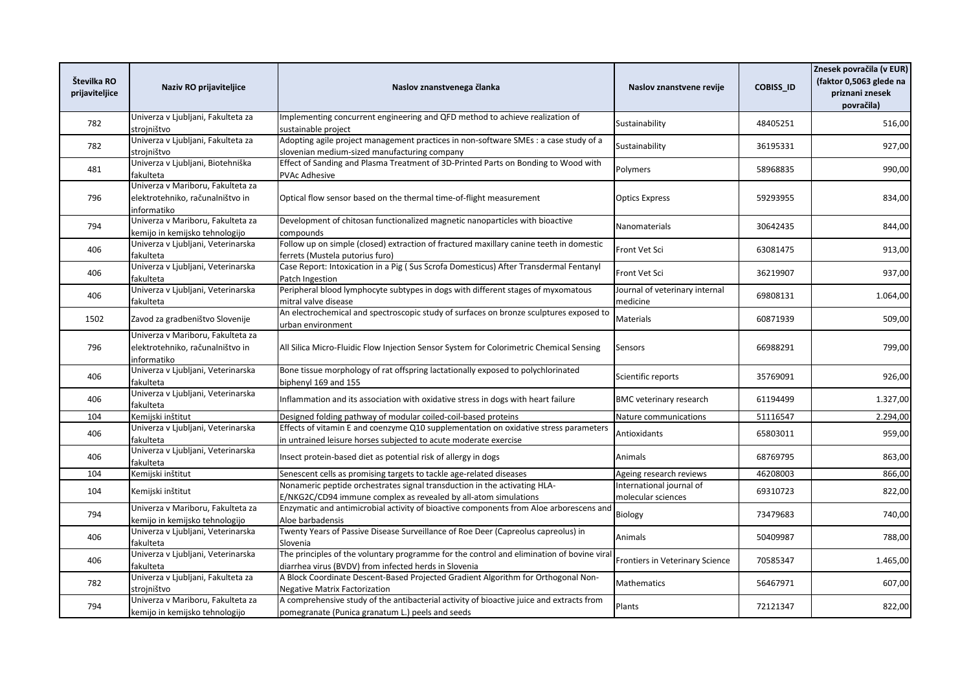| Številka RO<br>prijaviteljice | Naziv RO prijaviteljice                                                              | Naslov znanstvenega članka                                                                                                                               | Naslov znanstvene revije                       | <b>COBISS ID</b> | Znesek povračila (v EUR)<br>(faktor 0,5063 glede na<br>priznani znesek<br>povračila) |
|-------------------------------|--------------------------------------------------------------------------------------|----------------------------------------------------------------------------------------------------------------------------------------------------------|------------------------------------------------|------------------|--------------------------------------------------------------------------------------|
| 782                           | Univerza v Ljubljani, Fakulteta za<br>strojništvo                                    | Implementing concurrent engineering and QFD method to achieve realization of<br>sustainable project                                                      | Sustainability                                 | 48405251         | 516,00                                                                               |
| 782                           | Univerza v Ljubljani, Fakulteta za<br>strojništvo                                    | Adopting agile project management practices in non-software SMEs : a case study of a<br>slovenian medium-sized manufacturing company                     | Sustainability                                 | 36195331         | 927,00                                                                               |
| 481                           | Univerza v Ljubljani, Biotehniška<br>fakulteta                                       | Effect of Sanding and Plasma Treatment of 3D-Printed Parts on Bonding to Wood with<br><b>PVAc Adhesive</b>                                               | Polymers                                       | 58968835         | 990,00                                                                               |
| 796                           | Univerza v Mariboru, Fakulteta za<br>elektrotehniko, računalništvo in<br>informatiko | Optical flow sensor based on the thermal time-of-flight measurement                                                                                      | <b>Optics Express</b>                          | 59293955         | 834,00                                                                               |
| 794                           | Univerza v Mariboru, Fakulteta za<br>kemijo in kemijsko tehnologijo                  | Development of chitosan functionalized magnetic nanoparticles with bioactive<br>compounds                                                                | Nanomaterials                                  | 30642435         | 844,00                                                                               |
| 406                           | Univerza v Ljubljani, Veterinarska<br>fakulteta                                      | Follow up on simple (closed) extraction of fractured maxillary canine teeth in domestic<br>ferrets (Mustela putorius furo)                               | Front Vet Sci                                  | 63081475         | 913,00                                                                               |
| 406                           | Univerza v Ljubljani, Veterinarska<br>fakulteta                                      | Case Report: Intoxication in a Pig (Sus Scrofa Domesticus) After Transdermal Fentanyl<br>Patch Ingestion                                                 | Front Vet Sci                                  | 36219907         | 937,00                                                                               |
| 406                           | Univerza v Ljubljani, Veterinarska<br>fakulteta                                      | Peripheral blood lymphocyte subtypes in dogs with different stages of myxomatous<br>mitral valve disease                                                 | Journal of veterinary internal<br>medicine     | 69808131         | 1.064,00                                                                             |
| 1502                          | Zavod za gradbeništvo Slovenije                                                      | An electrochemical and spectroscopic study of surfaces on bronze sculptures exposed to<br>urban environment                                              | Materials                                      | 60871939         | 509,00                                                                               |
| 796                           | Univerza v Mariboru, Fakulteta za<br>elektrotehniko, računalništvo in<br>informatiko | All Silica Micro-Fluidic Flow Injection Sensor System for Colorimetric Chemical Sensing                                                                  | Sensors                                        | 66988291         | 799,00                                                                               |
| 406                           | Univerza v Ljubljani, Veterinarska<br>fakulteta                                      | Bone tissue morphology of rat offspring lactationally exposed to polychlorinated<br>biphenyl 169 and 155                                                 | Scientific reports                             | 35769091         | 926,00                                                                               |
| 406                           | Univerza v Ljubljani, Veterinarska<br>fakulteta                                      | Inflammation and its association with oxidative stress in dogs with heart failure                                                                        | <b>BMC</b> veterinary research                 | 61194499         | 1.327,00                                                                             |
| 104                           | Kemijski inštitut                                                                    | Designed folding pathway of modular coiled-coil-based proteins                                                                                           | Nature communications                          | 51116547         | 2.294,00                                                                             |
| 406                           | Univerza v Ljubljani, Veterinarska<br>fakulteta                                      | Effects of vitamin E and coenzyme Q10 supplementation on oxidative stress parameters<br>in untrained leisure horses subjected to acute moderate exercise | Antioxidants                                   | 65803011         | 959,00                                                                               |
| 406                           | Univerza v Ljubljani, Veterinarska<br>fakulteta                                      | Insect protein-based diet as potential risk of allergy in dogs                                                                                           | Animals                                        | 68769795         | 863,00                                                                               |
| 104                           | Kemijski inštitut                                                                    | Senescent cells as promising targets to tackle age-related diseases                                                                                      | Ageing research reviews                        | 46208003         | 866,00                                                                               |
| 104                           | Kemijski inštitut                                                                    | Nonameric peptide orchestrates signal transduction in the activating HLA-<br>E/NKG2C/CD94 immune complex as revealed by all-atom simulations             | International journal of<br>molecular sciences | 69310723         | 822,00                                                                               |
| 794                           | Univerza v Mariboru, Fakulteta za<br>kemijo in kemijsko tehnologijo                  | Enzymatic and antimicrobial activity of bioactive components from Aloe arborescens and<br>Aloe barbadensis                                               | Biology                                        | 73479683         | 740,00                                                                               |
| 406                           | Univerza v Ljubljani, Veterinarska<br>fakulteta                                      | Twenty Years of Passive Disease Surveillance of Roe Deer (Capreolus capreolus) in<br>Slovenia                                                            | Animals                                        | 50409987         | 788,00                                                                               |
| 406                           | Univerza v Ljubljani, Veterinarska<br>fakulteta                                      | The principles of the voluntary programme for the control and elimination of bovine viral<br>diarrhea virus (BVDV) from infected herds in Slovenia       | Frontiers in Veterinary Science                | 70585347         | 1.465,00                                                                             |
| 782                           | Univerza v Ljubljani, Fakulteta za<br>strojništvo                                    | A Block Coordinate Descent-Based Projected Gradient Algorithm for Orthogonal Non-<br><b>Negative Matrix Factorization</b>                                | Mathematics                                    | 56467971         | 607,00                                                                               |
| 794                           | Univerza v Mariboru, Fakulteta za<br>kemijo in kemijsko tehnologijo                  | A comprehensive study of the antibacterial activity of bioactive juice and extracts from<br>pomegranate (Punica granatum L.) peels and seeds             | Plants                                         | 72121347         | 822,00                                                                               |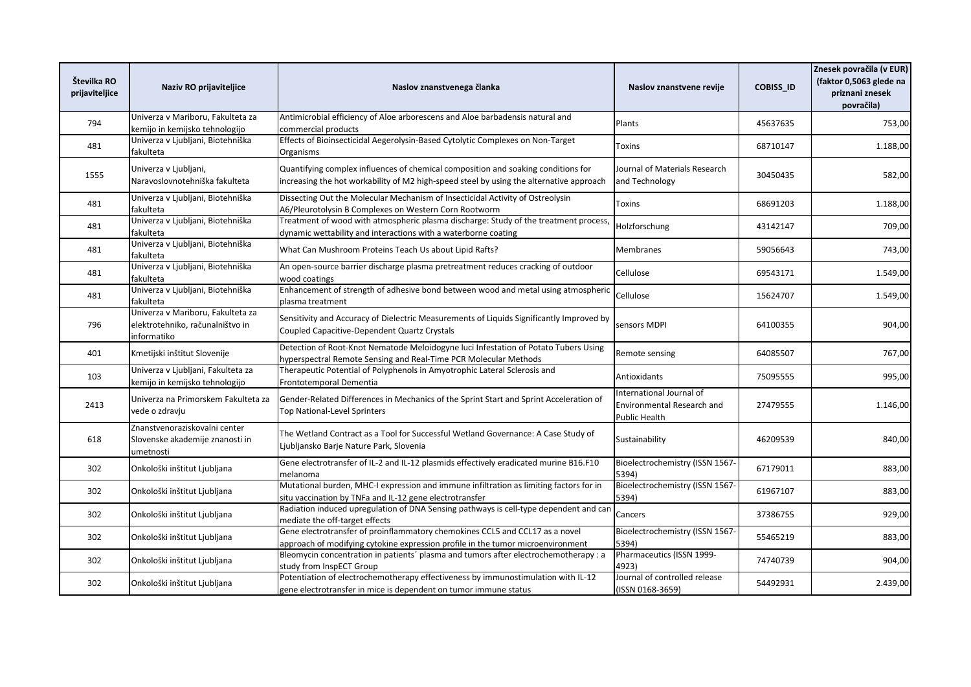| Številka RO<br>prijaviteljice | Naziv RO prijaviteljice                                                              | Naslov znanstvenega članka                                                                                                                                                  | Naslov znanstvene revije                                                       | <b>COBISS ID</b> | Znesek povračila (v EUR)<br>(faktor 0,5063 glede na<br>priznani znesek<br>povračila) |
|-------------------------------|--------------------------------------------------------------------------------------|-----------------------------------------------------------------------------------------------------------------------------------------------------------------------------|--------------------------------------------------------------------------------|------------------|--------------------------------------------------------------------------------------|
| 794                           | Univerza v Mariboru, Fakulteta za<br>kemijo in kemijsko tehnologijo                  | Antimicrobial efficiency of Aloe arborescens and Aloe barbadensis natural and<br>commercial products                                                                        | Plants                                                                         | 45637635         | 753,00                                                                               |
| 481                           | Univerza v Ljubljani, Biotehniška<br>fakulteta                                       | Effects of Bioinsecticidal Aegerolysin-Based Cytolytic Complexes on Non-Target<br>Organisms                                                                                 | <b>Toxins</b>                                                                  | 68710147         | 1.188,00                                                                             |
| 1555                          | Univerza v Ljubljani,<br>Naravoslovnotehniška fakulteta                              | Quantifying complex influences of chemical composition and soaking conditions for<br>ncreasing the hot workability of M2 high-speed steel by using the alternative approach | Journal of Materials Research<br>and Technology                                | 30450435         | 582,00                                                                               |
| 481                           | Univerza v Ljubljani, Biotehniška<br>fakulteta                                       | Dissecting Out the Molecular Mechanism of Insecticidal Activity of Ostreolysin<br>A6/Pleurotolysin B Complexes on Western Corn Rootworm                                     | Toxins                                                                         | 68691203         | 1.188,00                                                                             |
| 481                           | Univerza v Ljubljani, Biotehniška<br>fakulteta                                       | Treatment of wood with atmospheric plasma discharge: Study of the treatment process<br>dynamic wettability and interactions with a waterborne coating                       | Holzforschung                                                                  | 43142147         | 709,00                                                                               |
| 481                           | Univerza v Ljubljani, Biotehniška<br>fakulteta                                       | What Can Mushroom Proteins Teach Us about Lipid Rafts?                                                                                                                      | <b>Membranes</b>                                                               | 59056643         | 743,00                                                                               |
| 481                           | Univerza v Ljubljani, Biotehniška<br>fakulteta                                       | An open-source barrier discharge plasma pretreatment reduces cracking of outdoor<br>wood coatings                                                                           | Cellulose                                                                      | 69543171         | 1.549,00                                                                             |
| 481                           | Univerza v Ljubljani, Biotehniška<br>fakulteta                                       | Enhancement of strength of adhesive bond between wood and metal using atmospheric<br>plasma treatment                                                                       | Cellulose                                                                      | 15624707         | 1.549,00                                                                             |
| 796                           | Univerza v Mariboru, Fakulteta za<br>elektrotehniko, računalništvo in<br>informatiko | Sensitivity and Accuracy of Dielectric Measurements of Liquids Significantly Improved by<br>Coupled Capacitive-Dependent Quartz Crystals                                    | sensors MDPI                                                                   | 64100355         | 904,00                                                                               |
| 401                           | Kmetijski inštitut Slovenije                                                         | Detection of Root-Knot Nematode Meloidogyne luci Infestation of Potato Tubers Using<br>hyperspectral Remote Sensing and Real-Time PCR Molecular Methods                     | Remote sensing                                                                 | 64085507         | 767,00                                                                               |
| 103                           | Univerza v Ljubljani, Fakulteta za<br>kemijo in kemijsko tehnologijo                 | Therapeutic Potential of Polyphenols in Amyotrophic Lateral Sclerosis and<br>Frontotemporal Dementia                                                                        | Antioxidants                                                                   | 75095555         | 995,00                                                                               |
| 2413                          | Univerza na Primorskem Fakulteta za<br>vede o zdravju                                | Gender-Related Differences in Mechanics of the Sprint Start and Sprint Acceleration of<br>Top National-Level Sprinters                                                      | International Journal of<br><b>Environmental Research and</b><br>Public Health | 27479555         | 1.146,00                                                                             |
| 618                           | Znanstvenoraziskovalni center<br>Slovenske akademije znanosti in<br><i>umetnosti</i> | The Wetland Contract as a Tool for Successful Wetland Governance: A Case Study of<br>Ljubljansko Barje Nature Park, Slovenia                                                | Sustainability                                                                 | 46209539         | 840,00                                                                               |
| 302                           | Onkološki inštitut Ljubljana                                                         | Gene electrotransfer of IL-2 and IL-12 plasmids effectively eradicated murine B16.F10<br>melanoma                                                                           | Bioelectrochemistry (ISSN 1567-<br>5394)                                       | 67179011         | 883,00                                                                               |
| 302                           | Onkološki inštitut Ljubljana                                                         | Mutational burden, MHC-I expression and immune infiltration as limiting factors for in<br>situ vaccination by TNFa and IL-12 gene electrotransfer                           | Bioelectrochemistry (ISSN 1567-<br>5394)                                       | 61967107         | 883,00                                                                               |
| 302                           | Onkološki inštitut Ljubljana                                                         | Radiation induced upregulation of DNA Sensing pathways is cell-type dependent and can<br>mediate the off-target effects                                                     | Cancers                                                                        | 37386755         | 929,00                                                                               |
| 302                           | Onkološki inštitut Ljubljana                                                         | Gene electrotransfer of proinflammatory chemokines CCL5 and CCL17 as a novel<br>approach of modifying cytokine expression profile in the tumor microenvironment             | Bioelectrochemistry (ISSN 1567-<br>5394)                                       | 55465219         | 883,00                                                                               |
| 302                           | Onkološki inštitut Ljubljana                                                         | Bleomycin concentration in patients' plasma and tumors after electrochemotherapy : a<br>study from InspECT Group                                                            | Pharmaceutics (ISSN 1999-<br>4923)                                             | 74740739         | 904,00                                                                               |
| 302                           | Onkološki inštitut Ljubljana                                                         | Potentiation of electrochemotherapy effectiveness by immunostimulation with IL-12<br>gene electrotransfer in mice is dependent on tumor immune status                       | Journal of controlled release<br>(ISSN 0168-3659)                              | 54492931         | 2.439,00                                                                             |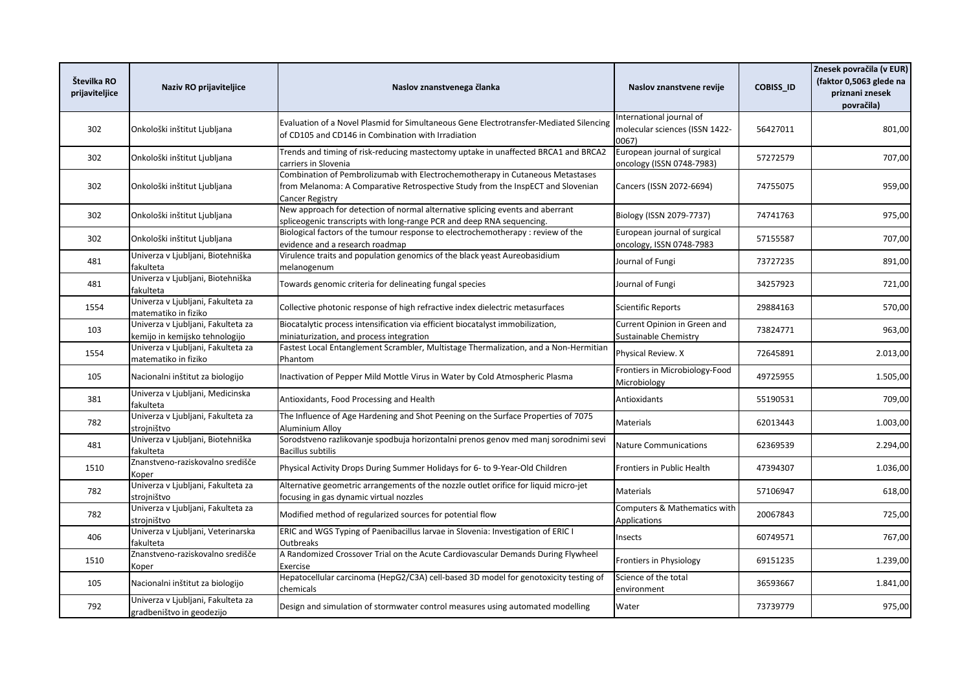| Številka RO<br>prijaviteljice | Naziv RO prijaviteljice                                              | Naslov znanstvenega članka                                                                                                                                                                 | Naslov znanstvene revije                                            | <b>COBISS ID</b> | Znesek povračila (v EUR)<br>(faktor 0,5063 glede na<br>priznani znesek<br>povračila) |
|-------------------------------|----------------------------------------------------------------------|--------------------------------------------------------------------------------------------------------------------------------------------------------------------------------------------|---------------------------------------------------------------------|------------------|--------------------------------------------------------------------------------------|
| 302                           | Onkološki inštitut Ljubljana                                         | Evaluation of a Novel Plasmid for Simultaneous Gene Electrotransfer-Mediated Silencing<br>of CD105 and CD146 in Combination with Irradiation                                               | International journal of<br>molecular sciences (ISSN 1422-<br>0067) | 56427011         | 801,00                                                                               |
| 302                           | Onkološki inštitut Ljubljana                                         | Trends and timing of risk-reducing mastectomy uptake in unaffected BRCA1 and BRCA2<br>carriers in Slovenia                                                                                 | European journal of surgical<br>oncology (ISSN 0748-7983)           | 57272579         | 707,00                                                                               |
| 302                           | Onkološki inštitut Ljubljana                                         | Combination of Pembrolizumab with Electrochemotherapy in Cutaneous Metastases<br>from Melanoma: A Comparative Retrospective Study from the InspECT and Slovenian<br><b>Cancer Registry</b> | Cancers (ISSN 2072-6694)                                            | 74755075         | 959,00                                                                               |
| 302                           | Onkološki inštitut Ljubljana                                         | New approach for detection of normal alternative splicing events and aberrant<br>spliceogenic transcripts with long-range PCR and deep RNA sequencing.                                     | Biology (ISSN 2079-7737)                                            | 74741763         | 975,00                                                                               |
| 302                           | Onkološki inštitut Ljubljana                                         | Biological factors of the tumour response to electrochemotherapy : review of the<br>evidence and a research roadmap                                                                        | European journal of surgical<br>oncology, ISSN 0748-7983            | 57155587         | 707,00                                                                               |
| 481                           | Univerza v Ljubljani, Biotehniška<br>fakulteta                       | Virulence traits and population genomics of the black yeast Aureobasidium<br>melanogenum                                                                                                   | Journal of Fungi                                                    | 73727235         | 891,00                                                                               |
| 481                           | Univerza v Ljubljani, Biotehniška<br>fakulteta                       | Towards genomic criteria for delineating fungal species                                                                                                                                    | Journal of Fungi                                                    | 34257923         | 721,00                                                                               |
| 1554                          | Univerza v Ljubljani, Fakulteta za<br>matematiko in fiziko           | Collective photonic response of high refractive index dielectric metasurfaces                                                                                                              | Scientific Reports                                                  | 29884163         | 570,00                                                                               |
| 103                           | Univerza v Ljubljani, Fakulteta za<br>kemijo in kemijsko tehnologijo | Biocatalytic process intensification via efficient biocatalyst immobilization,<br>miniaturization, and process integration                                                                 | Current Opinion in Green and<br>Sustainable Chemistry               | 73824771         | 963,00                                                                               |
| 1554                          | Univerza v Ljubljani, Fakulteta za<br>matematiko in fiziko           | Fastest Local Entanglement Scrambler, Multistage Thermalization, and a Non-Hermitian<br>Phantom                                                                                            | Physical Review. X                                                  | 72645891         | 2.013,00                                                                             |
| 105                           | Nacionalni inštitut za biologijo                                     | Inactivation of Pepper Mild Mottle Virus in Water by Cold Atmospheric Plasma                                                                                                               | Frontiers in Microbiology-Food<br>Microbiology                      | 49725955         | 1.505,00                                                                             |
| 381                           | Univerza v Ljubljani, Medicinska<br>fakulteta                        | Antioxidants, Food Processing and Health                                                                                                                                                   | Antioxidants                                                        | 55190531         | 709,00                                                                               |
| 782                           | Univerza v Ljubljani, Fakulteta za<br>strojništvo                    | The Influence of Age Hardening and Shot Peening on the Surface Properties of 7075<br>Aluminium Allov                                                                                       | Materials                                                           | 62013443         | 1.003,00                                                                             |
| 481                           | Univerza v Ljubljani, Biotehniška<br>fakulteta                       | Sorodstveno razlikovanje spodbuja horizontalni prenos genov med manj sorodnimi sevi<br><b>Bacillus subtilis</b>                                                                            | <b>Nature Communications</b>                                        | 62369539         | 2.294,00                                                                             |
| 1510                          | Znanstveno-raziskovalno središče<br>Koper                            | Physical Activity Drops During Summer Holidays for 6- to 9-Year-Old Children                                                                                                               | Frontiers in Public Health                                          | 47394307         | 1.036,00                                                                             |
| 782                           | Univerza v Ljubljani, Fakulteta za<br>stroiništvo                    | Alternative geometric arrangements of the nozzle outlet orifice for liquid micro-jet<br>focusing in gas dynamic virtual nozzles                                                            | Materials                                                           | 57106947         | 618,00                                                                               |
| 782                           | Univerza v Ljubljani, Fakulteta za<br>stroiništvo                    | Modified method of regularized sources for potential flow                                                                                                                                  | Computers & Mathematics with<br><b>Applications</b>                 | 20067843         | 725,00                                                                               |
| 406                           | Univerza v Ljubljani, Veterinarska<br>fakulteta                      | ERIC and WGS Typing of Paenibacillus larvae in Slovenia: Investigation of ERIC I<br><b>Outbreaks</b>                                                                                       | Insects                                                             | 60749571         | 767,00                                                                               |
| 1510                          | Znanstveno-raziskovalno središče<br>Koper                            | A Randomized Crossover Trial on the Acute Cardiovascular Demands During Flywheel<br>Exercise                                                                                               | Frontiers in Physiology                                             | 69151235         | 1.239,00                                                                             |
| 105                           | Nacionalni inštitut za biologijo                                     | Hepatocellular carcinoma (HepG2/C3A) cell-based 3D model for genotoxicity testing of<br>chemicals                                                                                          | Science of the total<br>environment                                 | 36593667         | 1.841,00                                                                             |
| 792                           | Jniverza v Ljubljani, Fakulteta za<br>gradbeništvo in geodezijo      | Design and simulation of stormwater control measures using automated modelling                                                                                                             | Water                                                               | 73739779         | 975,00                                                                               |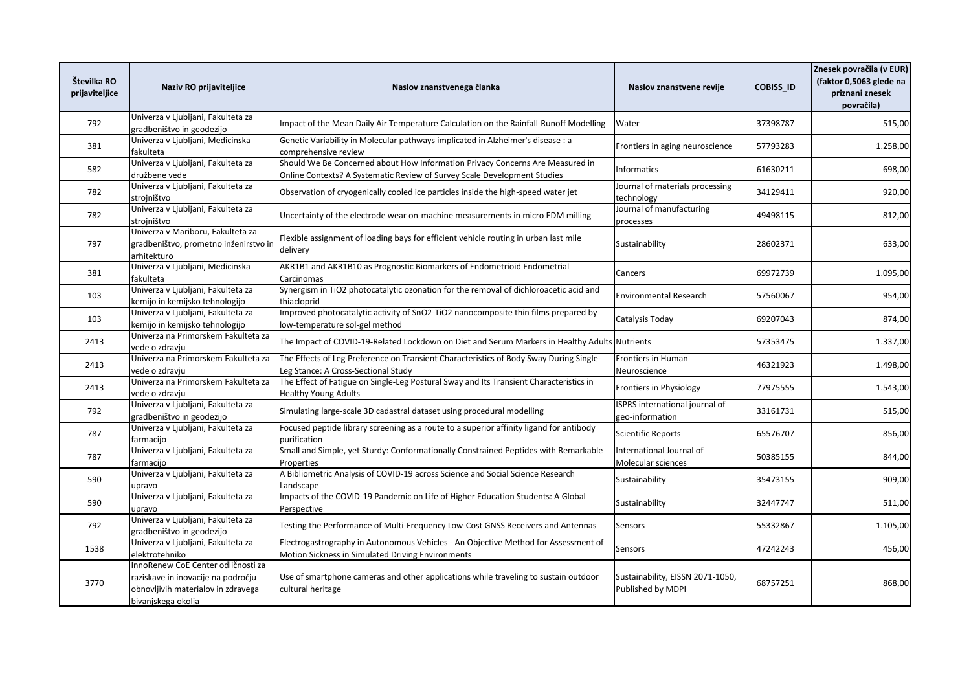| Številka RO<br>prijaviteljice | Naziv RO prijaviteljice                                                                                                              | Naslov znanstvenega članka                                                                                                                                | Naslov znanstvene revije                                 | <b>COBISS_ID</b> | Znesek povračila (v EUR)<br>(faktor 0,5063 glede na<br>priznani znesek<br>povračila) |
|-------------------------------|--------------------------------------------------------------------------------------------------------------------------------------|-----------------------------------------------------------------------------------------------------------------------------------------------------------|----------------------------------------------------------|------------------|--------------------------------------------------------------------------------------|
| 792                           | Univerza v Ljubljani, Fakulteta za<br>gradbeništvo in geodezijo                                                                      | Impact of the Mean Daily Air Temperature Calculation on the Rainfall-Runoff Modelling                                                                     | Water                                                    | 37398787         | 515,00                                                                               |
| 381                           | Univerza v Ljubljani, Medicinska<br>fakulteta                                                                                        | Genetic Variability in Molecular pathways implicated in Alzheimer's disease : a<br>comprehensive review                                                   | Frontiers in aging neuroscience                          | 57793283         | 1.258,00                                                                             |
| 582                           | Univerza v Ljubljani, Fakulteta za<br>družbene vede                                                                                  | Should We Be Concerned about How Information Privacy Concerns Are Measured in<br>Online Contexts? A Systematic Review of Survey Scale Development Studies | <b>Informatics</b>                                       | 61630211         | 698,00                                                                               |
| 782                           | Univerza v Ljubljani, Fakulteta za<br>strojništvo                                                                                    | Observation of cryogenically cooled ice particles inside the high-speed water jet                                                                         | Journal of materials processing<br>technology            | 34129411         | 920,00                                                                               |
| 782                           | Univerza v Ljubljani, Fakulteta za<br>strojništvo                                                                                    | Uncertainty of the electrode wear on-machine measurements in micro EDM milling                                                                            | Journal of manufacturing<br>processes                    | 49498115         | 812,00                                                                               |
| 797                           | Univerza v Mariboru, Fakulteta za<br>gradbeništvo, prometno inženirstvo in<br>arhitekturo                                            | Flexible assignment of loading bays for efficient vehicle routing in urban last mile<br>delivery                                                          | Sustainability                                           | 28602371         | 633,00                                                                               |
| 381                           | Univerza v Ljubljani, Medicinska<br>fakulteta                                                                                        | AKR1B1 and AKR1B10 as Prognostic Biomarkers of Endometrioid Endometrial<br>Carcinomas                                                                     | Cancers                                                  | 69972739         | 1.095,00                                                                             |
| 103                           | Univerza v Ljubljani, Fakulteta za<br>kemijo in kemijsko tehnologijo                                                                 | Synergism in TiO2 photocatalytic ozonation for the removal of dichloroacetic acid and<br>thiacloprid                                                      | <b>Environmental Research</b>                            | 57560067         | 954,00                                                                               |
| 103                           | Univerza v Ljubljani, Fakulteta za<br>kemijo in kemijsko tehnologijo                                                                 | Improved photocatalytic activity of SnO2-TiO2 nanocomposite thin films prepared by<br>low-temperature sol-gel method                                      | Catalysis Today                                          | 69207043         | 874,00                                                                               |
| 2413                          | Univerza na Primorskem Fakulteta za<br>vede o zdraviu                                                                                | The Impact of COVID-19-Related Lockdown on Diet and Serum Markers in Healthy Adults Nutrients                                                             |                                                          | 57353475         | 1.337,00                                                                             |
| 2413                          | Univerza na Primorskem Fakulteta za<br>vede o zdraviu                                                                                | The Effects of Leg Preference on Transient Characteristics of Body Sway During Single-<br>Leg Stance: A Cross-Sectional Study                             | Frontiers in Human<br>Neuroscience                       | 46321923         | 1.498,00                                                                             |
| 2413                          | Univerza na Primorskem Fakulteta za<br>vede o zdravju                                                                                | The Effect of Fatigue on Single-Leg Postural Sway and Its Transient Characteristics in<br><b>Healthy Young Adults</b>                                     | Frontiers in Physiology                                  | 77975555         | 1.543,00                                                                             |
| 792                           | Univerza v Ljubljani, Fakulteta za<br>gradbeništvo in geodezijo                                                                      | Simulating large-scale 3D cadastral dataset using procedural modelling                                                                                    | <b>ISPRS</b> international journal of<br>geo-information | 33161731         | 515,00                                                                               |
| 787                           | Univerza v Ljubljani, Fakulteta za<br>farmacijo                                                                                      | Focused peptide library screening as a route to a superior affinity ligand for antibody<br>purification                                                   | <b>Scientific Reports</b>                                | 65576707         | 856,00                                                                               |
| 787                           | Univerza v Ljubljani, Fakulteta za<br>farmacijo                                                                                      | Small and Simple, yet Sturdy: Conformationally Constrained Peptides with Remarkable<br>Properties                                                         | International Journal of<br>Molecular sciences           | 50385155         | 844,00                                                                               |
| 590                           | Univerza v Ljubljani, Fakulteta za<br>upravo                                                                                         | A Bibliometric Analysis of COVID-19 across Science and Social Science Research<br>Landscape                                                               | Sustainability                                           | 35473155         | 909,00                                                                               |
| 590                           | Univerza v Ljubljani, Fakulteta za<br>upravo                                                                                         | Impacts of the COVID-19 Pandemic on Life of Higher Education Students: A Global<br>Perspective                                                            | Sustainability                                           | 32447747         | 511,00                                                                               |
| 792                           | Univerza v Ljubljani, Fakulteta za<br>gradbeništvo in geodezijo                                                                      | Testing the Performance of Multi-Frequency Low-Cost GNSS Receivers and Antennas                                                                           | Sensors                                                  | 55332867         | 1.105,00                                                                             |
| 1538                          | Univerza v Ljubljani, Fakulteta za<br>elektrotehniko                                                                                 | Electrogastrography in Autonomous Vehicles - An Objective Method for Assessment of<br>Motion Sickness in Simulated Driving Environments                   | Sensors                                                  | 47242243         | 456,00                                                                               |
| 3770                          | InnoRenew CoE Center odličnosti za<br>raziskave in inovacije na področju<br>obnovljivih materialov in zdravega<br>bivanjskega okolja | Use of smartphone cameras and other applications while traveling to sustain outdoor<br>cultural heritage                                                  | Sustainability, EISSN 2071-1050,<br>Published by MDPI    | 68757251         | 868,00                                                                               |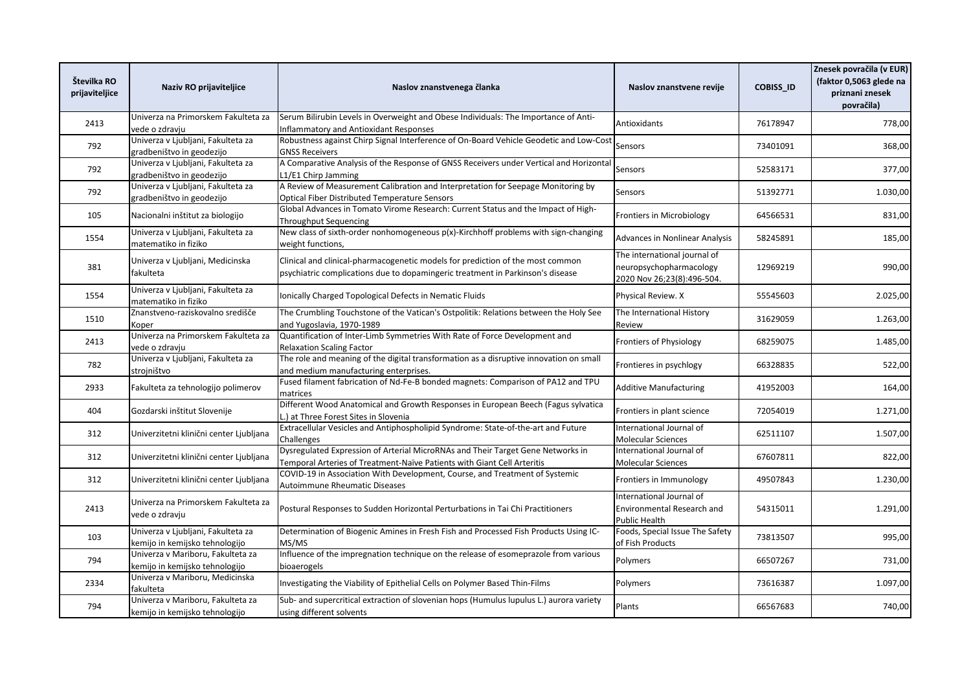| Številka RO<br>prijaviteljice | Naziv RO prijaviteljice                                              | Naslov znanstvenega članka                                                                                                                                       | Naslov znanstvene revije                                                              | <b>COBISS ID</b> | Znesek povračila (v EUR)<br>(faktor 0,5063 glede na<br>priznani znesek<br>povračila) |
|-------------------------------|----------------------------------------------------------------------|------------------------------------------------------------------------------------------------------------------------------------------------------------------|---------------------------------------------------------------------------------------|------------------|--------------------------------------------------------------------------------------|
| 2413                          | Univerza na Primorskem Fakulteta za<br>vede o zdraviu                | Serum Bilirubin Levels in Overweight and Obese Individuals: The Importance of Anti-<br>Inflammatory and Antioxidant Responses                                    | Antioxidants                                                                          | 76178947         | 778,00                                                                               |
| 792                           | Univerza v Ljubljani, Fakulteta za<br>zradbeništvo in geodezijo      | Robustness against Chirp Signal Interference of On-Board Vehicle Geodetic and Low-Cost<br><b>GNSS Receivers</b>                                                  | Sensors                                                                               | 73401091         | 368,00                                                                               |
| 792                           | Univerza v Ljubljani, Fakulteta za<br>gradbeništvo in geodezijo      | A Comparative Analysis of the Response of GNSS Receivers under Vertical and Horizontal<br>L1/E1 Chirp Jamming                                                    | Sensors                                                                               | 52583171         | 377,00                                                                               |
| 792                           | Univerza v Ljubljani, Fakulteta za<br>gradbeništvo in geodezijo      | A Review of Measurement Calibration and Interpretation for Seepage Monitoring by<br>Optical Fiber Distributed Temperature Sensors                                | Sensors                                                                               | 51392771         | 1.030,00                                                                             |
| 105                           | Nacionalni inštitut za biologijo                                     | Global Advances in Tomato Virome Research: Current Status and the Impact of High-<br><b>Throughput Sequencing</b>                                                | Frontiers in Microbiology                                                             | 64566531         | 831,00                                                                               |
| 1554                          | Univerza v Ljubljani, Fakulteta za<br>matematiko in fiziko           | New class of sixth-order nonhomogeneous $p(x)$ -Kirchhoff problems with sign-changing<br>weight functions,                                                       | <b>Advances in Nonlinear Analysis</b>                                                 | 58245891         | 185,00                                                                               |
| 381                           | Univerza v Ljubljani, Medicinska<br>fakulteta                        | Clinical and clinical-pharmacogenetic models for prediction of the most common<br>psychiatric complications due to dopamingeric treatment in Parkinson's disease | The international journal of<br>neuropsychopharmacology<br>2020 Nov 26;23(8):496-504. | 12969219         | 990,00                                                                               |
| 1554                          | Univerza v Ljubljani, Fakulteta za<br>matematiko in fiziko           | Ionically Charged Topological Defects in Nematic Fluids                                                                                                          | Physical Review. X                                                                    | 55545603         | 2.025,00                                                                             |
| 1510                          | Znanstveno-raziskovalno središče<br>Koper                            | The Crumbling Touchstone of the Vatican's Ostpolitik: Relations between the Holy See<br>and Yugoslavia, 1970-1989                                                | The International History<br>Review                                                   | 31629059         | 1.263,00                                                                             |
| 2413                          | Univerza na Primorskem Fakulteta za<br>vede o zdravju                | Quantification of Inter-Limb Symmetries With Rate of Force Development and<br><b>Relaxation Scaling Factor</b>                                                   | Frontiers of Physiology                                                               | 68259075         | 1.485,00                                                                             |
| 782                           | Univerza v Ljubljani, Fakulteta za<br>strojništvo                    | The role and meaning of the digital transformation as a disruptive innovation on small<br>and medium manufacturing enterprises.                                  | Frontieres in psychlogy                                                               | 66328835         | 522,00                                                                               |
| 2933                          | Fakulteta za tehnologijo polimerov                                   | Fused filament fabrication of Nd-Fe-B bonded magnets: Comparison of PA12 and TPU<br>matrices                                                                     | <b>Additive Manufacturing</b>                                                         | 41952003         | 164,00                                                                               |
| 404                           | Gozdarski inštitut Slovenije                                         | Different Wood Anatomical and Growth Responses in European Beech (Fagus sylvatica<br>L.) at Three Forest Sites in Slovenia                                       | Frontiers in plant science                                                            | 72054019         | 1.271,00                                                                             |
| 312                           | Univerzitetni klinični center Ljubljana                              | Extracellular Vesicles and Antiphospholipid Syndrome: State-of-the-art and Future<br>Challenges                                                                  | International Journal of<br><b>Molecular Sciences</b>                                 | 62511107         | 1.507,00                                                                             |
| 312                           | Univerzitetni klinični center Ljubljana                              | Dysregulated Expression of Arterial MicroRNAs and Their Target Gene Networks in<br>Temporal Arteries of Treatment-Naïve Patients with Giant Cell Arteritis       | International Journal of<br><b>Molecular Sciences</b>                                 | 67607811         | 822,00                                                                               |
| 312                           | Univerzitetni klinični center Ljubljana                              | COVID-19 in Association With Development, Course, and Treatment of Systemic<br><b>Autoimmune Rheumatic Diseases</b>                                              | Frontiers in Immunology                                                               | 49507843         | 1.230,00                                                                             |
| 2413                          | Univerza na Primorskem Fakulteta za<br>vede o zdravju                | Postural Responses to Sudden Horizontal Perturbations in Tai Chi Practitioners                                                                                   | International Journal of<br>Environmental Research and<br><b>Public Health</b>        | 54315011         | 1.291,00                                                                             |
| 103                           | Univerza v Ljubljani, Fakulteta za<br>kemijo in kemijsko tehnologijo | Determination of Biogenic Amines in Fresh Fish and Processed Fish Products Using IC-<br>MS/MS                                                                    | Foods, Special Issue The Safety<br>of Fish Products                                   | 73813507         | 995,00                                                                               |
| 794                           | Univerza v Mariboru, Fakulteta za<br>kemijo in kemijsko tehnologijo  | Influence of the impregnation technique on the release of esomeprazole from various<br>bioaerogels                                                               | Polymers                                                                              | 66507267         | 731,00                                                                               |
| 2334                          | Univerza v Mariboru, Medicinska<br>fakulteta                         | Investigating the Viability of Epithelial Cells on Polymer Based Thin-Films                                                                                      | Polymers                                                                              | 73616387         | 1.097,00                                                                             |
| 794                           | Univerza v Mariboru, Fakulteta za<br>kemijo in kemijsko tehnologijo  | Sub- and supercritical extraction of slovenian hops (Humulus lupulus L.) aurora variety<br>using different solvents                                              | Plants                                                                                | 66567683         | 740,00                                                                               |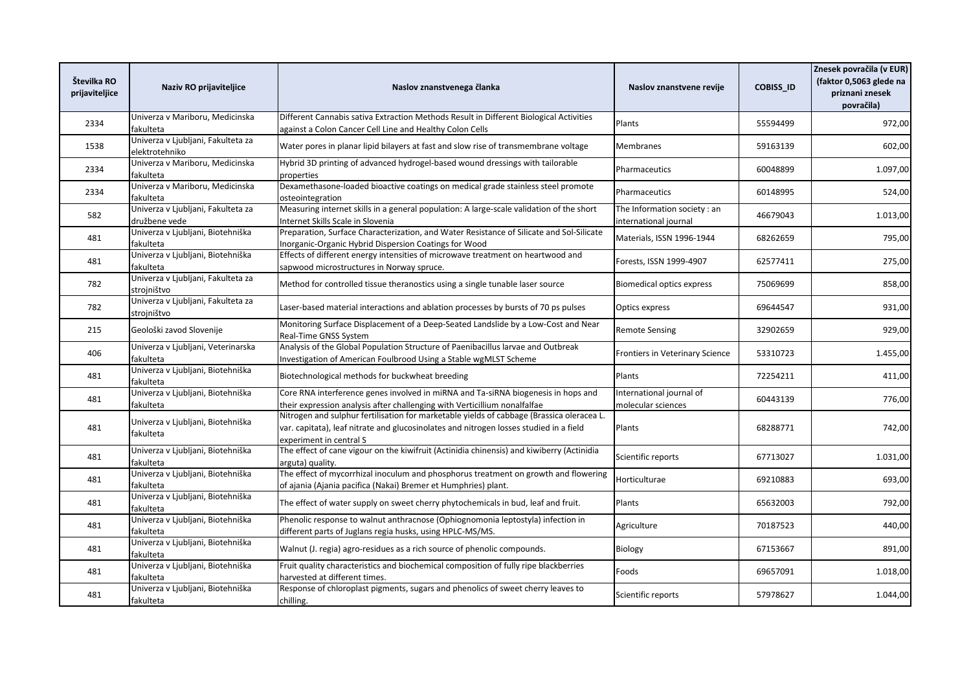| Številka RO<br>prijaviteljice | Naziv RO prijaviteljice                              | Naslov znanstvenega članka                                                                                                                                                                                     | Naslov znanstvene revije                              | <b>COBISS_ID</b> | Znesek povračila (v EUR)<br>(faktor 0,5063 glede na<br>priznani znesek<br>povračila) |
|-------------------------------|------------------------------------------------------|----------------------------------------------------------------------------------------------------------------------------------------------------------------------------------------------------------------|-------------------------------------------------------|------------------|--------------------------------------------------------------------------------------|
| 2334                          | Univerza v Mariboru, Medicinska<br>fakulteta         | Different Cannabis sativa Extraction Methods Result in Different Biological Activities<br>against a Colon Cancer Cell Line and Healthy Colon Cells                                                             | Plants                                                | 55594499         | 972,00                                                                               |
| 1538                          | Univerza v Ljubljani, Fakulteta za<br>elektrotehniko | Water pores in planar lipid bilayers at fast and slow rise of transmembrane voltage                                                                                                                            | Membranes                                             | 59163139         | 602,00                                                                               |
| 2334                          | Univerza v Mariboru, Medicinska<br>fakulteta         | Hybrid 3D printing of advanced hydrogel-based wound dressings with tailorable<br>properties                                                                                                                    | Pharmaceutics                                         | 60048899         | 1.097,00                                                                             |
| 2334                          | Univerza v Mariboru, Medicinska<br>fakulteta         | Dexamethasone-loaded bioactive coatings on medical grade stainless steel promote<br>osteointegration                                                                                                           | <b>Pharmaceutics</b>                                  | 60148995         | 524,00                                                                               |
| 582                           | Univerza v Ljubljani, Fakulteta za<br>družbene vede  | Measuring internet skills in a general population: A large-scale validation of the short<br>Internet Skills Scale in Slovenia                                                                                  | The Information society : an<br>international journal | 46679043         | 1.013,00                                                                             |
| 481                           | Univerza v Ljubljani, Biotehniška<br>fakulteta       | Preparation, Surface Characterization, and Water Resistance of Silicate and Sol-Silicate<br>Inorganic-Organic Hybrid Dispersion Coatings for Wood                                                              | Materials, ISSN 1996-1944                             | 68262659         | 795,00                                                                               |
| 481                           | Univerza v Ljubljani, Biotehniška<br>fakulteta       | Effects of different energy intensities of microwave treatment on heartwood and<br>sapwood microstructures in Norway spruce.                                                                                   | Forests, ISSN 1999-4907                               | 62577411         | 275,00                                                                               |
| 782                           | Univerza v Ljubljani, Fakulteta za<br>strojništvo    | Method for controlled tissue theranostics using a single tunable laser source                                                                                                                                  | <b>Biomedical optics express</b>                      | 75069699         | 858,00                                                                               |
| 782                           | Univerza v Ljubljani, Fakulteta za<br>strojništvo    | Laser-based material interactions and ablation processes by bursts of 70 ps pulses                                                                                                                             | Optics express                                        | 69644547         | 931,00                                                                               |
| 215                           | Geološki zavod Slovenije                             | Monitoring Surface Displacement of a Deep-Seated Landslide by a Low-Cost and Near<br>Real-Time GNSS System                                                                                                     | <b>Remote Sensing</b>                                 | 32902659         | 929,00                                                                               |
| 406                           | Univerza v Ljubljani, Veterinarska<br>fakulteta      | Analysis of the Global Population Structure of Paenibacillus larvae and Outbreak<br>Investigation of American Foulbrood Using a Stable wgMLST Scheme                                                           | Frontiers in Veterinary Science                       | 53310723         | 1.455,00                                                                             |
| 481                           | Univerza v Ljubljani, Biotehniška<br>fakulteta       | Biotechnological methods for buckwheat breeding                                                                                                                                                                | Plants                                                | 72254211         | 411,00                                                                               |
| 481                           | Univerza v Ljubljani, Biotehniška<br>fakulteta       | Core RNA interference genes involved in miRNA and Ta-siRNA biogenesis in hops and<br>their expression analysis after challenging with Verticillium nonalfalfae                                                 | International journal of<br>molecular sciences        | 60443139         | 776,00                                                                               |
| 481                           | Univerza v Ljubljani, Biotehniška<br>fakulteta       | Nitrogen and sulphur fertilisation for marketable yields of cabbage (Brassica oleracea L.<br>var. capitata), leaf nitrate and glucosinolates and nitrogen losses studied in a field<br>experiment in central S | Plants                                                | 68288771         | 742,00                                                                               |
| 481                           | Univerza v Ljubljani, Biotehniška<br>fakulteta       | The effect of cane vigour on the kiwifruit (Actinidia chinensis) and kiwiberry (Actinidia<br>arguta) quality.                                                                                                  | Scientific reports                                    | 67713027         | 1.031,00                                                                             |
| 481                           | Univerza v Ljubljani, Biotehniška<br>fakulteta       | The effect of mycorrhizal inoculum and phosphorus treatment on growth and flowering<br>of ajania (Ajania pacifica (Nakai) Bremer et Humphries) plant.                                                          | Horticulturae                                         | 69210883         | 693,00                                                                               |
| 481                           | Univerza v Ljubljani, Biotehniška<br>fakulteta       | The effect of water supply on sweet cherry phytochemicals in bud, leaf and fruit.                                                                                                                              | Plants                                                | 65632003         | 792,00                                                                               |
| 481                           | Univerza v Ljubljani, Biotehniška<br>fakulteta       | Phenolic response to walnut anthracnose (Ophiognomonia leptostyla) infection in<br>different parts of Juglans regia husks, using HPLC-MS/MS.                                                                   | Agriculture                                           | 70187523         | 440,00                                                                               |
| 481                           | Univerza v Ljubljani, Biotehniška<br>fakulteta       | Walnut (J. regia) agro-residues as a rich source of phenolic compounds.                                                                                                                                        | Biology                                               | 67153667         | 891,00                                                                               |
| 481                           | Univerza v Ljubljani, Biotehniška<br>fakulteta       | Fruit quality characteristics and biochemical composition of fully ripe blackberries<br>harvested at different times.                                                                                          | Foods                                                 | 69657091         | 1.018,00                                                                             |
| 481                           | Univerza v Ljubljani, Biotehniška<br>fakulteta       | Response of chloroplast pigments, sugars and phenolics of sweet cherry leaves to<br>chilling.                                                                                                                  | Scientific reports                                    | 57978627         | 1.044,00                                                                             |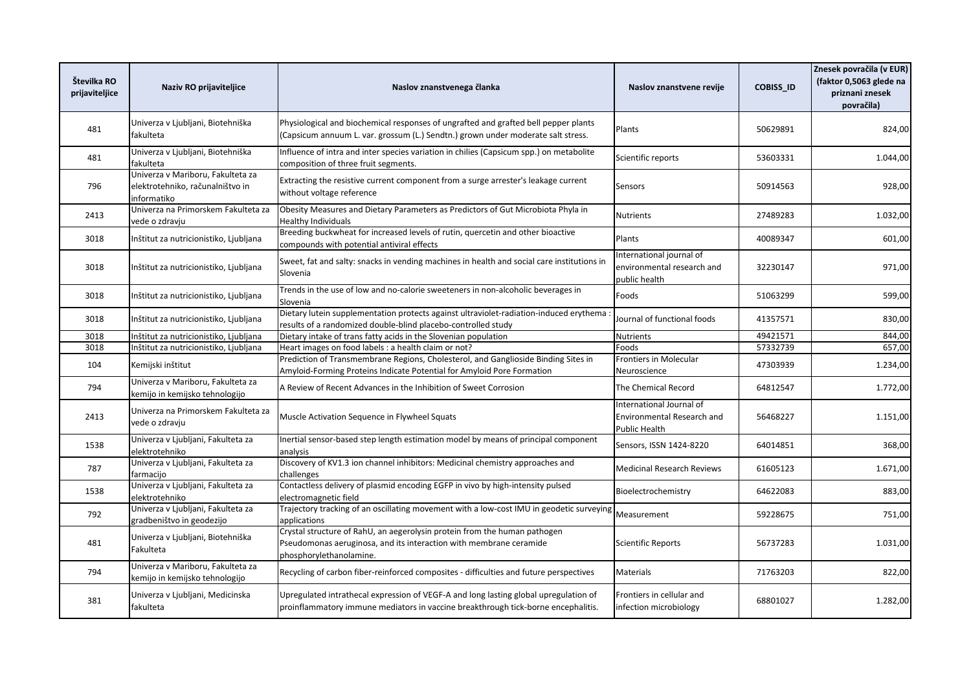| Številka RO<br>prijaviteljice | Naziv RO prijaviteljice                                                             | Naslov znanstvenega članka                                                                                                                                                 | Naslov znanstvene revije                                                              | <b>COBISS ID</b> | Znesek povračila (v EUR)<br>(faktor 0,5063 glede na<br>priznani znesek<br>povračila) |
|-------------------------------|-------------------------------------------------------------------------------------|----------------------------------------------------------------------------------------------------------------------------------------------------------------------------|---------------------------------------------------------------------------------------|------------------|--------------------------------------------------------------------------------------|
| 481                           | Univerza v Ljubljani, Biotehniška<br>fakulteta                                      | Physiological and biochemical responses of ungrafted and grafted bell pepper plants<br>(Capsicum annuum L. var. grossum (L.) Sendtn.) grown under moderate salt stress.    | Plants                                                                                | 50629891         | 824,00                                                                               |
| 481                           | Univerza v Ljubljani, Biotehniška<br>fakulteta                                      | Influence of intra and inter species variation in chilies (Capsicum spp.) on metabolite<br>composition of three fruit segments.                                            | Scientific reports                                                                    | 53603331         | 1.044,00                                                                             |
| 796                           | Univerza v Mariboru, Fakulteta za<br>elektrotehniko, računalništvo in<br>nformatiko | Extracting the resistive current component from a surge arrester's leakage current<br>without voltage reference                                                            | Sensors                                                                               | 50914563         | 928,00                                                                               |
| 2413                          | Univerza na Primorskem Fakulteta za<br>vede o zdravju                               | Obesity Measures and Dietary Parameters as Predictors of Gut Microbiota Phyla in<br>Healthy Individuals                                                                    | <b>Nutrients</b>                                                                      | 27489283         | 1.032,00                                                                             |
| 3018                          | Inštitut za nutricionistiko, Ljubljana                                              | Breeding buckwheat for increased levels of rutin, quercetin and other bioactive<br>compounds with potential antiviral effects                                              | Plants                                                                                | 40089347         | 601,00                                                                               |
| 3018                          | Inštitut za nutricionistiko, Ljubljana                                              | Sweet, fat and salty: snacks in vending machines in health and social care institutions in<br>Slovenia                                                                     | International journal of<br>environmental research and<br>public health               | 32230147         | 971,00                                                                               |
| 3018                          | Inštitut za nutricionistiko, Ljubljana                                              | Trends in the use of low and no-calorie sweeteners in non-alcoholic beverages in<br>Slovenia                                                                               | Foods                                                                                 | 51063299         | 599,00                                                                               |
| 3018                          | Inštitut za nutricionistiko, Ljubljana                                              | Dietary lutein supplementation protects against ultraviolet-radiation-induced erythema<br>results of a randomized double-blind placebo-controlled study                    | Journal of functional foods                                                           | 41357571         | 830,00                                                                               |
| 3018                          | Inštitut za nutricionistiko, Ljubljana                                              | Dietary intake of trans fatty acids in the Slovenian population                                                                                                            | <b>Nutrients</b>                                                                      | 49421571         | 844,00                                                                               |
| 3018                          | Inštitut za nutricionistiko, Ljubljana                                              | Heart images on food labels : a health claim or not?                                                                                                                       | Foods                                                                                 | 57332739         | 657,00                                                                               |
| 104                           | Kemijski inštitut                                                                   | Prediction of Transmembrane Regions, Cholesterol, and Ganglioside Binding Sites in<br>Amyloid-Forming Proteins Indicate Potential for Amyloid Pore Formation               | Frontiers in Molecular<br>Neuroscience                                                | 47303939         | 1.234,00                                                                             |
| 794                           | Univerza v Mariboru, Fakulteta za<br>kemijo in kemijsko tehnologijo                 | A Review of Recent Advances in the Inhibition of Sweet Corrosion                                                                                                           | The Chemical Record                                                                   | 64812547         | 1.772,00                                                                             |
| 2413                          | Univerza na Primorskem Fakulteta za<br>vede o zdravju                               | Muscle Activation Sequence in Flywheel Squats                                                                                                                              | International Journal of<br><b>Environmental Research and</b><br><b>Public Health</b> | 56468227         | 1.151,00                                                                             |
| 1538                          | Univerza v Ljubljani, Fakulteta za<br>elektrotehniko                                | Inertial sensor-based step length estimation model by means of principal component<br>analysis                                                                             | Sensors, ISSN 1424-8220                                                               | 64014851         | 368,00                                                                               |
| 787                           | Univerza v Ljubljani, Fakulteta za<br>farmacijo                                     | Discovery of KV1.3 ion channel inhibitors: Medicinal chemistry approaches and<br>challenges                                                                                | <b>Medicinal Research Reviews</b>                                                     | 61605123         | 1.671,00                                                                             |
| 1538                          | Univerza v Ljubljani, Fakulteta za<br>elektrotehniko                                | Contactless delivery of plasmid encoding EGFP in vivo by high-intensity pulsed<br>electromagnetic field                                                                    | Bioelectrochemistry                                                                   | 64622083         | 883,00                                                                               |
| 792                           | Univerza v Ljubljani, Fakulteta za<br>gradbeništvo in geodezijo                     | Trajectory tracking of an oscillating movement with a low-cost IMU in geodetic surveying<br>applications                                                                   | Measurement                                                                           | 59228675         | 751,00                                                                               |
| 481                           | Univerza v Ljubljani, Biotehniška<br>Fakulteta                                      | Crystal structure of RahU, an aegerolysin protein from the human pathogen<br>Pseudomonas aeruginosa, and its interaction with membrane ceramide<br>phosphorylethanolamine. | <b>Scientific Reports</b>                                                             | 56737283         | 1.031,00                                                                             |
| 794                           | Univerza v Mariboru, Fakulteta za<br>kemijo in kemijsko tehnologijo                 | Recycling of carbon fiber-reinforced composites - difficulties and future perspectives                                                                                     | Materials                                                                             | 71763203         | 822,00                                                                               |
| 381                           | Univerza v Ljubljani, Medicinska<br>fakulteta                                       | Upregulated intrathecal expression of VEGF-A and long lasting global upregulation of<br>proinflammatory immune mediators in vaccine breakthrough tick-borne encephalitis.  | Frontiers in cellular and<br>infection microbiology                                   | 68801027         | 1.282,00                                                                             |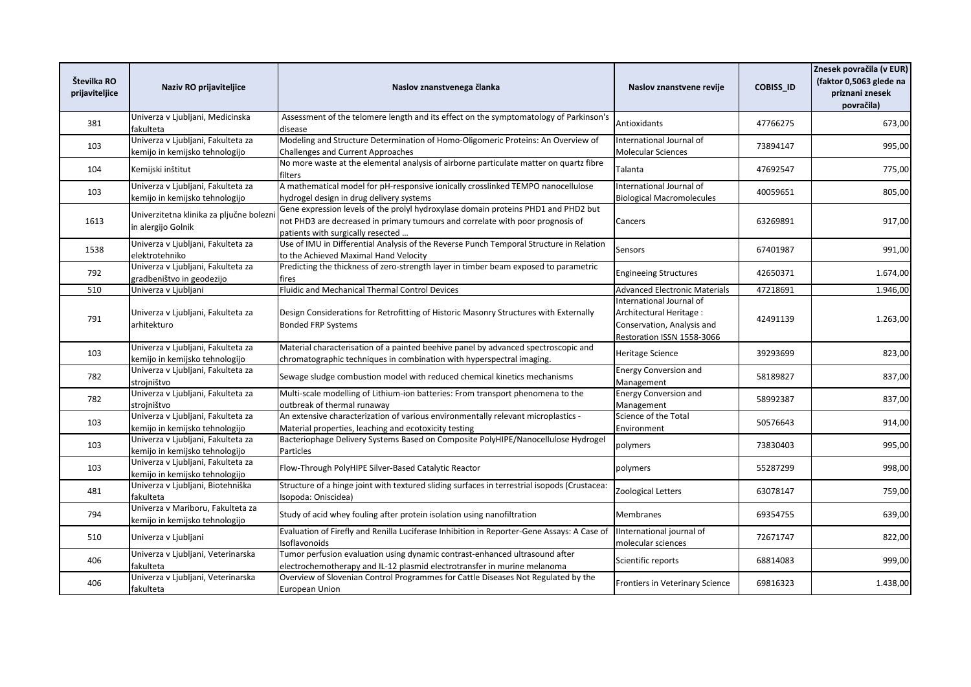| Številka RO<br>prijaviteljice | Naziv RO prijaviteljice                                              | Naslov znanstvenega članka                                                                                                                                                                                | Naslov znanstvene revije                                                                                        | COBISS_ID | Znesek povračila (v EUR)<br>(faktor 0,5063 glede na<br>priznani znesek<br>povračila) |
|-------------------------------|----------------------------------------------------------------------|-----------------------------------------------------------------------------------------------------------------------------------------------------------------------------------------------------------|-----------------------------------------------------------------------------------------------------------------|-----------|--------------------------------------------------------------------------------------|
| 381                           | Univerza v Ljubljani, Medicinska<br>fakulteta                        | Assessment of the telomere length and its effect on the symptomatology of Parkinson's<br>disease                                                                                                          | Antioxidants                                                                                                    | 47766275  | 673,00                                                                               |
| 103                           | Univerza v Ljubljani, Fakulteta za<br>kemijo in kemijsko tehnologijo | Modeling and Structure Determination of Homo-Oligomeric Proteins: An Overview of<br><b>Challenges and Current Approaches</b>                                                                              | International Journal of<br><b>Molecular Sciences</b>                                                           | 73894147  | 995,00                                                                               |
| 104                           | Kemijski inštitut                                                    | No more waste at the elemental analysis of airborne particulate matter on quartz fibre<br>filters                                                                                                         | Talanta                                                                                                         | 47692547  | 775,00                                                                               |
| 103                           | Univerza v Ljubljani, Fakulteta za<br>kemijo in kemijsko tehnologijo | A mathematical model for pH-responsive ionically crosslinked TEMPO nanocellulose<br>hydrogel design in drug delivery systems                                                                              | International Journal of<br><b>Biological Macromolecules</b>                                                    | 40059651  | 805,00                                                                               |
| 1613                          | Univerzitetna klinika za pljučne bolezni<br>in alergijo Golnik       | Gene expression levels of the prolyl hydroxylase domain proteins PHD1 and PHD2 but<br>not PHD3 are decreased in primary tumours and correlate with poor prognosis of<br>patients with surgically resected | Cancers                                                                                                         | 63269891  | 917,00                                                                               |
| 1538                          | Univerza v Ljubljani, Fakulteta za<br>elektrotehniko                 | Use of IMU in Differential Analysis of the Reverse Punch Temporal Structure in Relation<br>to the Achieved Maximal Hand Velocity                                                                          | Sensors                                                                                                         | 67401987  | 991,00                                                                               |
| 792                           | Univerza v Ljubljani, Fakulteta za<br>gradbeništvo in geodezijo      | Predicting the thickness of zero-strength layer in timber beam exposed to parametric<br>fires                                                                                                             | <b>Engineeing Structures</b>                                                                                    | 42650371  | 1.674,00                                                                             |
| 510                           | Univerza v Ljubljani                                                 | Fluidic and Mechanical Thermal Control Devices                                                                                                                                                            | <b>Advanced Electronic Materials</b>                                                                            | 47218691  | 1.946,00                                                                             |
| 791                           | Univerza v Ljubljani, Fakulteta za<br>arhitekturo                    | Design Considerations for Retrofitting of Historic Masonry Structures with Externally<br><b>Bonded FRP Systems</b>                                                                                        | International Journal of<br>Architectural Heritage:<br>Conservation, Analysis and<br>Restoration ISSN 1558-3066 | 42491139  | 1.263,00                                                                             |
| 103                           | Univerza v Ljubljani, Fakulteta za<br>kemijo in kemijsko tehnologijo | Material characterisation of a painted beehive panel by advanced spectroscopic and<br>chromatographic techniques in combination with hyperspectral imaging.                                               | Heritage Science                                                                                                | 39293699  | 823,00                                                                               |
| 782                           | Univerza v Ljubljani, Fakulteta za<br>strojništvo                    | Sewage sludge combustion model with reduced chemical kinetics mechanisms                                                                                                                                  | <b>Energy Conversion and</b><br>Management                                                                      | 58189827  | 837,00                                                                               |
| 782                           | Univerza v Ljubljani, Fakulteta za<br>strojništvo                    | Multi-scale modelling of Lithium-ion batteries: From transport phenomena to the<br>outbreak of thermal runaway                                                                                            | <b>Energy Conversion and</b><br>Management                                                                      | 58992387  | 837,00                                                                               |
| 103                           | Univerza v Ljubljani, Fakulteta za<br>kemijo in kemijsko tehnologijo | An extensive characterization of various environmentally relevant microplastics -<br>Material properties, leaching and ecotoxicity testing                                                                | Science of the Total<br>Environment                                                                             | 50576643  | 914,00                                                                               |
| 103                           | Univerza v Ljubljani, Fakulteta za<br>kemijo in kemijsko tehnologijo | Bacteriophage Delivery Systems Based on Composite PolyHIPE/Nanocellulose Hydrogel<br>Particles                                                                                                            | polymers                                                                                                        | 73830403  | 995,00                                                                               |
| 103                           | Univerza v Ljubljani, Fakulteta za<br>kemijo in kemijsko tehnologijo | Flow-Through PolyHIPE Silver-Based Catalytic Reactor                                                                                                                                                      | polymers                                                                                                        | 55287299  | 998,00                                                                               |
| 481                           | Univerza v Ljubljani, Biotehniška<br>fakulteta                       | Structure of a hinge joint with textured sliding surfaces in terrestrial isopods (Crustacea:<br>Isopoda: Oniscidea)                                                                                       | <b>Zoological Letters</b>                                                                                       | 63078147  | 759,00                                                                               |
| 794                           | Univerza v Mariboru, Fakulteta za<br>kemijo in kemijsko tehnologijo  | Study of acid whey fouling after protein isolation using nanofiltration                                                                                                                                   | Membranes                                                                                                       | 69354755  | 639,00                                                                               |
| 510                           | Univerza v Ljubljani                                                 | Evaluation of Firefly and Renilla Luciferase Inhibition in Reporter-Gene Assays: A Case of<br>Isoflavonoids                                                                                               | IInternational journal of<br>molecular sciences                                                                 | 72671747  | 822,00                                                                               |
| 406                           | Univerza v Ljubljani, Veterinarska<br>fakulteta                      | Tumor perfusion evaluation using dynamic contrast-enhanced ultrasound after<br>electrochemotherapy and IL-12 plasmid electrotransfer in murine melanoma                                                   | Scientific reports                                                                                              | 68814083  | 999,00                                                                               |
| 406                           | Univerza v Ljubljani, Veterinarska<br>fakulteta                      | Overview of Slovenian Control Programmes for Cattle Diseases Not Regulated by the<br>European Union                                                                                                       | Frontiers in Veterinary Science                                                                                 | 69816323  | 1.438,00                                                                             |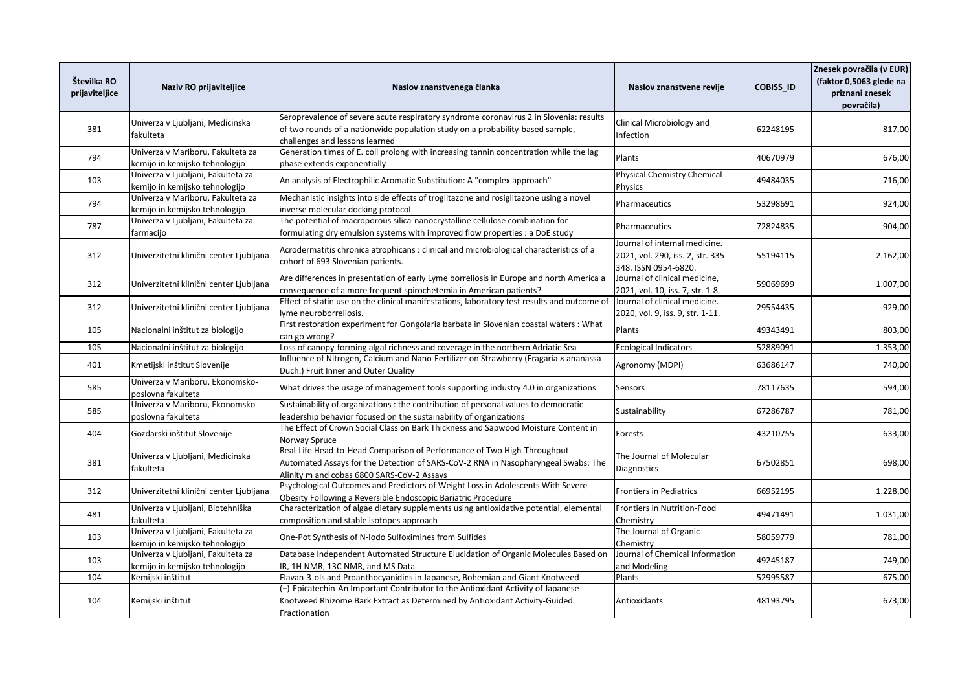| Številka RO<br>prijaviteljice | Naziv RO prijaviteljice                                              | Naslov znanstvenega članka                                                                                                                                                                                 | Naslov znanstvene revije                                                                   | <b>COBISS ID</b> | Znesek povračila (v EUR)<br>(faktor 0,5063 glede na<br>priznani znesek<br>povračila) |
|-------------------------------|----------------------------------------------------------------------|------------------------------------------------------------------------------------------------------------------------------------------------------------------------------------------------------------|--------------------------------------------------------------------------------------------|------------------|--------------------------------------------------------------------------------------|
| 381                           | Univerza v Ljubljani, Medicinska<br>fakulteta                        | Seroprevalence of severe acute respiratory syndrome coronavirus 2 in Slovenia: results<br>of two rounds of a nationwide population study on a probability-based sample,<br>challenges and lessons learned  | Clinical Microbiology and<br><b>Infection</b>                                              | 62248195         | 817,00                                                                               |
| 794                           | Univerza v Mariboru, Fakulteta za<br>kemijo in kemijsko tehnologijo  | Generation times of E. coli prolong with increasing tannin concentration while the lag<br>phase extends exponentially                                                                                      | Plants                                                                                     | 40670979         | 676,00                                                                               |
| 103                           | Univerza v Ljubljani, Fakulteta za<br>kemijo in kemijsko tehnologijo | An analysis of Electrophilic Aromatic Substitution: A "complex approach"                                                                                                                                   | <b>Physical Chemistry Chemical</b><br>Physics                                              | 49484035         | 716,00                                                                               |
| 794                           | Univerza v Mariboru, Fakulteta za<br>kemijo in kemijsko tehnologijo  | Mechanistic insights into side effects of troglitazone and rosiglitazone using a novel<br>inverse molecular docking protocol                                                                               | Pharmaceutics                                                                              | 53298691         | 924,00                                                                               |
| 787                           | Univerza v Ljubljani, Fakulteta za<br>farmacijo                      | The potential of macroporous silica-nanocrystalline cellulose combination for<br>formulating dry emulsion systems with improved flow properties : a DoE study                                              | Pharmaceutics                                                                              | 72824835         | 904,00                                                                               |
| 312                           | Univerzitetni klinični center Ljubljana                              | Acrodermatitis chronica atrophicans : clinical and microbiological characteristics of a<br>cohort of 693 Slovenian patients.                                                                               | Journal of internal medicine.<br>2021, vol. 290, iss. 2, str. 335-<br>348. ISSN 0954-6820. | 55194115         | 2.162,00                                                                             |
| 312                           | Univerzitetni klinični center Ljubljana                              | Are differences in presentation of early Lyme borreliosis in Europe and north America a<br>consequence of a more frequent spirochetemia in American patients?                                              | Journal of clinical medicine,<br>2021, vol. 10, iss. 7, str. 1-8.                          | 59069699         | 1.007,00                                                                             |
| 312                           | Univerzitetni klinični center Ljubljana                              | Effect of statin use on the clinical manifestations, laboratory test results and outcome of<br>vme neuroborreliosis.                                                                                       | Journal of clinical medicine.<br>2020, vol. 9, iss. 9, str. 1-11.                          | 29554435         | 929,00                                                                               |
| 105                           | Nacionalni inštitut za biologijo                                     | First restoration experiment for Gongolaria barbata in Slovenian coastal waters : What<br>can go wrong?                                                                                                    | Plants                                                                                     | 49343491         | 803,00                                                                               |
| 105                           | Nacionalni inštitut za biologijo                                     | Loss of canopy-forming algal richness and coverage in the northern Adriatic Sea                                                                                                                            | <b>Ecological Indicators</b>                                                               | 52889091         | 1.353,00                                                                             |
| 401                           | Kmetijski inštitut Slovenije                                         | Influence of Nitrogen, Calcium and Nano-Fertilizer on Strawberry (Fragaria × ananassa<br>Duch.) Fruit Inner and Outer Quality                                                                              | Agronomy (MDPI)                                                                            | 63686147         | 740,00                                                                               |
| 585                           | Univerza v Mariboru, Ekonomsko-<br>poslovna fakulteta                | What drives the usage of management tools supporting industry 4.0 in organizations                                                                                                                         | Sensors                                                                                    | 78117635         | 594,00                                                                               |
| 585                           | Univerza v Mariboru, Ekonomsko-<br>poslovna fakulteta                | Sustainability of organizations : the contribution of personal values to democratic<br>leadership behavior focused on the sustainability of organizations                                                  | Sustainability                                                                             | 67286787         | 781,00                                                                               |
| 404                           | Gozdarski inštitut Slovenije                                         | The Effect of Crown Social Class on Bark Thickness and Sapwood Moisture Content in<br>Norway Spruce                                                                                                        | Forests                                                                                    | 43210755         | 633,00                                                                               |
| 381                           | Univerza v Ljubljani, Medicinska<br>fakulteta                        | Real-Life Head-to-Head Comparison of Performance of Two High-Throughput<br>Automated Assays for the Detection of SARS-CoV-2 RNA in Nasopharyngeal Swabs: The<br>Alinity m and cobas 6800 SARS-CoV-2 Assays | The Journal of Molecular<br>Diagnostics                                                    | 67502851         | 698,00                                                                               |
| 312                           | Univerzitetni klinični center Ljubljana                              | Psychological Outcomes and Predictors of Weight Loss in Adolescents With Severe<br>Obesity Following a Reversible Endoscopic Bariatric Procedure                                                           | <b>Frontiers in Pediatrics</b>                                                             | 66952195         | 1.228,00                                                                             |
| 481                           | Univerza v Ljubljani, Biotehniška<br>fakulteta                       | Characterization of algae dietary supplements using antioxidative potential, elemental<br>composition and stable isotopes approach                                                                         | Frontiers in Nutrition-Food<br>Chemistry                                                   | 49471491         | 1.031,00                                                                             |
| 103                           | Univerza v Ljubljani, Fakulteta za<br>kemijo in kemijsko tehnologijo | One-Pot Synthesis of N-Iodo Sulfoximines from Sulfides                                                                                                                                                     | The Journal of Organic<br>Chemistry                                                        | 58059779         | 781,00                                                                               |
| 103                           | Univerza v Ljubljani, Fakulteta za<br>kemijo in kemijsko tehnologijo | Database Independent Automated Structure Elucidation of Organic Molecules Based on<br>IR, 1H NMR, 13C NMR, and MS Data                                                                                     | Journal of Chemical Information<br>and Modeling                                            | 49245187         | 749,00                                                                               |
| 104                           | Kemijski inštitut                                                    | Flavan-3-ols and Proanthocyanidins in Japanese, Bohemian and Giant Knotweed                                                                                                                                | Plants                                                                                     | 52995587         | 675,00                                                                               |
| 104                           | Kemijski inštitut                                                    | (-)-Epicatechin-An Important Contributor to the Antioxidant Activity of Japanese<br>Knotweed Rhizome Bark Extract as Determined by Antioxidant Activity-Guided<br>Fractionation                            | Antioxidants                                                                               | 48193795         | 673,00                                                                               |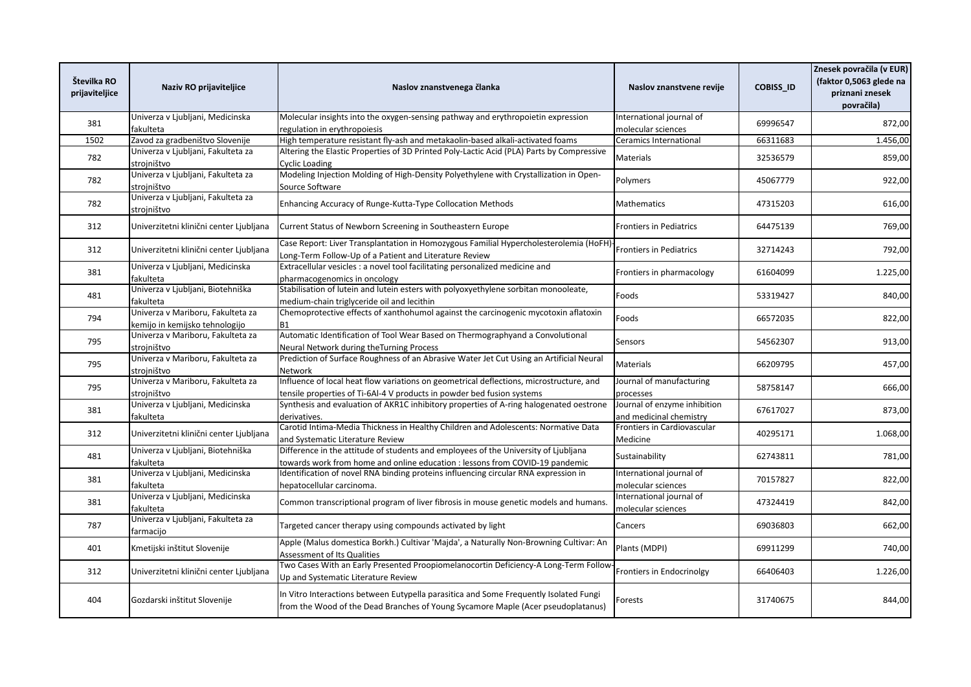| Številka RO<br>prijaviteljice | Naziv RO prijaviteljice                                             | Naslov znanstvenega članka                                                                                                                                                | Naslov znanstvene revije                                | <b>COBISS ID</b> | Znesek povračila (v EUR)<br>(faktor 0,5063 glede na<br>priznani znesek<br>povračila) |
|-------------------------------|---------------------------------------------------------------------|---------------------------------------------------------------------------------------------------------------------------------------------------------------------------|---------------------------------------------------------|------------------|--------------------------------------------------------------------------------------|
| 381                           | Univerza v Ljubljani, Medicinska<br>fakulteta                       | Molecular insights into the oxygen-sensing pathway and erythropoietin expression<br>regulation in erythropoiesis                                                          | International journal of<br>molecular sciences          | 69996547         | 872,00                                                                               |
| 1502                          | Zavod za gradbeništvo Slovenije                                     | High temperature resistant fly-ash and metakaolin-based alkali-activated foams                                                                                            | Ceramics International                                  | 66311683         | 1.456,00                                                                             |
| 782                           | Univerza v Ljubljani, Fakulteta za<br>strojništvo                   | Altering the Elastic Properties of 3D Printed Poly-Lactic Acid (PLA) Parts by Compressive<br>Cyclic Loading                                                               | Materials                                               | 32536579         | 859,00                                                                               |
| 782                           | Univerza v Ljubljani, Fakulteta za<br>strojništvo                   | Modeling Injection Molding of High-Density Polyethylene with Crystallization in Open-<br>Source Software                                                                  | Polymers                                                | 45067779         | 922,00                                                                               |
| 782                           | Univerza v Ljubljani, Fakulteta za<br>strojništvo                   | Enhancing Accuracy of Runge-Kutta-Type Collocation Methods                                                                                                                | <b>Mathematics</b>                                      | 47315203         | 616,00                                                                               |
| 312                           | Univerzitetni klinični center Ljubljana                             | Current Status of Newborn Screening in Southeastern Europe                                                                                                                | <b>Frontiers in Pediatrics</b>                          | 64475139         | 769,00                                                                               |
| 312                           | Univerzitetni klinični center Ljubljana                             | Case Report: Liver Transplantation in Homozygous Familial Hypercholesterolemia (HoFH)<br>Long-Term Follow-Up of a Patient and Literature Review                           | <b>Frontiers in Pediatrics</b>                          | 32714243         | 792,00                                                                               |
| 381                           | Univerza v Ljubljani, Medicinska<br>fakulteta                       | Extracellular vesicles : a novel tool facilitating personalized medicine and<br>pharmacogenomics in oncology                                                              | Frontiers in pharmacology                               | 61604099         | 1.225,00                                                                             |
| 481                           | Univerza v Ljubljani, Biotehniška<br>fakulteta                      | Stabilisation of lutein and lutein esters with polyoxyethylene sorbitan monooleate,<br>medium-chain triglyceride oil and lecithin                                         | Foods                                                   | 53319427         | 840,00                                                                               |
| 794                           | Univerza v Mariboru, Fakulteta za<br>kemijo in kemijsko tehnologijo | Chemoprotective effects of xanthohumol against the carcinogenic mycotoxin aflatoxin<br><b>B1</b>                                                                          | Foods                                                   | 66572035         | 822,00                                                                               |
| 795                           | Univerza v Mariboru, Fakulteta za<br>strojništvo                    | Automatic Identification of Tool Wear Based on Thermographyand a Convolutional<br>Neural Network during the Turning Process                                               | Sensors                                                 | 54562307         | 913,00                                                                               |
| 795                           | Univerza v Mariboru, Fakulteta za<br>strojništvo                    | Prediction of Surface Roughness of an Abrasive Water Jet Cut Using an Artificial Neural<br>Network                                                                        | Materials                                               | 66209795         | 457,00                                                                               |
| 795                           | Univerza v Mariboru, Fakulteta za<br>strojništvo                    | Influence of local heat flow variations on geometrical deflections, microstructure, and<br>tensile properties of Ti-6Al-4 V products in powder bed fusion systems         | Journal of manufacturing<br>processes                   | 58758147         | 666,00                                                                               |
| 381                           | Univerza v Ljubljani, Medicinska<br>fakulteta                       | Synthesis and evaluation of AKR1C inhibitory properties of A-ring halogenated oestrone<br>derivatives.                                                                    | Journal of enzyme inhibition<br>and medicinal chemistry | 67617027         | 873,00                                                                               |
| 312                           | Univerzitetni klinični center Ljubljana                             | Carotid Intima-Media Thickness in Healthy Children and Adolescents: Normative Data<br>and Systematic Literature Review                                                    | Frontiers in Cardiovascular<br>Medicine                 | 40295171         | 1.068,00                                                                             |
| 481                           | Univerza v Ljubljani, Biotehniška<br>fakulteta                      | Difference in the attitude of students and employees of the University of Ljubljana<br>towards work from home and online education : lessons from COVID-19 pandemic       | Sustainability                                          | 62743811         | 781,00                                                                               |
| 381                           | Univerza v Ljubljani, Medicinska<br>fakulteta                       | Identification of novel RNA binding proteins influencing circular RNA expression in<br>hepatocellular carcinoma.                                                          | International journal of<br>molecular sciences          | 70157827         | 822,00                                                                               |
| 381                           | Univerza v Ljubljani, Medicinska<br>fakulteta                       | Common transcriptional program of liver fibrosis in mouse genetic models and humans.                                                                                      | International journal of<br>molecular sciences          | 47324419         | 842,00                                                                               |
| 787                           | Univerza v Ljubljani, Fakulteta za<br>farmacijo                     | Targeted cancer therapy using compounds activated by light                                                                                                                | Cancers                                                 | 69036803         | 662,00                                                                               |
| 401                           | Kmetijski inštitut Slovenije                                        | Apple (Malus domestica Borkh.) Cultivar 'Majda', a Naturally Non-Browning Cultivar: An<br>Assessment of Its Qualities                                                     | Plants (MDPI)                                           | 69911299         | 740,00                                                                               |
| 312                           | Univerzitetni klinični center Ljubljana                             | Two Cases With an Early Presented Proopiomelanocortin Deficiency-A Long-Term Follow<br>Up and Systematic Literature Review                                                | Frontiers in Endocrinolgy                               | 66406403         | 1.226,00                                                                             |
| 404                           | Gozdarski inštitut Slovenije                                        | In Vitro Interactions between Eutypella parasitica and Some Frequently Isolated Fungi<br>from the Wood of the Dead Branches of Young Sycamore Maple (Acer pseudoplatanus) | Forests                                                 | 31740675         | 844,00                                                                               |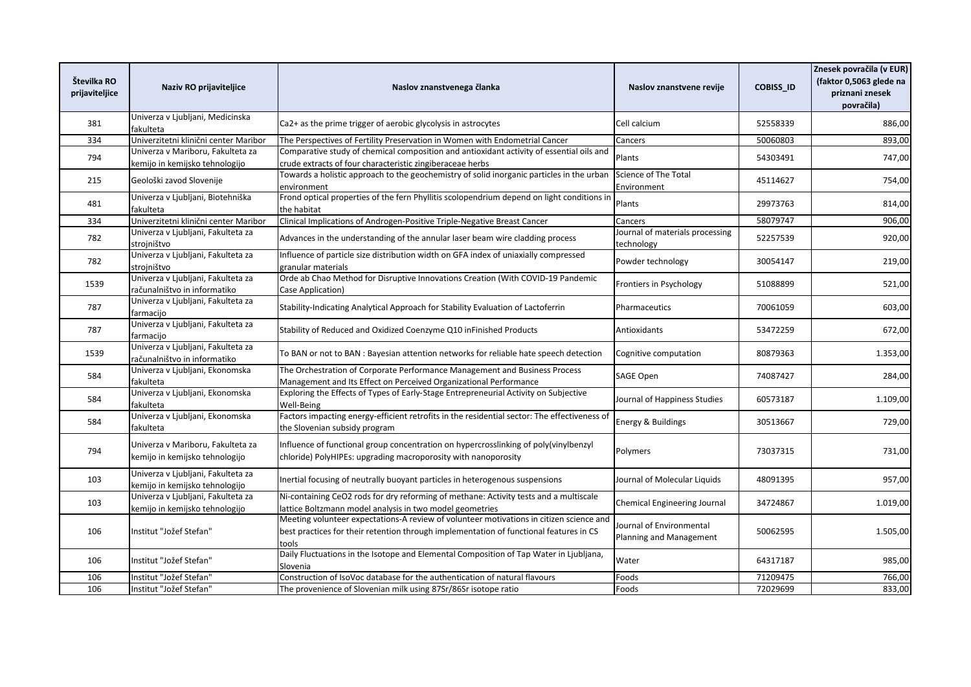| Številka RO<br>prijaviteljice | Naziv RO prijaviteljice                                              | Naslov znanstvenega članka                                                                                                                                                                 | Naslov znanstvene revije                            | COBISS_ID | Znesek povračila (v EUR)<br>(faktor 0,5063 glede na<br>priznani znesek<br>povračila) |
|-------------------------------|----------------------------------------------------------------------|--------------------------------------------------------------------------------------------------------------------------------------------------------------------------------------------|-----------------------------------------------------|-----------|--------------------------------------------------------------------------------------|
| 381                           | Univerza v Ljubljani, Medicinska<br>fakulteta                        | Ca2+ as the prime trigger of aerobic glycolysis in astrocytes                                                                                                                              | Cell calcium                                        | 52558339  | 886,00                                                                               |
| 334                           | Univerzitetni klinični center Maribor                                | The Perspectives of Fertility Preservation in Women with Endometrial Cancer                                                                                                                | Cancers                                             | 50060803  | 893,00                                                                               |
| 794                           | Univerza v Mariboru, Fakulteta za<br>kemijo in kemijsko tehnologijo  | Comparative study of chemical composition and antioxidant activity of essential oils and<br>crude extracts of four characteristic zingiberaceae herbs                                      | Plants                                              | 54303491  | 747,00                                                                               |
| 215                           | Geološki zavod Slovenije                                             | Towards a holistic approach to the geochemistry of solid inorganic particles in the urban<br>environment                                                                                   | Science of The Total<br>Environment                 | 45114627  | 754,00                                                                               |
| 481                           | Univerza v Ljubljani, Biotehniška<br>fakulteta                       | Frond optical properties of the fern Phyllitis scolopendrium depend on light conditions in<br>the habitat                                                                                  | Plants                                              | 29973763  | 814,00                                                                               |
| 334                           | Univerzitetni klinični center Maribor                                | Clinical Implications of Androgen-Positive Triple-Negative Breast Cancer                                                                                                                   | Cancers                                             | 58079747  | 906,00                                                                               |
| 782                           | Univerza v Ljubljani, Fakulteta za<br>strojništvo                    | Advances in the understanding of the annular laser beam wire cladding process                                                                                                              | Journal of materials processing<br>technology       | 52257539  | 920,00                                                                               |
| 782                           | Univerza v Ljubljani, Fakulteta za<br>strojništvo                    | Influence of particle size distribution width on GFA index of uniaxially compressed<br>granular materials                                                                                  | Powder technology                                   | 30054147  | 219,00                                                                               |
| 1539                          | Univerza v Ljubljani, Fakulteta za<br>računalništvo in informatiko   | Orde ab Chao Method for Disruptive Innovations Creation (With COVID-19 Pandemic<br>Case Application)                                                                                       | Frontiers in Psychology                             | 51088899  | 521,00                                                                               |
| 787                           | Univerza v Ljubljani, Fakulteta za<br>farmacijo                      | Stability-Indicating Analytical Approach for Stability Evaluation of Lactoferrin                                                                                                           | Pharmaceutics                                       | 70061059  | 603,00                                                                               |
| 787                           | Univerza v Ljubljani, Fakulteta za<br>farmaciio                      | Stability of Reduced and Oxidized Coenzyme Q10 inFinished Products                                                                                                                         | Antioxidants                                        | 53472259  | 672,00                                                                               |
| 1539                          | Univerza v Ljubljani, Fakulteta za<br>računalništvo in informatiko   | To BAN or not to BAN : Bayesian attention networks for reliable hate speech detection                                                                                                      | Cognitive computation                               | 80879363  | 1.353,00                                                                             |
| 584                           | Univerza v Ljubljani, Ekonomska<br>fakulteta                         | The Orchestration of Corporate Performance Management and Business Process<br>Management and Its Effect on Perceived Organizational Performance                                            | SAGE Open                                           | 74087427  | 284,00                                                                               |
| 584                           | Univerza v Ljubljani, Ekonomska<br>fakulteta                         | Exploring the Effects of Types of Early-Stage Entrepreneurial Activity on Subjective<br>Well-Being                                                                                         | Journal of Happiness Studies                        | 60573187  | 1.109,00                                                                             |
| 584                           | Univerza v Ljubljani, Ekonomska<br>fakulteta                         | Factors impacting energy-efficient retrofits in the residential sector: The effectiveness of<br>the Slovenian subsidy program                                                              | <b>Energy &amp; Buildings</b>                       | 30513667  | 729,00                                                                               |
| 794                           | Univerza v Mariboru, Fakulteta za<br>kemijo in kemijsko tehnologijo  | Influence of functional group concentration on hypercrosslinking of poly(vinylbenzyl<br>chloride) PolyHIPEs: upgrading macroporosity with nanoporosity                                     | Polymers                                            | 73037315  | 731,00                                                                               |
| 103                           | Univerza v Ljubljani, Fakulteta za<br>kemijo in kemijsko tehnologijo | Inertial focusing of neutrally buoyant particles in heterogenous suspensions                                                                                                               | Journal of Molecular Liquids                        | 48091395  | 957,00                                                                               |
| 103                           | Univerza v Ljubljani, Fakulteta za<br>kemijo in kemijsko tehnologijo | Ni-containing CeO2 rods for dry reforming of methane: Activity tests and a multiscale<br>lattice Boltzmann model analysis in two model geometries                                          | <b>Chemical Engineering Journal</b>                 | 34724867  | 1.019,00                                                                             |
| 106                           | Institut "Jožef Stefan"                                              | Meeting volunteer expectations-A review of volunteer motivations in citizen science and<br>best practices for their retention through implementation of functional features in CS<br>tools | Journal of Environmental<br>Planning and Management | 50062595  | 1.505,00                                                                             |
| 106                           | Institut "Jožef Stefan"                                              | Daily Fluctuations in the Isotope and Elemental Composition of Tap Water in Ljubljana,<br>Slovenia                                                                                         | Water                                               | 64317187  | 985,00                                                                               |
| 106                           | Institut "Jožef Stefan"                                              | Construction of IsoVoc database for the authentication of natural flavours                                                                                                                 | Foods                                               | 71209475  | 766,00                                                                               |
| 106                           | Institut "Jožef Stefan"                                              | The provenience of Slovenian milk using 87Sr/86Sr isotope ratio                                                                                                                            | Foods                                               | 72029699  | 833,00                                                                               |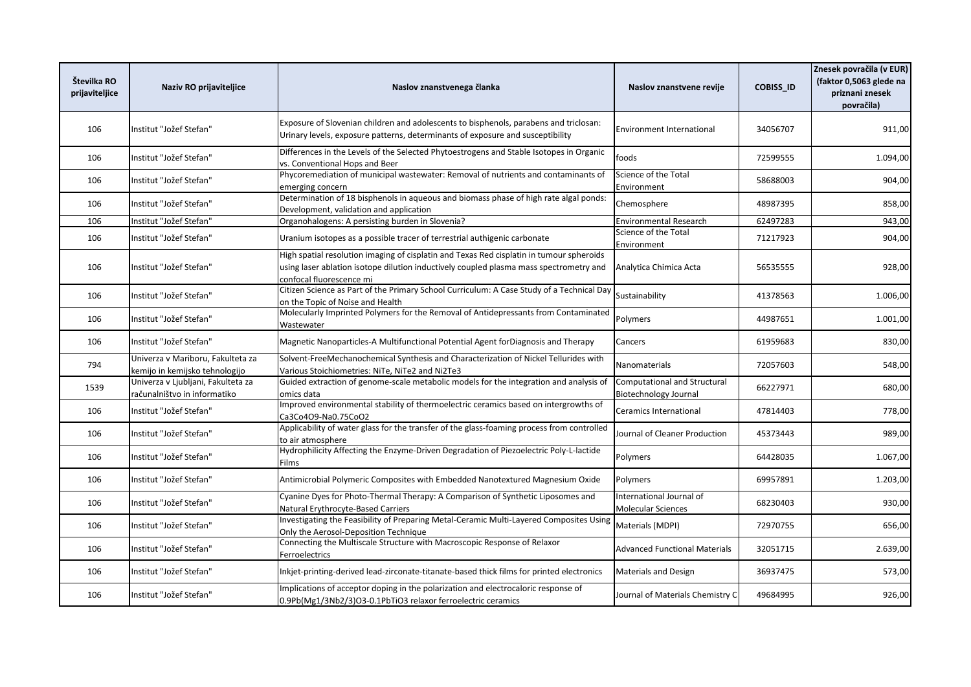| Številka RO<br>prijaviteljice | Naziv RO prijaviteljice                                             | Naslov znanstvenega članka                                                                                                                                                                                     | Naslov znanstvene revije                              | COBISS_ID | Znesek povračila (v EUR)<br>(faktor 0,5063 glede na<br>priznani znesek<br>povračila) |
|-------------------------------|---------------------------------------------------------------------|----------------------------------------------------------------------------------------------------------------------------------------------------------------------------------------------------------------|-------------------------------------------------------|-----------|--------------------------------------------------------------------------------------|
| 106                           | Institut "Jožef Stefan"                                             | Exposure of Slovenian children and adolescents to bisphenols, parabens and triclosan:<br>Urinary levels, exposure patterns, determinants of exposure and susceptibility                                        | <b>Environment International</b>                      | 34056707  | 911,00                                                                               |
| 106                           | Institut "Jožef Stefan"                                             | Differences in the Levels of the Selected Phytoestrogens and Stable Isotopes in Organic<br>vs. Conventional Hops and Beer                                                                                      | foods                                                 | 72599555  | 1.094,00                                                                             |
| 106                           | Institut "Jožef Stefan"                                             | Phycoremediation of municipal wastewater: Removal of nutrients and contaminants of<br>emerging concern                                                                                                         | Science of the Total<br>Environment                   | 58688003  | 904,00                                                                               |
| 106                           | Institut "Jožef Stefan"                                             | Determination of 18 bisphenols in aqueous and biomass phase of high rate algal ponds:<br>Development, validation and application                                                                               | Chemosphere                                           | 48987395  | 858,00                                                                               |
| 106                           | Institut "Jožef Stefan"                                             | Organohalogens: A persisting burden in Slovenia?                                                                                                                                                               | <b>Environmental Research</b>                         | 62497283  | 943,00                                                                               |
| 106                           | Institut "Jožef Stefan"                                             | Uranium isotopes as a possible tracer of terrestrial authigenic carbonate                                                                                                                                      | Science of the Total<br>Environment                   | 71217923  | 904,00                                                                               |
| 106                           | Institut "Jožef Stefan"                                             | High spatial resolution imaging of cisplatin and Texas Red cisplatin in tumour spheroids<br>using laser ablation isotope dilution inductively coupled plasma mass spectrometry and<br>confocal fluorescence mi | Analytica Chimica Acta                                | 56535555  | 928,00                                                                               |
| 106                           | Institut "Jožef Stefan"                                             | Citizen Science as Part of the Primary School Curriculum: A Case Study of a Technical Day<br>on the Topic of Noise and Health                                                                                  | Sustainability                                        | 41378563  | 1.006,00                                                                             |
| 106                           | Institut "Jožef Stefan"                                             | Molecularly Imprinted Polymers for the Removal of Antidepressants from Contaminated<br>Wastewater                                                                                                              | Polymers                                              | 44987651  | 1.001,00                                                                             |
| 106                           | Institut "Jožef Stefan"                                             | Magnetic Nanoparticles-A Multifunctional Potential Agent for Diagnosis and Therapy                                                                                                                             | Cancers                                               | 61959683  | 830,00                                                                               |
| 794                           | Univerza v Mariboru, Fakulteta za<br>kemijo in kemijsko tehnologijo | Solvent-FreeMechanochemical Synthesis and Characterization of Nickel Tellurides with<br>Various Stoichiometries: NiTe, NiTe2 and Ni2Te3                                                                        | Nanomaterials                                         | 72057603  | 548,00                                                                               |
| 1539                          | Univerza v Ljubljani, Fakulteta za<br>računalništvo in informatiko  | Guided extraction of genome-scale metabolic models for the integration and analysis of<br>omics data                                                                                                           | Computational and Structural<br>Biotechnology Journal | 66227971  | 680,00                                                                               |
| 106                           | Institut "Jožef Stefan"                                             | Improved environmental stability of thermoelectric ceramics based on intergrowths of<br>Ca3Co4O9-Na0.75CoO2                                                                                                    | Ceramics International                                | 47814403  | 778,00                                                                               |
| 106                           | Institut "Jožef Stefan"                                             | Applicability of water glass for the transfer of the glass-foaming process from controlled<br>to air atmosphere                                                                                                | Journal of Cleaner Production                         | 45373443  | 989,00                                                                               |
| 106                           | Institut "Jožef Stefan"                                             | Hydrophilicity Affecting the Enzyme-Driven Degradation of Piezoelectric Poly-L-lactide<br>Films                                                                                                                | Polymers                                              | 64428035  | 1.067,00                                                                             |
| 106                           | Institut "Jožef Stefan"                                             | Antimicrobial Polymeric Composites with Embedded Nanotextured Magnesium Oxide                                                                                                                                  | Polymers                                              | 69957891  | 1.203,00                                                                             |
| 106                           | Institut "Jožef Stefan"                                             | Cyanine Dyes for Photo-Thermal Therapy: A Comparison of Synthetic Liposomes and<br>Natural Erythrocyte-Based Carriers                                                                                          | International Journal of<br>Molecular Sciences        | 68230403  | 930,00                                                                               |
| 106                           | Institut "Jožef Stefan"                                             | Investigating the Feasibility of Preparing Metal-Ceramic Multi-Layered Composites Using<br>Only the Aerosol-Deposition Technique                                                                               | Materials (MDPI)                                      | 72970755  | 656,00                                                                               |
| 106                           | Institut "Jožef Stefan"                                             | Connecting the Multiscale Structure with Macroscopic Response of Relaxor<br>Ferroelectrics                                                                                                                     | <b>Advanced Functional Materials</b>                  | 32051715  | 2.639,00                                                                             |
| 106                           | Institut "Jožef Stefan"                                             | Inkjet-printing-derived lead-zirconate-titanate-based thick films for printed electronics                                                                                                                      | <b>Materials and Design</b>                           | 36937475  | 573,00                                                                               |
| 106                           | Institut "Jožef Stefan"                                             | Implications of acceptor doping in the polarization and electrocaloric response of<br>0.9Pb(Mg1/3Nb2/3)O3-0.1PbTiO3 relaxor ferroelectric ceramics                                                             | Journal of Materials Chemistry C                      | 49684995  | 926,00                                                                               |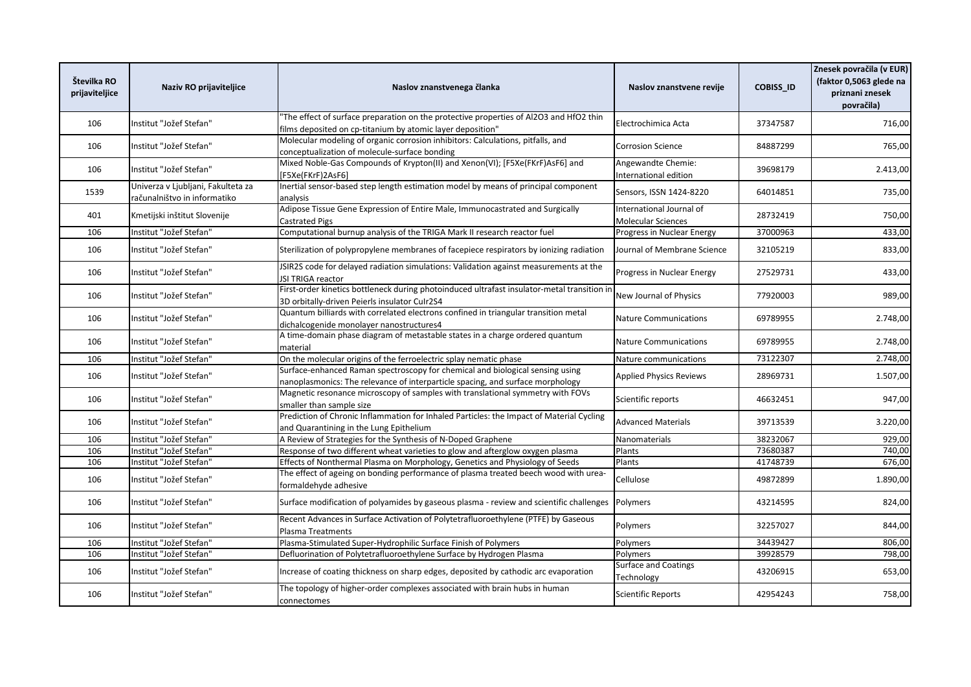| Številka RO<br>prijaviteljice | Naziv RO prijaviteljice                                            | Naslov znanstvenega članka                                                                                                                                      | Naslov znanstvene revije                              | <b>COBISS_ID</b> | Znesek povračila (v EUR)<br>(faktor 0,5063 glede na<br>priznani znesek<br>povračila) |
|-------------------------------|--------------------------------------------------------------------|-----------------------------------------------------------------------------------------------------------------------------------------------------------------|-------------------------------------------------------|------------------|--------------------------------------------------------------------------------------|
| 106                           | Institut "Jožef Stefan"                                            | The effect of surface preparation on the protective properties of Al2O3 and HfO2 thin<br>films deposited on cp-titanium by atomic layer deposition"             | Electrochimica Acta                                   | 37347587         | 716,00                                                                               |
| 106                           | Institut "Jožef Stefan"                                            | Molecular modeling of organic corrosion inhibitors: Calculations, pitfalls, and<br>conceptualization of molecule-surface bonding                                | <b>Corrosion Science</b>                              | 84887299         | 765,00                                                                               |
| 106                           | Institut "Jožef Stefan"                                            | Mixed Noble-Gas Compounds of Krypton(II) and Xenon(VI); [F5Xe(FKrF)AsF6] and<br>[F5Xe(FKrF)2AsF6]                                                               | Angewandte Chemie:<br>International edition           | 39698179         | 2.413,00                                                                             |
| 1539                          | Univerza v Ljubljani, Fakulteta za<br>računalništvo in informatiko | Inertial sensor-based step length estimation model by means of principal component<br>analvsis                                                                  | Sensors, ISSN 1424-8220                               | 64014851         | 735,00                                                                               |
| 401                           | Kmetijski inštitut Slovenije                                       | Adipose Tissue Gene Expression of Entire Male, Immunocastrated and Surgically<br>Castrated Pigs                                                                 | International Journal of<br><b>Molecular Sciences</b> | 28732419         | 750,00                                                                               |
| 106                           | Institut "Jožef Stefan"                                            | Computational burnup analysis of the TRIGA Mark II research reactor fuel                                                                                        | Progress in Nuclear Energy                            | 37000963         | 433,00                                                                               |
| 106                           | Institut "Jožef Stefan"                                            | Sterilization of polypropylene membranes of facepiece respirators by ionizing radiation                                                                         | Journal of Membrane Science                           | 32105219         | 833,00                                                                               |
| 106                           | Institut "Jožef Stefan"                                            | JSIR2S code for delayed radiation simulations: Validation against measurements at the<br>JSI TRIGA reactor                                                      | Progress in Nuclear Energy                            | 27529731         | 433,00                                                                               |
| 106                           | Institut "Jožef Stefan"                                            | First-order kinetics bottleneck during photoinduced ultrafast insulator-metal transition in<br>3D orbitally-driven Peierls insulator Culr2S4                    | New Journal of Physics                                | 77920003         | 989,00                                                                               |
| 106                           | Institut "Jožef Stefan"                                            | Quantum billiards with correlated electrons confined in triangular transition metal<br>dichalcogenide monolayer nanostructures4                                 | <b>Nature Communications</b>                          | 69789955         | 2.748,00                                                                             |
| 106                           | Institut "Jožef Stefan"                                            | A time-domain phase diagram of metastable states in a charge ordered quantum<br>material                                                                        | <b>Nature Communications</b>                          | 69789955         | 2.748,00                                                                             |
| 106                           | Institut "Jožef Stefan"                                            | On the molecular origins of the ferroelectric splay nematic phase                                                                                               | Nature communications                                 | 73122307         | 2.748,00                                                                             |
| 106                           | Institut "Jožef Stefan"                                            | Surface-enhanced Raman spectroscopy for chemical and biological sensing using<br>nanoplasmonics: The relevance of interparticle spacing, and surface morphology | <b>Applied Physics Reviews</b>                        | 28969731         | 1.507,00                                                                             |
| 106                           | Institut "Jožef Stefan"                                            | Magnetic resonance microscopy of samples with translational symmetry with FOVs<br>smaller than sample size                                                      | Scientific reports                                    | 46632451         | 947,00                                                                               |
| 106                           | Institut "Jožef Stefan"                                            | Prediction of Chronic Inflammation for Inhaled Particles: the Impact of Material Cycling<br>and Quarantining in the Lung Epithelium                             | <b>Advanced Materials</b>                             | 39713539         | 3.220,00                                                                             |
| 106                           | Institut "Jožef Stefan"                                            | A Review of Strategies for the Synthesis of N-Doped Graphene                                                                                                    | Nanomaterials                                         | 38232067         | 929,00                                                                               |
| 106                           | Institut "Jožef Stefan"                                            | Response of two different wheat varieties to glow and afterglow oxygen plasma                                                                                   | Plants                                                | 73680387         | 740,00                                                                               |
| 106                           | Institut "Jožef Stefan"                                            | Effects of Nonthermal Plasma on Morphology, Genetics and Physiology of Seeds                                                                                    | Plants                                                | 41748739         | 676,00                                                                               |
| 106                           | Institut "Jožef Stefan"                                            | The effect of ageing on bonding performance of plasma treated beech wood with urea-<br>formaldehyde adhesive                                                    | Cellulose                                             | 49872899         | 1.890,00                                                                             |
| 106                           | Institut "Jožef Stefan"                                            | Surface modification of polyamides by gaseous plasma - review and scientific challenges                                                                         | Polymers                                              | 43214595         | 824,00                                                                               |
| 106                           | Institut "Jožef Stefan"                                            | Recent Advances in Surface Activation of Polytetrafluoroethylene (PTFE) by Gaseous<br>Plasma Treatments                                                         | Polymers                                              | 32257027         | 844,00                                                                               |
| 106                           | Institut "Jožef Stefan"                                            | Plasma-Stimulated Super-Hydrophilic Surface Finish of Polymers                                                                                                  | Polymers                                              | 34439427         | 806,00                                                                               |
| 106                           | Institut "Jožef Stefan"                                            | Defluorination of Polytetrafluoroethylene Surface by Hydrogen Plasma                                                                                            | Polymers                                              | 39928579         | 798,00                                                                               |
| 106                           | Institut "Jožef Stefan"                                            | Increase of coating thickness on sharp edges, deposited by cathodic arc evaporation                                                                             | Surface and Coatings<br>Technology                    | 43206915         | 653,00                                                                               |
| 106                           | Institut "Jožef Stefan"                                            | The topology of higher-order complexes associated with brain hubs in human<br>connectomes                                                                       | <b>Scientific Reports</b>                             | 42954243         | 758,00                                                                               |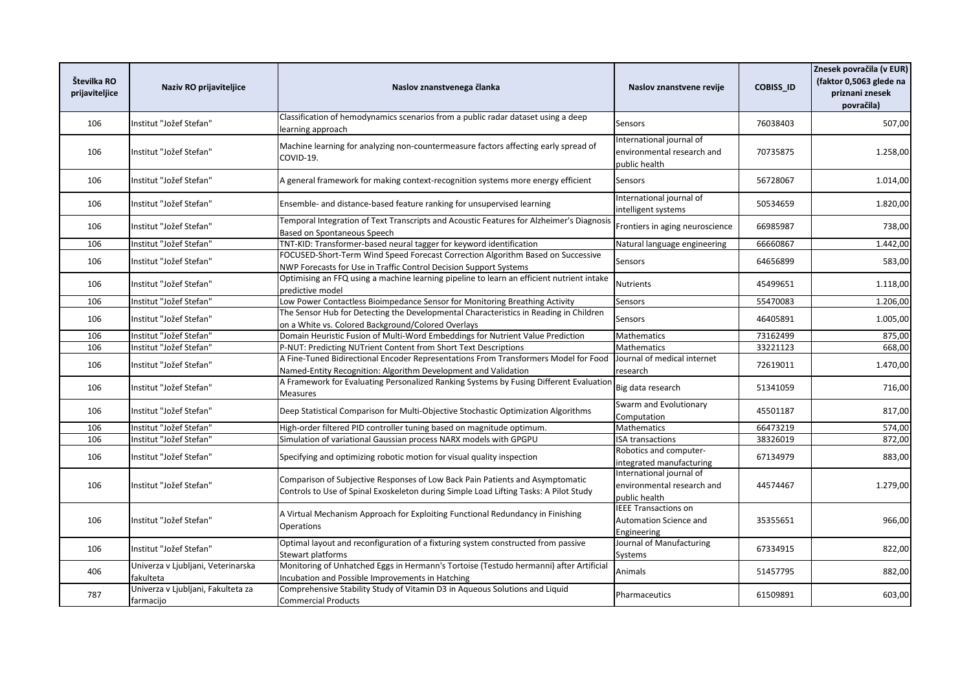| Številka RO<br>prijaviteljice | Naziv RO prijaviteljice                         | Naslov znanstvenega članka                                                                                                                                             | Naslov znanstvene revije                                                | <b>COBISS ID</b> | Znesek povračila (v EUR)<br>(faktor 0,5063 glede na<br>priznani znesek<br>povračila) |
|-------------------------------|-------------------------------------------------|------------------------------------------------------------------------------------------------------------------------------------------------------------------------|-------------------------------------------------------------------------|------------------|--------------------------------------------------------------------------------------|
| 106                           | Institut "Jožef Stefan"                         | Classification of hemodynamics scenarios from a public radar dataset using a deep<br>learning approach                                                                 | Sensors                                                                 | 76038403         | 507,00                                                                               |
| 106                           | Institut "Jožef Stefan"                         | Machine learning for analyzing non-countermeasure factors affecting early spread of<br>COVID-19.                                                                       | International journal of<br>environmental research and<br>public health | 70735875         | 1.258,00                                                                             |
| 106                           | Institut "Jožef Stefan"                         | A general framework for making context-recognition systems more energy efficient                                                                                       | Sensors                                                                 | 56728067         | 1.014,00                                                                             |
| 106                           | Institut "Jožef Stefan"                         | Ensemble- and distance-based feature ranking for unsupervised learning                                                                                                 | International journal of<br>intelligent systems                         | 50534659         | 1.820,00                                                                             |
| 106                           | Institut "Jožef Stefan"                         | Temporal Integration of Text Transcripts and Acoustic Features for Alzheimer's Diagnosis<br>Based on Spontaneous Speech                                                | Frontiers in aging neuroscience                                         | 66985987         | 738,00                                                                               |
| 106                           | Institut "Jožef Stefan"                         | TNT-KID: Transformer-based neural tagger for keyword identification                                                                                                    | Natural language engineering                                            | 66660867         | 1.442,00                                                                             |
| 106                           | Institut "Jožef Stefan"                         | FOCUSED-Short-Term Wind Speed Forecast Correction Algorithm Based on Successive<br>NWP Forecasts for Use in Traffic Control Decision Support Systems                   | Sensors                                                                 | 64656899         | 583,00                                                                               |
| 106                           | Institut "Jožef Stefan"                         | Optimising an FFQ using a machine learning pipeline to learn an efficient nutrient intake<br>predictive model                                                          | Nutrients                                                               | 45499651         | 1.118,00                                                                             |
| 106                           | Institut "Jožef Stefan"                         | Low Power Contactless Bioimpedance Sensor for Monitoring Breathing Activity                                                                                            | Sensors                                                                 | 55470083         | 1.206,00                                                                             |
| 106                           | Institut "Jožef Stefan"                         | The Sensor Hub for Detecting the Developmental Characteristics in Reading in Children<br>on a White vs. Colored Background/Colored Overlays                            | Sensors                                                                 | 46405891         | 1.005,00                                                                             |
| 106                           | Institut "Jožef Stefan"                         | Domain Heuristic Fusion of Multi-Word Embeddings for Nutrient Value Prediction                                                                                         | <b>Mathematics</b>                                                      | 73162499         | 875,00                                                                               |
| 106                           | Institut "Jožef Stefan"                         | P-NUT: Predicting NUTrient Content from Short Text Descriptions                                                                                                        | Mathematics                                                             | 33221123         | 668,00                                                                               |
| 106                           | Institut "Jožef Stefan"                         | A Fine-Tuned Bidirectional Encoder Representations From Transformers Model for Food<br>Named-Entity Recognition: Algorithm Development and Validation                  | Journal of medical internet<br>research                                 | 72619011         | 1.470,00                                                                             |
| 106                           | Institut "Jožef Stefan"                         | A Framework for Evaluating Personalized Ranking Systems by Fusing Different Evaluation<br>Measures                                                                     | Big data research                                                       | 51341059         | 716,00                                                                               |
| 106                           | Institut "Jožef Stefan"                         | Deep Statistical Comparison for Multi-Objective Stochastic Optimization Algorithms                                                                                     | Swarm and Evolutionary<br>Computation                                   | 45501187         | 817,00                                                                               |
| 106                           | Institut "Jožef Stefan"                         | High-order filtered PID controller tuning based on magnitude optimum.                                                                                                  | <b>Mathematics</b>                                                      | 66473219         | 574,00                                                                               |
| 106                           | Institut "Jožef Stefan"                         | Simulation of variational Gaussian process NARX models with GPGPU                                                                                                      | <b>ISA transactions</b>                                                 | 38326019         | 872,00                                                                               |
| 106                           | Institut "Jožef Stefan"                         | Specifying and optimizing robotic motion for visual quality inspection                                                                                                 | Robotics and computer-<br>integrated manufacturing                      | 67134979         | 883,00                                                                               |
| 106                           | Institut "Jožef Stefan"                         | Comparison of Subjective Responses of Low Back Pain Patients and Asymptomatic<br>Controls to Use of Spinal Exoskeleton during Simple Load Lifting Tasks: A Pilot Study | International journal of<br>environmental research and<br>public health | 44574467         | 1.279,00                                                                             |
| 106                           | Institut "Jožef Stefan"                         | A Virtual Mechanism Approach for Exploiting Functional Redundancy in Finishing<br><b>Operations</b>                                                                    | <b>IEEE Transactions on</b><br>Automation Science and<br>Engineering    | 35355651         | 966,00                                                                               |
| 106                           | Institut "Jožef Stefan"                         | Optimal layout and reconfiguration of a fixturing system constructed from passive<br><b>Stewart platforms</b>                                                          | Journal of Manufacturing<br>Systems                                     | 67334915         | 822,00                                                                               |
| 406                           | Univerza v Ljubljani, Veterinarska<br>fakulteta | Monitoring of Unhatched Eggs in Hermann's Tortoise (Testudo hermanni) after Artificial<br>Incubation and Possible Improvements in Hatching                             | Animals                                                                 | 51457795         | 882,00                                                                               |
| 787                           | Univerza v Ljubljani, Fakulteta za<br>farmacijo | Comprehensive Stability Study of Vitamin D3 in Aqueous Solutions and Liquid<br><b>Commercial Products</b>                                                              | Pharmaceutics                                                           | 61509891         | 603,00                                                                               |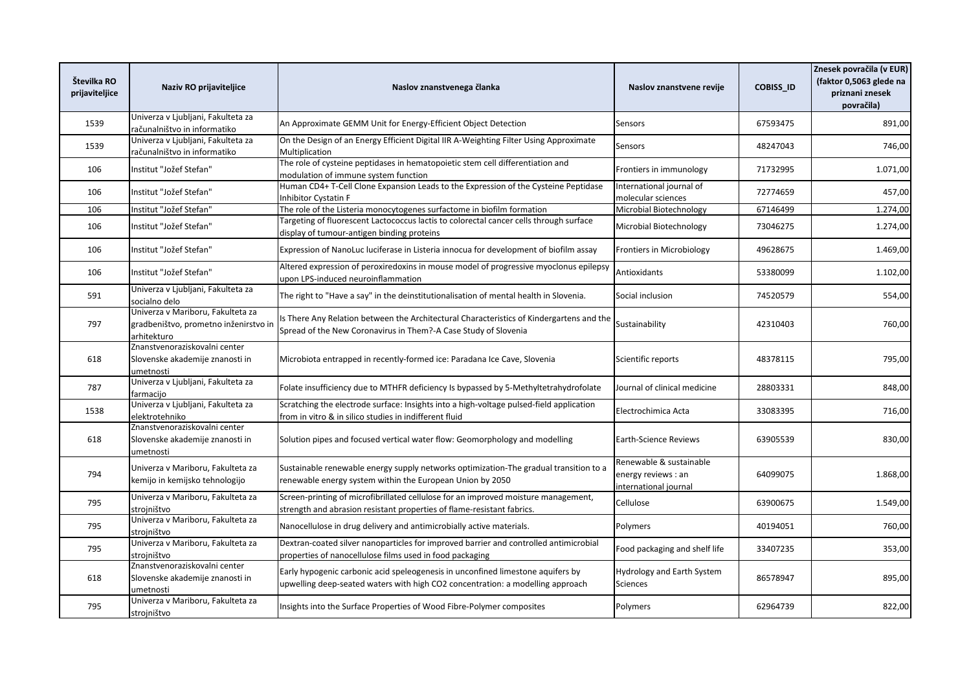| Številka RO<br>prijaviteljice | Naziv RO prijaviteljice                                                                   | Naslov znanstvenega članka                                                                                                                                        | Naslov znanstvene revije                                                | <b>COBISS ID</b> | Znesek povračila (v EUR)<br>(faktor 0,5063 glede na<br>priznani znesek<br>povračila) |
|-------------------------------|-------------------------------------------------------------------------------------------|-------------------------------------------------------------------------------------------------------------------------------------------------------------------|-------------------------------------------------------------------------|------------------|--------------------------------------------------------------------------------------|
| 1539                          | Univerza v Ljubljani, Fakulteta za<br>računalništvo in informatiko                        | An Approximate GEMM Unit for Energy-Efficient Object Detection                                                                                                    | <b>Sensors</b>                                                          | 67593475         | 891,00                                                                               |
| 1539                          | Univerza v Ljubljani, Fakulteta za<br>računalništvo in informatiko                        | On the Design of an Energy Efficient Digital IIR A-Weighting Filter Using Approximate<br>Multiplication                                                           | <b>Sensors</b>                                                          | 48247043         | 746,00                                                                               |
| 106                           | Institut "Jožef Stefan"                                                                   | The role of cysteine peptidases in hematopoietic stem cell differentiation and<br>modulation of immune system function                                            | Frontiers in immunology                                                 | 71732995         | 1.071,00                                                                             |
| 106                           | Institut "Jožef Stefan"                                                                   | Human CD4+ T-Cell Clone Expansion Leads to the Expression of the Cysteine Peptidase<br>Inhibitor Cystatin F                                                       | International journal of<br>molecular sciences                          | 72774659         | 457,00                                                                               |
| 106                           | Institut "Jožef Stefan"                                                                   | The role of the Listeria monocytogenes surfactome in biofilm formation                                                                                            | Microbial Biotechnology                                                 | 67146499         | 1.274,00                                                                             |
| 106                           | Institut "Jožef Stefan"                                                                   | Targeting of fluorescent Lactococcus lactis to colorectal cancer cells through surface<br>display of tumour-antigen binding proteins                              | Microbial Biotechnology                                                 | 73046275         | 1.274,00                                                                             |
| 106                           | Institut "Jožef Stefan"                                                                   | Expression of NanoLuc luciferase in Listeria innocua for development of biofilm assay                                                                             | Frontiers in Microbiology                                               | 49628675         | 1.469,00                                                                             |
| 106                           | Institut "Jožef Stefan"                                                                   | Altered expression of peroxiredoxins in mouse model of progressive myoclonus epilepsy<br>upon LPS-induced neuroinflammation                                       | Antioxidants                                                            | 53380099         | 1.102,00                                                                             |
| 591                           | Univerza v Ljubljani, Fakulteta za<br>socialno delo                                       | The right to "Have a say" in the deinstitutionalisation of mental health in Slovenia.                                                                             | Social inclusion                                                        | 74520579         | 554,00                                                                               |
| 797                           | Univerza v Mariboru, Fakulteta za<br>gradbeništvo, prometno inženirstvo in<br>arhitekturo | Is There Any Relation between the Architectural Characteristics of Kindergartens and the<br>Spread of the New Coronavirus in Them?-A Case Study of Slovenia       | Sustainability                                                          | 42310403         | 760,00                                                                               |
| 618                           | Znanstvenoraziskovalni center<br>Slovenske akademije znanosti in<br>umetnosti             | Microbiota entrapped in recently-formed ice: Paradana Ice Cave, Slovenia                                                                                          | Scientific reports                                                      | 48378115         | 795,00                                                                               |
| 787                           | Univerza v Ljubljani, Fakulteta za<br>farmacijo                                           | Folate insufficiency due to MTHFR deficiency Is bypassed by 5-Methyltetrahydrofolate                                                                              | Journal of clinical medicine                                            | 28803331         | 848,00                                                                               |
| 1538                          | Univerza v Ljubljani, Fakulteta za<br>elektrotehniko                                      | Scratching the electrode surface: Insights into a high-voltage pulsed-field application<br>from in vitro & in silico studies in indifferent fluid                 | Electrochimica Acta                                                     | 33083395         | 716,00                                                                               |
| 618                           | Znanstvenoraziskovalni center<br>Slovenske akademije znanosti in<br>umetnosti             | Solution pipes and focused vertical water flow: Geomorphology and modelling                                                                                       | Earth-Science Reviews                                                   | 63905539         | 830,00                                                                               |
| 794                           | Univerza v Mariboru, Fakulteta za<br>kemijo in kemijsko tehnologijo                       | Sustainable renewable energy supply networks optimization-The gradual transition to a<br>renewable energy system within the European Union by 2050                | Renewable & sustainable<br>energy reviews : an<br>international journal | 64099075         | 1.868,00                                                                             |
| 795                           | Univerza v Mariboru, Fakulteta za<br>strojništvo                                          | Screen-printing of microfibrillated cellulose for an improved moisture management,<br>strength and abrasion resistant properties of flame-resistant fabrics.      | Cellulose                                                               | 63900675         | 1.549,00                                                                             |
| 795                           | Univerza v Mariboru, Fakulteta za<br>strojništvo                                          | Nanocellulose in drug delivery and antimicrobially active materials.                                                                                              | Polymers                                                                | 40194051         | 760,00                                                                               |
| 795                           | Univerza v Mariboru, Fakulteta za<br>strojništvo                                          | Dextran-coated silver nanoparticles for improved barrier and controlled antimicrobial<br>properties of nanocellulose films used in food packaging                 | Food packaging and shelf life                                           | 33407235         | 353,00                                                                               |
| 618                           | Znanstvenoraziskovalni center<br>Slovenske akademije znanosti in<br>umetnosti             | Early hypogenic carbonic acid speleogenesis in unconfined limestone aquifers by<br>upwelling deep-seated waters with high CO2 concentration: a modelling approach | Hydrology and Earth System<br>Sciences                                  | 86578947         | 895,00                                                                               |
| 795                           | Univerza v Mariboru, Fakulteta za<br>strojništvo                                          | Insights into the Surface Properties of Wood Fibre-Polymer composites                                                                                             | Polymers                                                                | 62964739         | 822,00                                                                               |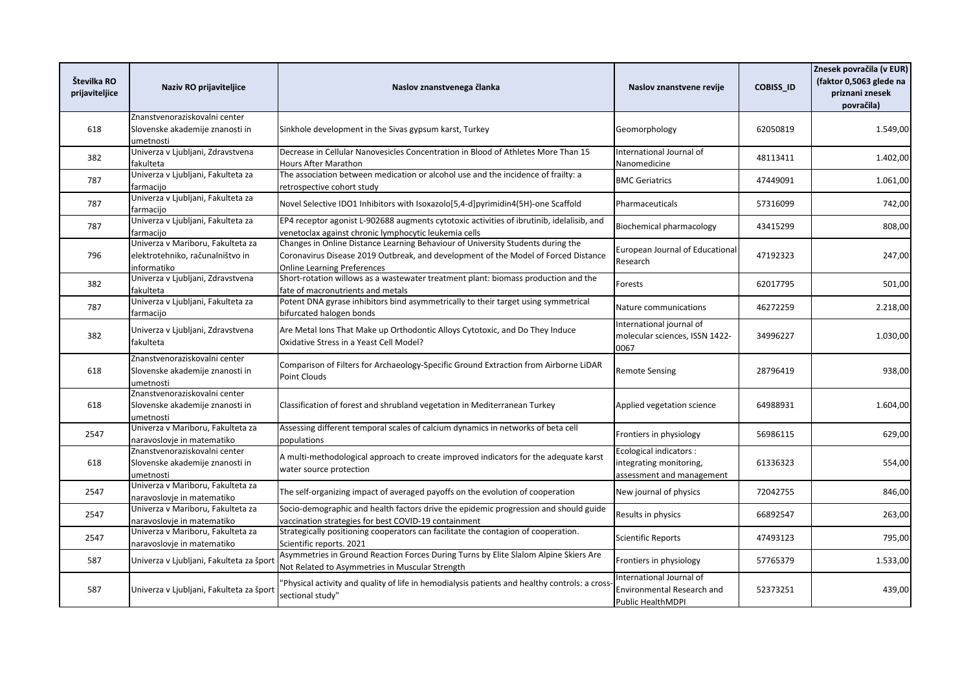| Številka RO<br>prijaviteljice | Naziv RO prijaviteljice                                                              | Naslov znanstvenega članka                                                                                                                                                                                  | Naslov znanstvene revije                                                        | <b>COBISS ID</b> | Znesek povračila (v EUR)<br>(faktor 0,5063 glede na<br>priznani znesek<br>povračila) |
|-------------------------------|--------------------------------------------------------------------------------------|-------------------------------------------------------------------------------------------------------------------------------------------------------------------------------------------------------------|---------------------------------------------------------------------------------|------------------|--------------------------------------------------------------------------------------|
| 618                           | Znanstvenoraziskovalni center<br>Slovenske akademije znanosti in<br>umetnosti        | Sinkhole development in the Sivas gypsum karst, Turkey                                                                                                                                                      | Geomorphology                                                                   | 62050819         | 1.549,00                                                                             |
| 382                           | Univerza v Ljubljani, Zdravstvena<br>fakulteta                                       | Decrease in Cellular Nanovesicles Concentration in Blood of Athletes More Than 15<br><b>Hours After Marathon</b>                                                                                            | International Journal of<br>Nanomedicine                                        | 48113411         | 1.402,00                                                                             |
| 787                           | Univerza v Ljubljani, Fakulteta za<br>farmacijo                                      | The association between medication or alcohol use and the incidence of frailty: a<br>retrospective cohort study                                                                                             | <b>BMC Geriatrics</b>                                                           | 47449091         | 1.061,00                                                                             |
| 787                           | Univerza v Ljubljani, Fakulteta za<br>farmacijo                                      | Novel Selective IDO1 Inhibitors with Isoxazolo[5,4-d]pyrimidin4(5H)-one Scaffold                                                                                                                            | Pharmaceuticals                                                                 | 57316099         | 742,00                                                                               |
| 787                           | Univerza v Ljubljani, Fakulteta za<br>farmacijo                                      | EP4 receptor agonist L-902688 augments cytotoxic activities of ibrutinib, idelalisib, and<br>venetoclax against chronic lymphocytic leukemia cells                                                          | Biochemical pharmacology                                                        | 43415299         | 808,00                                                                               |
| 796                           | Univerza v Mariboru, Fakulteta za<br>elektrotehniko, računalništvo in<br>informatiko | Changes in Online Distance Learning Behaviour of University Students during the<br>Coronavirus Disease 2019 Outbreak, and development of the Model of Forced Distance<br><b>Online Learning Preferences</b> | <b>European Journal of Educational</b><br>Research                              | 47192323         | 247,00                                                                               |
| 382                           | Univerza v Ljubljani, Zdravstvena<br>fakulteta                                       | Short-rotation willows as a wastewater treatment plant: biomass production and the<br>fate of macronutrients and metals                                                                                     | Forests                                                                         | 62017795         | 501,00                                                                               |
| 787                           | Univerza v Ljubljani, Fakulteta za<br>farmacijo                                      | Potent DNA gyrase inhibitors bind asymmetrically to their target using symmetrical<br>bifurcated halogen bonds                                                                                              | Nature communications                                                           | 46272259         | 2.218,00                                                                             |
| 382                           | Univerza v Ljubljani, Zdravstvena<br>fakulteta                                       | Are Metal Ions That Make up Orthodontic Alloys Cytotoxic, and Do They Induce<br>Oxidative Stress in a Yeast Cell Model?                                                                                     | International journal of<br>molecular sciences, ISSN 1422-<br>0067              | 34996227         | 1.030,00                                                                             |
| 618                           | Znanstvenoraziskovalni center<br>Slovenske akademije znanosti in<br>ımetnosti        | Comparison of Filters for Archaeology-Specific Ground Extraction from Airborne LiDAR<br><b>Point Clouds</b>                                                                                                 | <b>Remote Sensing</b>                                                           | 28796419         | 938,00                                                                               |
| 618                           | Znanstvenoraziskovalni center<br>Slovenske akademije znanosti in<br>umetnosti        | Classification of forest and shrubland vegetation in Mediterranean Turkey                                                                                                                                   | Applied vegetation science                                                      | 64988931         | 1.604,00                                                                             |
| 2547                          | Univerza v Mariboru, Fakulteta za<br>naravoslovje in matematiko                      | Assessing different temporal scales of calcium dynamics in networks of beta cell<br>populations                                                                                                             | Frontiers in physiology                                                         | 56986115         | 629,00                                                                               |
| 618                           | Znanstvenoraziskovalni center<br>Slovenske akademije znanosti in<br>umetnosti        | A multi-methodological approach to create improved indicators for the adequate karst<br>water source protection                                                                                             | Ecological indicators :<br>integrating monitoring,<br>assessment and management | 61336323         | 554,00                                                                               |
| 2547                          | Univerza v Mariboru, Fakulteta za<br>naravoslovje in matematiko                      | The self-organizing impact of averaged payoffs on the evolution of cooperation                                                                                                                              | New journal of physics                                                          | 72042755         | 846,00                                                                               |
| 2547                          | Univerza v Mariboru, Fakulteta za<br>naravoslovje in matematiko                      | Socio-demographic and health factors drive the epidemic progression and should guide<br>vaccination strategies for best COVID-19 containment                                                                | Results in physics                                                              | 66892547         | 263,00                                                                               |
| 2547                          | Univerza v Mariboru, Fakulteta za<br>naravoslovje in matematiko                      | Strategically positioning cooperators can facilitate the contagion of cooperation.<br>Scientific reports. 2021                                                                                              | <b>Scientific Reports</b>                                                       | 47493123         | 795,00                                                                               |
| 587                           | Univerza v Ljubljani, Fakulteta za šport                                             | Asymmetries in Ground Reaction Forces During Turns by Elite Slalom Alpine Skiers Are<br>Not Related to Asymmetries in Muscular Strength                                                                     | Frontiers in physiology                                                         | 57765379         | 1.533,00                                                                             |
| 587                           | Univerza v Ljubljani, Fakulteta za šport                                             | 'Physical activity and quality of life in hemodialysis patients and healthy controls: a cross<br>sectional study"                                                                                           | International Journal of<br>Environmental Research and<br>Public HealthMDPI     | 52373251         | 439,00                                                                               |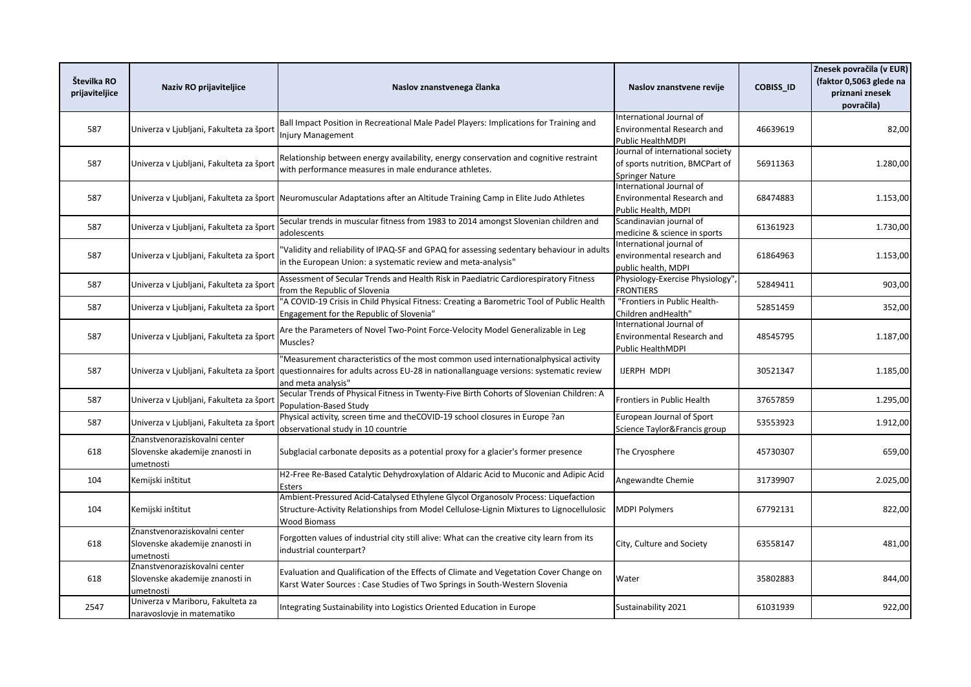| Številka RO<br>prijaviteljice | Naziv RO prijaviteljice                                                       | Naslov znanstvenega članka                                                                                                                                                                           | Naslov znanstvene revije                                                                      | <b>COBISS ID</b> | Znesek povračila (v EUR)<br>(faktor 0,5063 glede na<br>priznani znesek<br>povračila) |
|-------------------------------|-------------------------------------------------------------------------------|------------------------------------------------------------------------------------------------------------------------------------------------------------------------------------------------------|-----------------------------------------------------------------------------------------------|------------------|--------------------------------------------------------------------------------------|
| 587                           | Univerza v Ljubljani, Fakulteta za šport                                      | Ball Impact Position in Recreational Male Padel Players: Implications for Training and<br><b>Injury Management</b>                                                                                   | International Journal of<br>Environmental Research and<br><b>Public HealthMDPI</b>            | 46639619         | 82,00                                                                                |
| 587                           | Univerza v Ljubljani, Fakulteta za šport                                      | Relationship between energy availability, energy conservation and cognitive restraint<br>with performance measures in male endurance athletes.                                                       | Journal of international society<br>of sports nutrition, BMCPart of<br><b>Springer Nature</b> | 56911363         | 1.280,00                                                                             |
| 587                           |                                                                               | Univerza v Ljubljani, Fakulteta za šport Neuromuscular Adaptations after an Altitude Training Camp in Elite Judo Athletes                                                                            | International Journal of<br>Environmental Research and<br>Public Health, MDPI                 | 68474883         | 1.153,00                                                                             |
| 587                           | Univerza v Ljubljani, Fakulteta za šport                                      | Secular trends in muscular fitness from 1983 to 2014 amongst Slovenian children and<br>adolescents                                                                                                   | Scandinavian journal of<br>medicine & science in sports                                       | 61361923         | 1.730,00                                                                             |
| 587                           | Univerza v Ljubljani, Fakulteta za šport                                      | 'Validity and reliability of IPAQ-SF and GPAQ for assessing sedentary behaviour in adults<br>in the European Union: a systematic review and meta-analysis"                                           | International journal of<br>environmental research and<br>public health. MDPI                 | 61864963         | 1.153,00                                                                             |
| 587                           | Univerza v Ljubljani, Fakulteta za šport                                      | Assessment of Secular Trends and Health Risk in Paediatric Cardiorespiratory Fitness<br>from the Republic of Slovenia                                                                                | Physiology-Exercise Physiology",<br><b>FRONTIERS</b>                                          | 52849411         | 903,00                                                                               |
| 587                           | Univerza v Ljubljani, Fakulteta za šport                                      | "A COVID-19 Crisis in Child Physical Fitness: Creating a Barometric Tool of Public Health<br>Engagement for the Republic of Slovenia"                                                                | "Frontiers in Public Health-<br>Children and Health"                                          | 52851459         | 352,00                                                                               |
| 587                           | Univerza v Ljubljani, Fakulteta za šport                                      | Are the Parameters of Novel Two-Point Force-Velocity Model Generalizable in Leg<br>Muscles?                                                                                                          | International Journal of<br>Environmental Research and<br>Public HealthMDPI                   | 48545795         | 1.187,00                                                                             |
| 587                           | Univerza v Ljubljani, Fakulteta za šport                                      | 'Measurement characteristics of the most common used internationalphysical activity<br>questionnaires for adults across EU-28 in nationallanguage versions: systematic review<br>and meta analysis"  | <b>IJERPH MDPI</b>                                                                            | 30521347         | 1.185,00                                                                             |
| 587                           | Univerza v Ljubljani, Fakulteta za šport                                      | Secular Trends of Physical Fitness in Twenty-Five Birth Cohorts of Slovenian Children: A<br>Population-Based Study                                                                                   | Frontiers in Public Health                                                                    | 37657859         | 1.295,00                                                                             |
| 587                           | Univerza v Ljubljani, Fakulteta za šport                                      | Physical activity, screen time and theCOVID-19 school closures in Europe ?an<br>observational study in 10 countrie                                                                                   | European Journal of Sport<br>Science Taylor&Francis group                                     | 53553923         | 1.912,00                                                                             |
| 618                           | Znanstvenoraziskovalni center<br>Slovenske akademije znanosti in<br>umetnosti | Subglacial carbonate deposits as a potential proxy for a glacier's former presence                                                                                                                   | The Cryosphere                                                                                | 45730307         | 659,00                                                                               |
| 104                           | Kemijski inštitut                                                             | H2-Free Re-Based Catalytic Dehydroxylation of Aldaric Acid to Muconic and Adipic Acid<br>Esters                                                                                                      | Angewandte Chemie                                                                             | 31739907         | 2.025,00                                                                             |
| 104                           | Kemijski inštitut                                                             | Ambient-Pressured Acid-Catalysed Ethylene Glycol Organosolv Process: Liquefaction<br>Structure-Activity Relationships from Model Cellulose-Lignin Mixtures to Lignocellulosic<br><b>Wood Biomass</b> | <b>MDPI Polymers</b>                                                                          | 67792131         | 822,00                                                                               |
| 618                           | Znanstvenoraziskovalni center<br>Slovenske akademije znanosti in<br>umetnosti | Forgotten values of industrial city still alive: What can the creative city learn from its<br>industrial counterpart?                                                                                | City, Culture and Society                                                                     | 63558147         | 481,00                                                                               |
| 618                           | Znanstvenoraziskovalni center<br>Slovenske akademije znanosti in<br>ımetnosti | Evaluation and Qualification of the Effects of Climate and Vegetation Cover Change on<br>Karst Water Sources: Case Studies of Two Springs in South-Western Slovenia                                  | Water                                                                                         | 35802883         | 844,00                                                                               |
| 2547                          | Univerza v Mariboru, Fakulteta za<br>naravoslovje in matematiko               | Integrating Sustainability into Logistics Oriented Education in Europe                                                                                                                               | Sustainability 2021                                                                           | 61031939         | 922,00                                                                               |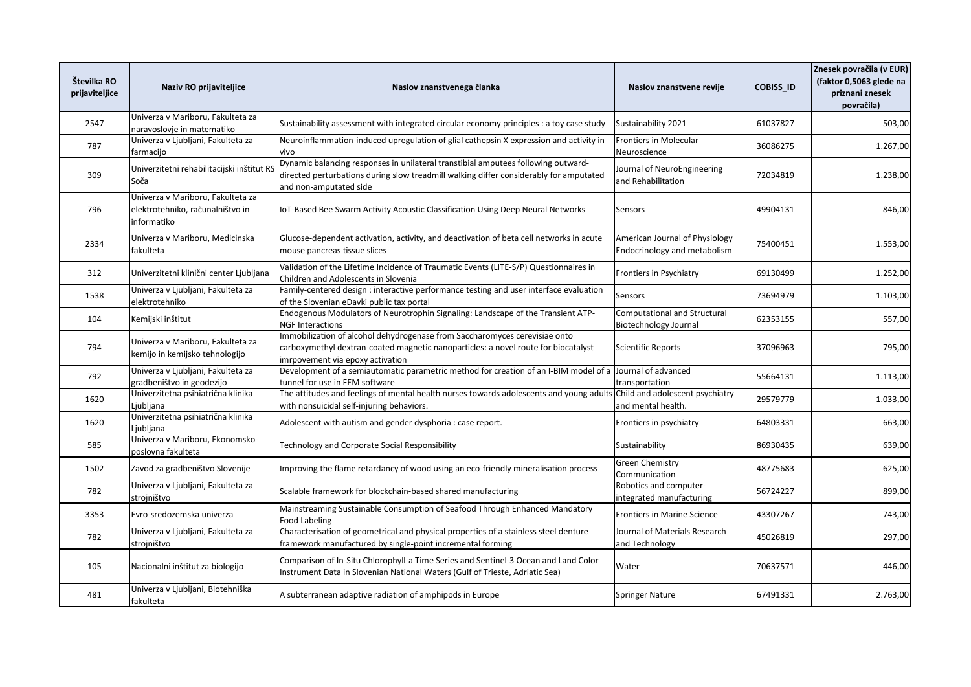| Številka RO<br>prijaviteljice | Naziv RO prijaviteljice                                                             | Naslov znanstvenega članka                                                                                                                                                                            | Naslov znanstvene revije                                       | <b>COBISS ID</b> | Znesek povračila (v EUR)<br>(faktor 0,5063 glede na<br>priznani znesek<br>povračila) |
|-------------------------------|-------------------------------------------------------------------------------------|-------------------------------------------------------------------------------------------------------------------------------------------------------------------------------------------------------|----------------------------------------------------------------|------------------|--------------------------------------------------------------------------------------|
| 2547                          | Univerza v Mariboru, Fakulteta za<br>naravoslovje in matematiko                     | Sustainability assessment with integrated circular economy principles : a toy case study                                                                                                              | Sustainability 2021                                            | 61037827         | 503,00                                                                               |
| 787                           | Univerza v Ljubljani, Fakulteta za<br>farmacijo                                     | Neuroinflammation-induced upregulation of glial cathepsin X expression and activity in<br>vivo                                                                                                        | Frontiers in Molecular<br>Neuroscience                         | 36086275         | 1.267,00                                                                             |
| 309                           | Univerzitetni rehabilitacijski inštitut RS<br>Soča                                  | Dynamic balancing responses in unilateral transtibial amputees following outward-<br>directed perturbations during slow treadmill walking differ considerably for amputated<br>and non-amputated side | Journal of NeuroEngineering<br>and Rehabilitation              | 72034819         | 1.238,00                                                                             |
| 796                           | Univerza v Mariboru, Fakulteta za<br>elektrotehniko, računalništvo in<br>nformatiko | loT-Based Bee Swarm Activity Acoustic Classification Using Deep Neural Networks                                                                                                                       | Sensors                                                        | 49904131         | 846,00                                                                               |
| 2334                          | Univerza v Mariboru, Medicinska<br>fakulteta                                        | Glucose-dependent activation, activity, and deactivation of beta cell networks in acute<br>mouse pancreas tissue slices                                                                               | American Journal of Physiology<br>Endocrinology and metabolism | 75400451         | 1.553,00                                                                             |
| 312                           | Univerzitetni klinični center Ljubljana                                             | Validation of the Lifetime Incidence of Traumatic Events (LITE-S/P) Questionnaires in<br>Children and Adolescents in Slovenia                                                                         | Frontiers in Psychiatry                                        | 69130499         | 1.252,00                                                                             |
| 1538                          | Univerza v Ljubljani, Fakulteta za<br>elektrotehniko                                | Family-centered design : interactive performance testing and user interface evaluation<br>of the Slovenian eDavki public tax portal                                                                   | Sensors                                                        | 73694979         | 1.103,00                                                                             |
| 104                           | Kemijski inštitut                                                                   | Endogenous Modulators of Neurotrophin Signaling: Landscape of the Transient ATP-<br><b>NGF Interactions</b>                                                                                           | Computational and Structural<br>Biotechnology Journal          | 62353155         | 557,00                                                                               |
| 794                           | Univerza v Mariboru, Fakulteta za<br>kemijo in kemijsko tehnologijo                 | Immobilization of alcohol dehydrogenase from Saccharomyces cerevisiae onto<br>carboxymethyl dextran-coated magnetic nanoparticles: a novel route for biocatalyst<br>imrpovement via epoxy activation  | Scientific Reports                                             | 37096963         | 795,00                                                                               |
| 792                           | Univerza v Ljubljani, Fakulteta za<br>gradbeništvo in geodezijo                     | Development of a semiautomatic parametric method for creation of an I-BIM model of a<br>tunnel for use in FEM software                                                                                | Journal of advanced<br>transportation                          | 55664131         | 1.113,00                                                                             |
| 1620                          | Univerzitetna psihiatrična klinika<br>.jubljana                                     | The attitudes and feelings of mental health nurses towards adolescents and young adults<br>with nonsuicidal self-injuring behaviors.                                                                  | Child and adolescent psychiatry<br>and mental health.          | 29579779         | 1.033,00                                                                             |
| 1620                          | Univerzitetna psihiatrična klinika<br>.jubljana                                     | Adolescent with autism and gender dysphoria : case report.                                                                                                                                            | Frontiers in psychiatry                                        | 64803331         | 663,00                                                                               |
| 585                           | Univerza v Mariboru, Ekonomsko-<br>poslovna fakulteta                               | <b>Technology and Corporate Social Responsibility</b>                                                                                                                                                 | Sustainability                                                 | 86930435         | 639,00                                                                               |
| 1502                          | Zavod za gradbeništvo Slovenije                                                     | mproving the flame retardancy of wood using an eco-friendly mineralisation process                                                                                                                    | <b>Green Chemistry</b><br>Communication                        | 48775683         | 625,00                                                                               |
| 782                           | Univerza v Ljubljani, Fakulteta za<br>strojništvo                                   | Scalable framework for blockchain-based shared manufacturing                                                                                                                                          | Robotics and computer-<br>integrated manufacturing             | 56724227         | 899,00                                                                               |
| 3353                          | Evro-sredozemska univerza                                                           | Mainstreaming Sustainable Consumption of Seafood Through Enhanced Mandatory<br><b>Food Labeling</b>                                                                                                   | <b>Frontiers in Marine Science</b>                             | 43307267         | 743,00                                                                               |
| 782                           | Univerza v Ljubljani, Fakulteta za<br>strojništvo                                   | Characterisation of geometrical and physical properties of a stainless steel denture<br>framework manufactured by single-point incremental forming                                                    | Journal of Materials Research<br>and Technology                | 45026819         | 297,00                                                                               |
| 105                           | Nacionalni inštitut za biologijo                                                    | Comparison of In-Situ Chlorophyll-a Time Series and Sentinel-3 Ocean and Land Color<br>Instrument Data in Slovenian National Waters (Gulf of Trieste, Adriatic Sea)                                   | Water                                                          | 70637571         | 446,00                                                                               |
| 481                           | Univerza v Ljubljani, Biotehniška<br>fakulteta                                      | A subterranean adaptive radiation of amphipods in Europe                                                                                                                                              | <b>Springer Nature</b>                                         | 67491331         | 2.763,00                                                                             |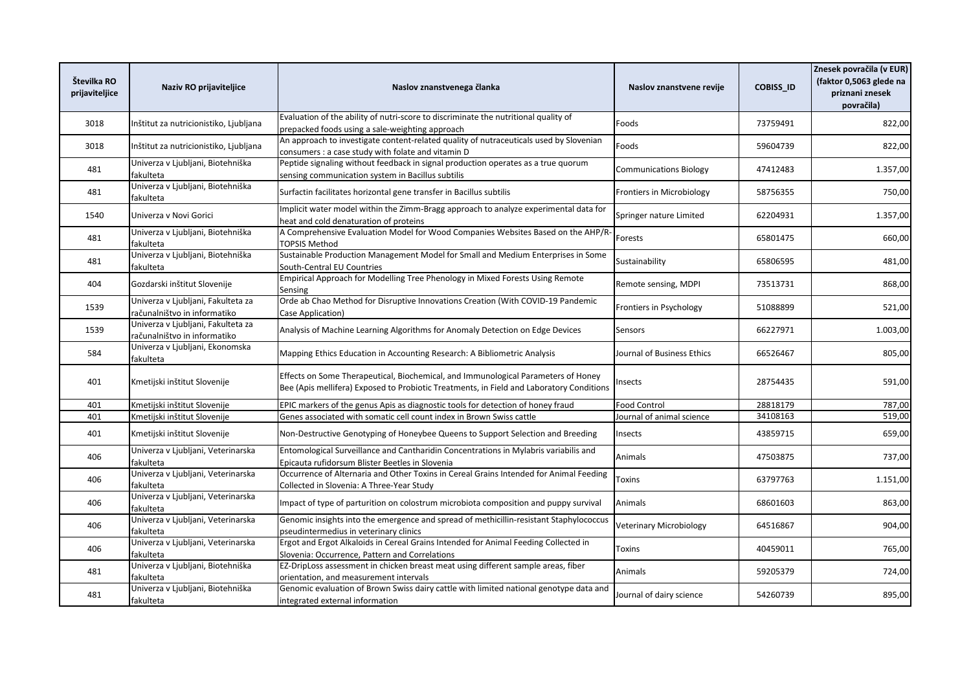| Številka RO<br>prijaviteljice | Naziv RO prijaviteljice                                            | Naslov znanstvenega članka                                                                                                                                                    | Naslov znanstvene revije         | COBISS_ID | Znesek povračila (v EUR)<br>(faktor 0,5063 glede na<br>priznani znesek<br>povračila) |
|-------------------------------|--------------------------------------------------------------------|-------------------------------------------------------------------------------------------------------------------------------------------------------------------------------|----------------------------------|-----------|--------------------------------------------------------------------------------------|
| 3018                          | Inštitut za nutricionistiko, Ljubljana                             | Evaluation of the ability of nutri-score to discriminate the nutritional quality of<br>prepacked foods using a sale-weighting approach                                        | Foods                            | 73759491  | 822,00                                                                               |
| 3018                          | nštitut za nutricionistiko, Ljubljana                              | An approach to investigate content-related quality of nutraceuticals used by Slovenian<br>consumers : a case study with folate and vitamin D                                  | Foods                            | 59604739  | 822,00                                                                               |
| 481                           | Univerza v Ljubljani, Biotehniška<br>fakulteta                     | Peptide signaling without feedback in signal production operates as a true quorum<br>sensing communication system in Bacillus subtilis                                        | <b>Communications Biology</b>    | 47412483  | 1.357,00                                                                             |
| 481                           | Univerza v Ljubljani, Biotehniška<br>fakulteta                     | Surfactin facilitates horizontal gene transfer in Bacillus subtilis                                                                                                           | <b>Frontiers in Microbiology</b> | 58756355  | 750,00                                                                               |
| 1540                          | Univerza v Novi Gorici                                             | Implicit water model within the Zimm-Bragg approach to analyze experimental data for<br>heat and cold denaturation of proteins                                                | Springer nature Limited          | 62204931  | 1.357,00                                                                             |
| 481                           | Univerza v Ljubljani, Biotehniška<br>fakulteta                     | A Comprehensive Evaluation Model for Wood Companies Websites Based on the AHP/R-<br><b>TOPSIS Method</b>                                                                      | Forests                          | 65801475  | 660,00                                                                               |
| 481                           | Univerza v Ljubljani, Biotehniška<br>fakulteta                     | Sustainable Production Management Model for Small and Medium Enterprises in Some<br>South-Central EU Countries                                                                | Sustainability                   | 65806595  | 481,00                                                                               |
| 404                           | Gozdarski inštitut Slovenije                                       | Empirical Approach for Modelling Tree Phenology in Mixed Forests Using Remote<br>Sensing                                                                                      | Remote sensing, MDPI             | 73513731  | 868,00                                                                               |
| 1539                          | Univerza v Ljubljani, Fakulteta za<br>računalništvo in informatiko | Orde ab Chao Method for Disruptive Innovations Creation (With COVID-19 Pandemic<br>Case Application)                                                                          | Frontiers in Psychology          | 51088899  | 521,00                                                                               |
| 1539                          | Univerza v Ljubljani, Fakulteta za<br>računalništvo in informatiko | Analysis of Machine Learning Algorithms for Anomaly Detection on Edge Devices                                                                                                 | Sensors                          | 66227971  | 1.003,00                                                                             |
| 584                           | Univerza v Ljubljani, Ekonomska<br>fakulteta                       | Mapping Ethics Education in Accounting Research: A Bibliometric Analysis                                                                                                      | Journal of Business Ethics       | 66526467  | 805,00                                                                               |
| 401                           | Kmetijski inštitut Slovenije                                       | Effects on Some Therapeutical, Biochemical, and Immunological Parameters of Honey<br>Bee (Apis mellifera) Exposed to Probiotic Treatments, in Field and Laboratory Conditions | Insects                          | 28754435  | 591,00                                                                               |
| 401                           | Kmetijski inštitut Slovenije                                       | EPIC markers of the genus Apis as diagnostic tools for detection of honey fraud                                                                                               | <b>Food Control</b>              | 28818179  | 787,00                                                                               |
| 401                           | Kmetijski inštitut Slovenije                                       | Genes associated with somatic cell count index in Brown Swiss cattle                                                                                                          | Journal of animal science        | 34108163  | 519,00                                                                               |
| 401                           | Kmetijski inštitut Slovenije                                       | Non-Destructive Genotyping of Honeybee Queens to Support Selection and Breeding                                                                                               | Insects                          | 43859715  | 659,00                                                                               |
| 406                           | Univerza v Ljubljani, Veterinarska<br>fakulteta                    | Entomological Surveillance and Cantharidin Concentrations in Mylabris variabilis and<br>Epicauta rufidorsum Blister Beetles in Slovenia                                       | Animals                          | 47503875  | 737,00                                                                               |
| 406                           | Univerza v Ljubljani, Veterinarska<br>fakulteta                    | Occurrence of Alternaria and Other Toxins in Cereal Grains Intended for Animal Feeding<br>Collected in Slovenia: A Three-Year Study                                           | Toxins                           | 63797763  | 1.151,00                                                                             |
| 406                           | Univerza v Ljubljani, Veterinarska<br>fakulteta                    | Impact of type of parturition on colostrum microbiota composition and puppy survival                                                                                          | Animals                          | 68601603  | 863,00                                                                               |
| 406                           | Univerza v Ljubljani, Veterinarska<br>fakulteta                    | Genomic insights into the emergence and spread of methicillin-resistant Staphylococcus<br>pseudintermedius in veterinary clinics                                              | Veterinary Microbiology          | 64516867  | 904,00                                                                               |
| 406                           | Univerza v Ljubljani, Veterinarska<br>fakulteta                    | Ergot and Ergot Alkaloids in Cereal Grains Intended for Animal Feeding Collected in<br>Slovenia: Occurrence, Pattern and Correlations                                         | Toxins                           | 40459011  | 765,00                                                                               |
| 481                           | Univerza v Ljubljani, Biotehniška<br>fakulteta                     | EZ-DripLoss assessment in chicken breast meat using different sample areas, fiber<br>orientation, and measurement intervals                                                   | Animals                          | 59205379  | 724,00                                                                               |
| 481                           | Univerza v Ljubljani, Biotehniška<br>fakulteta                     | Genomic evaluation of Brown Swiss dairy cattle with limited national genotype data and<br>integrated external information                                                     | Journal of dairy science         | 54260739  | 895,00                                                                               |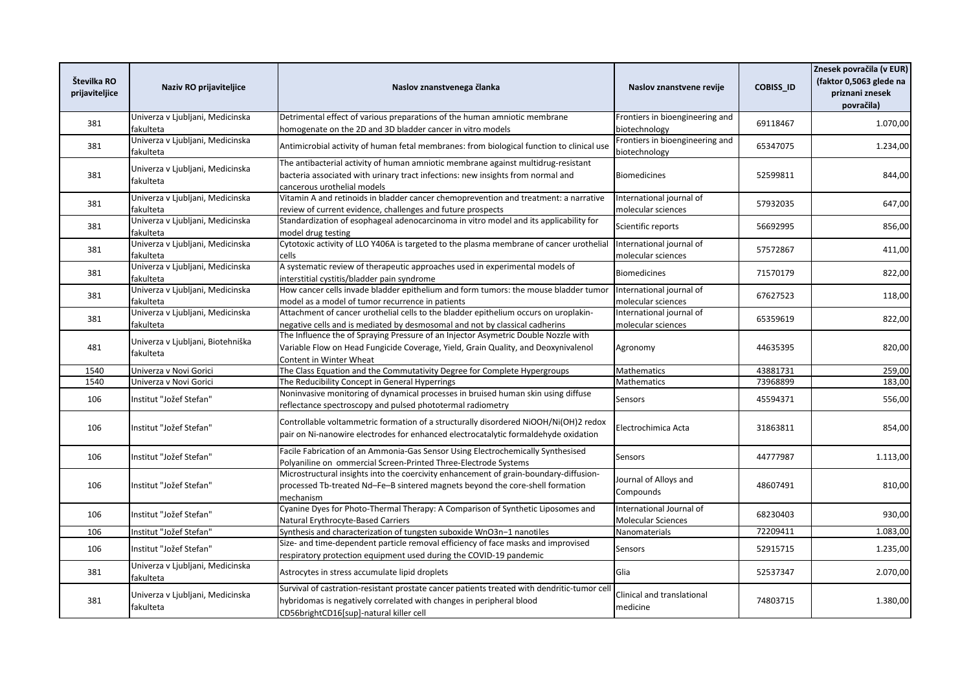| Številka RO<br>prijaviteljice | Naziv RO prijaviteljice                        | Naslov znanstvenega članka                                                                                                                                                                                    | Naslov znanstvene revije                              | <b>COBISS ID</b> | Znesek povračila (v EUR)<br>(faktor 0,5063 glede na<br>priznani znesek<br>povračila) |
|-------------------------------|------------------------------------------------|---------------------------------------------------------------------------------------------------------------------------------------------------------------------------------------------------------------|-------------------------------------------------------|------------------|--------------------------------------------------------------------------------------|
| 381                           | Univerza v Ljubljani, Medicinska<br>fakulteta  | Detrimental effect of various preparations of the human amniotic membrane<br>homogenate on the 2D and 3D bladder cancer in vitro models                                                                       | Frontiers in bioengineering and<br>biotechnology      | 69118467         | 1.070,00                                                                             |
| 381                           | Univerza v Ljubljani, Medicinska<br>fakulteta  | Antimicrobial activity of human fetal membranes: from biological function to clinical use                                                                                                                     | Frontiers in bioengineering and<br>biotechnology      | 65347075         | 1.234,00                                                                             |
| 381                           | Univerza v Ljubljani, Medicinska<br>fakulteta  | The antibacterial activity of human amniotic membrane against multidrug-resistant<br>bacteria associated with urinary tract infections: new insights from normal and<br>cancerous urothelial models           | <b>Biomedicines</b>                                   | 52599811         | 844,00                                                                               |
| 381                           | Univerza v Ljubljani, Medicinska<br>fakulteta  | Vitamin A and retinoids in bladder cancer chemoprevention and treatment: a narrative<br>review of current evidence, challenges and future prospects                                                           | International journal of<br>molecular sciences        | 57932035         | 647,00                                                                               |
| 381                           | Univerza v Ljubljani, Medicinska<br>fakulteta  | Standardization of esophageal adenocarcinoma in vitro model and its applicability for<br>model drug testing                                                                                                   | Scientific reports                                    | 56692995         | 856,00                                                                               |
| 381                           | Univerza v Ljubljani, Medicinska<br>fakulteta  | Cytotoxic activity of LLO Y406A is targeted to the plasma membrane of cancer urothelial<br>cells                                                                                                              | International journal of<br>molecular sciences        | 57572867         | 411,00                                                                               |
| 381                           | Univerza v Ljubljani, Medicinska<br>fakulteta  | A systematic review of therapeutic approaches used in experimental models of<br>interstitial cystitis/bladder pain syndrome                                                                                   | <b>Biomedicines</b>                                   | 71570179         | 822,00                                                                               |
| 381                           | Univerza v Ljubljani, Medicinska<br>fakulteta  | How cancer cells invade bladder epithelium and form tumors: the mouse bladder tumor<br>model as a model of tumor recurrence in patients                                                                       | International journal of<br>molecular sciences        | 67627523         | 118,00                                                                               |
| 381                           | Univerza v Ljubljani, Medicinska<br>fakulteta  | Attachment of cancer urothelial cells to the bladder epithelium occurs on uroplakin-<br>negative cells and is mediated by desmosomal and not by classical cadherins                                           | International journal of<br>molecular sciences        | 65359619         | 822,00                                                                               |
| 481                           | Univerza v Ljubljani, Biotehniška<br>fakulteta | The Influence the of Spraying Pressure of an Injector Asymetric Double Nozzle with<br>Variable Flow on Head Fungicide Coverage, Yield, Grain Quality, and Deoxynivalenol<br>Content in Winter Wheat           | Agronomy                                              | 44635395         | 820,00                                                                               |
| 1540                          | Univerza v Novi Gorici                         | The Class Equation and the Commutativity Degree for Complete Hypergroups                                                                                                                                      | Mathematics                                           | 43881731         | 259,00                                                                               |
| 1540                          | Univerza v Novi Gorici                         | The Reducibility Concept in General Hyperrings                                                                                                                                                                | Mathematics                                           | 73968899         | 183,00                                                                               |
| 106                           | Institut "Jožef Stefan"                        | Noninvasive monitoring of dynamical processes in bruised human skin using diffuse<br>reflectance spectroscopy and pulsed phototermal radiometry                                                               | Sensors                                               | 45594371         | 556,00                                                                               |
| 106                           | Institut "Jožef Stefan"                        | Controllable voltammetric formation of a structurally disordered NiOOH/Ni(OH)2 redox<br>pair on Ni-nanowire electrodes for enhanced electrocatalytic formaldehyde oxidation                                   | Electrochimica Acta                                   | 31863811         | 854,00                                                                               |
| 106                           | Institut "Jožef Stefan"                        | Facile Fabrication of an Ammonia-Gas Sensor Using Electrochemically Synthesised<br>Polyaniline on ommercial Screen-Printed Three-Electrode Systems                                                            | Sensors                                               | 44777987         | 1.113,00                                                                             |
| 106                           | Institut "Jožef Stefan"                        | Microstructural insights into the coercivity enhancement of grain-boundary-diffusion-<br>processed Tb-treated Nd-Fe-B sintered magnets beyond the core-shell formation<br>mechanism                           | Journal of Alloys and<br>Compounds                    | 48607491         | 810,00                                                                               |
| 106                           | Institut "Jožef Stefan"                        | Cyanine Dyes for Photo-Thermal Therapy: A Comparison of Synthetic Liposomes and<br>Natural Erythrocyte-Based Carriers                                                                                         | International Journal of<br><b>Molecular Sciences</b> | 68230403         | 930,00                                                                               |
| 106                           | Institut "Jožef Stefan"                        | Synthesis and characterization of tungsten suboxide WnO3n-1 nanotiles                                                                                                                                         | Nanomaterials                                         | 72209411         | 1.083,00                                                                             |
| 106                           | Institut "Jožef Stefan"                        | Size- and time-dependent particle removal efficiency of face masks and improvised<br>respiratory protection equipment used during the COVID-19 pandemic                                                       | Sensors                                               | 52915715         | 1.235,00                                                                             |
| 381                           | Univerza v Ljubljani, Medicinska<br>fakulteta  | Astrocytes in stress accumulate lipid droplets                                                                                                                                                                | Glia                                                  | 52537347         | 2.070,00                                                                             |
| 381                           | Univerza v Ljubljani, Medicinska<br>fakulteta  | Survival of castration-resistant prostate cancer patients treated with dendritic-tumor cel<br>hybridomas is negatively correlated with changes in peripheral blood<br>CD56brightCD16[sup]-natural killer cell | Clinical and translational<br>medicine                | 74803715         | 1.380,00                                                                             |